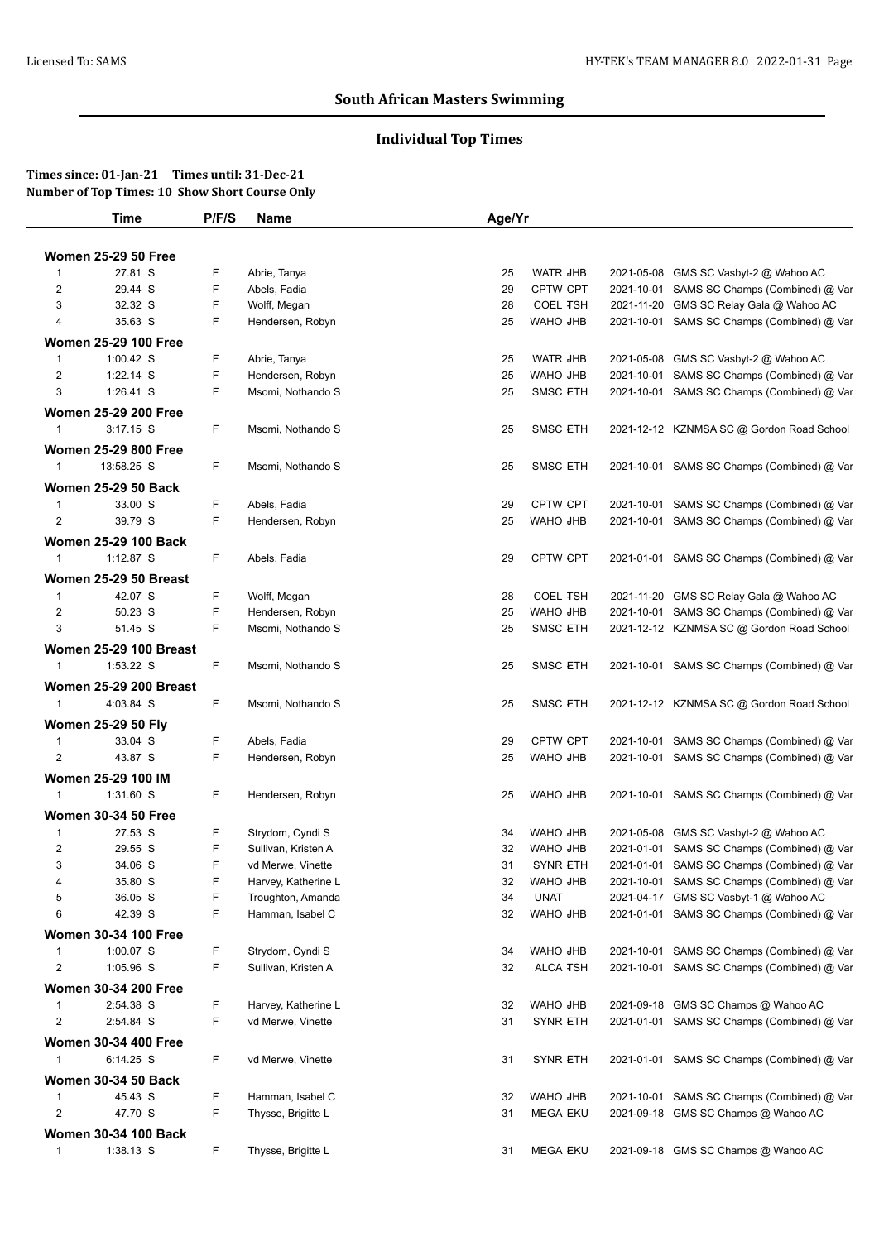# **Individual Top Times**

|                         | <b>Time</b>                                | P/F/S   | <b>Name</b>         | Age/Yr   |                             |                                                                                       |
|-------------------------|--------------------------------------------|---------|---------------------|----------|-----------------------------|---------------------------------------------------------------------------------------|
|                         |                                            |         |                     |          |                             |                                                                                       |
|                         | <b>Women 25-29 50 Free</b>                 |         |                     |          |                             |                                                                                       |
| 1                       | 27.81 S                                    | F       | Abrie, Tanya        | 25       | <b>WATR JHB</b>             | 2021-05-08 GMS SC Vasbyt-2 @ Wahoo AC                                                 |
| $\overline{2}$          | 29.44 S                                    | F       | Abels, Fadia        | 29       | CPTW CPT                    | 2021-10-01 SAMS SC Champs (Combined) @ Var                                            |
| 3                       | 32.32 S<br>35.63 S                         | F<br>F. | Wolff, Megan        | 28       | <b>COEL TSH</b><br>WAHO JHB | 2021-11-20 GMS SC Relay Gala @ Wahoo AC<br>2021-10-01 SAMS SC Champs (Combined) @ Var |
| 4                       |                                            |         | Hendersen, Robyn    | 25       |                             |                                                                                       |
|                         | <b>Women 25-29 100 Free</b>                |         |                     |          |                             |                                                                                       |
| $\mathbf{1}$            | $1:00.42$ S                                | F       | Abrie, Tanya        | 25       | <b>WATR JHB</b>             | 2021-05-08 GMS SC Vasbyt-2 @ Wahoo AC                                                 |
| $\overline{2}$          | 1:22.14 S                                  | F       | Hendersen, Robyn    | 25       | WAHO JHB                    | 2021-10-01 SAMS SC Champs (Combined) @ Var                                            |
| 3                       | 1:26.41 S                                  | F       | Msomi, Nothando S   | 25       | <b>SMSC ETH</b>             | 2021-10-01 SAMS SC Champs (Combined) @ Var                                            |
|                         | <b>Women 25-29 200 Free</b>                |         |                     |          |                             |                                                                                       |
| $\mathbf{1}$            | $3:17.15$ S                                | F       | Msomi, Nothando S   | 25       | <b>SMSC ETH</b>             | 2021-12-12 KZNMSA SC @ Gordon Road School                                             |
|                         | <b>Women 25-29 800 Free</b>                |         |                     |          |                             |                                                                                       |
| $\mathbf{1}$            | 13:58.25 S                                 | F       | Msomi, Nothando S   | 25       | <b>SMSC ETH</b>             | 2021-10-01 SAMS SC Champs (Combined) @ Var                                            |
|                         | <b>Women 25-29 50 Back</b>                 |         |                     |          |                             |                                                                                       |
| $\mathbf{1}$            | 33.00 S                                    | F       | Abels, Fadia        | 29       | CPTW CPT                    | 2021-10-01 SAMS SC Champs (Combined) @ Var                                            |
| $\overline{2}$          | 39.79 S                                    | F.      | Hendersen, Robyn    | 25       | WAHO JHB                    | 2021-10-01 SAMS SC Champs (Combined) @ Var                                            |
|                         | <b>Women 25-29 100 Back</b>                |         |                     |          |                             |                                                                                       |
| $\mathbf{1}$            | 1:12.87 S                                  | F.      | Abels, Fadia        | 29       | CPTW CPT                    | 2021-01-01 SAMS SC Champs (Combined) @ Var                                            |
|                         | Women 25-29 50 Breast                      |         |                     |          |                             |                                                                                       |
| 1                       | 42.07 S                                    | F       | Wolff, Megan        | 28       | <b>COEL TSH</b>             | 2021-11-20 GMS SC Relay Gala @ Wahoo AC                                               |
| $\overline{c}$          | 50.23 S                                    | F       | Hendersen, Robyn    | 25       | WAHO JHB                    | 2021-10-01 SAMS SC Champs (Combined) @ Var                                            |
| 3                       | 51.45 S                                    | F.      | Msomi, Nothando S   | 25       | SMSC ETH                    | 2021-12-12 KZNMSA SC @ Gordon Road School                                             |
|                         |                                            |         |                     |          |                             |                                                                                       |
| $\mathbf{1}$            | <b>Women 25-29 100 Breast</b><br>1:53.22 S | F       | Msomi, Nothando S   | 25       | <b>SMSC ETH</b>             | 2021-10-01 SAMS SC Champs (Combined) @ Var                                            |
|                         |                                            |         |                     |          |                             |                                                                                       |
|                         | <b>Women 25-29 200 Breast</b>              |         |                     |          |                             |                                                                                       |
| $\mathbf{1}$            | 4:03.84 S                                  | F       | Msomi, Nothando S   | 25       | <b>SMSC ETH</b>             | 2021-12-12 KZNMSA SC @ Gordon Road School                                             |
|                         | <b>Women 25-29 50 Fly</b>                  |         |                     |          |                             |                                                                                       |
| 1                       | 33.04 S                                    | F       | Abels, Fadia        | 29       | <b>CPTW CPT</b>             | 2021-10-01 SAMS SC Champs (Combined) @ Var                                            |
| $\overline{\mathbf{c}}$ | 43.87 S                                    | F       | Hendersen, Robyn    | 25       | WAHO JHB                    | 2021-10-01 SAMS SC Champs (Combined) @ Var                                            |
|                         | Women 25-29 100 IM                         |         |                     |          |                             |                                                                                       |
| $\mathbf{1}$            | 1:31.60 S                                  | F.      | Hendersen, Robyn    | 25       | WAHO JHB                    | 2021-10-01 SAMS SC Champs (Combined) @ Var                                            |
|                         | <b>Women 30-34 50 Free</b>                 |         |                     |          |                             |                                                                                       |
| 1                       | 27.53 S                                    | F.      | Strydom, Cyndi S    | 34       | WAHO JHB                    | 2021-05-08 GMS SC Vasbyt-2 @ Wahoo AC                                                 |
| 2                       | 29.55 S                                    | F       | Sullivan, Kristen A | 32       | WAHO JHB                    | 2021-01-01 SAMS SC Champs (Combined) @ Var                                            |
| 3                       | 34.06 S                                    | F       | vd Merwe, Vinette   | 31       | <b>SYNR ETH</b>             | 2021-01-01 SAMS SC Champs (Combined) @ Var                                            |
| 4                       | 35.80 S                                    | F       | Harvey, Katherine L | 32       | WAHO JHB                    | 2021-10-01 SAMS SC Champs (Combined) @ Var                                            |
| 5                       | 36.05 S                                    | F       | Troughton, Amanda   | 34       | <b>UNAT</b>                 | 2021-04-17 GMS SC Vasbyt-1 @ Wahoo AC                                                 |
| 6                       | 42.39 S                                    | F       | Hamman, Isabel C    | 32       | WAHO JHB                    | 2021-01-01 SAMS SC Champs (Combined) @ Var                                            |
|                         | <b>Women 30-34 100 Free</b>                |         |                     |          |                             |                                                                                       |
| $\mathbf{1}$            | 1:00.07 S                                  | F       | Strydom, Cyndi S    | 34       | WAHO JHB                    | 2021-10-01 SAMS SC Champs (Combined) @ Var                                            |
| $\overline{\mathbf{c}}$ | 1:05.96 S                                  | F       | Sullivan, Kristen A | 32       | <b>ALCA TSH</b>             | 2021-10-01 SAMS SC Champs (Combined) @ Var                                            |
|                         | <b>Women 30-34 200 Free</b>                |         |                     |          |                             |                                                                                       |
| $\mathbf{1}$            | 2:54.38 S                                  | F       | Harvey, Katherine L | 32       | <b>WAHO JHB</b>             | 2021-09-18 GMS SC Champs @ Wahoo AC                                                   |
| $\overline{c}$          | 2:54.84 S                                  | F       | vd Merwe, Vinette   | 31       | <b>SYNR ETH</b>             | 2021-01-01 SAMS SC Champs (Combined) @ Var                                            |
|                         | <b>Women 30-34 400 Free</b>                |         |                     |          |                             |                                                                                       |
| $\mathbf{1}$            | 6:14.25 S                                  | F.      | vd Merwe, Vinette   | 31       | <b>SYNR ETH</b>             | 2021-01-01 SAMS SC Champs (Combined) @ Var                                            |
|                         |                                            |         |                     |          |                             |                                                                                       |
| $\mathbf{1}$            | <b>Women 30-34 50 Back</b><br>45.43 S      | F       | Hamman, Isabel C    |          | WAHO JHB                    | 2021-10-01 SAMS SC Champs (Combined) @ Var                                            |
| $\overline{\mathbf{c}}$ | 47.70 S                                    | F       | Thysse, Brigitte L  | 32<br>31 | <b>MEGA EKU</b>             | 2021-09-18 GMS SC Champs @ Wahoo AC                                                   |
|                         |                                            |         |                     |          |                             |                                                                                       |
|                         | <b>Women 30-34 100 Back</b>                |         |                     |          |                             |                                                                                       |
| $\mathbf{1}$            | $1:38.13$ S                                | F.      | Thysse, Brigitte L  | 31       | <b>MEGA EKU</b>             | 2021-09-18 GMS SC Champs @ Wahoo AC                                                   |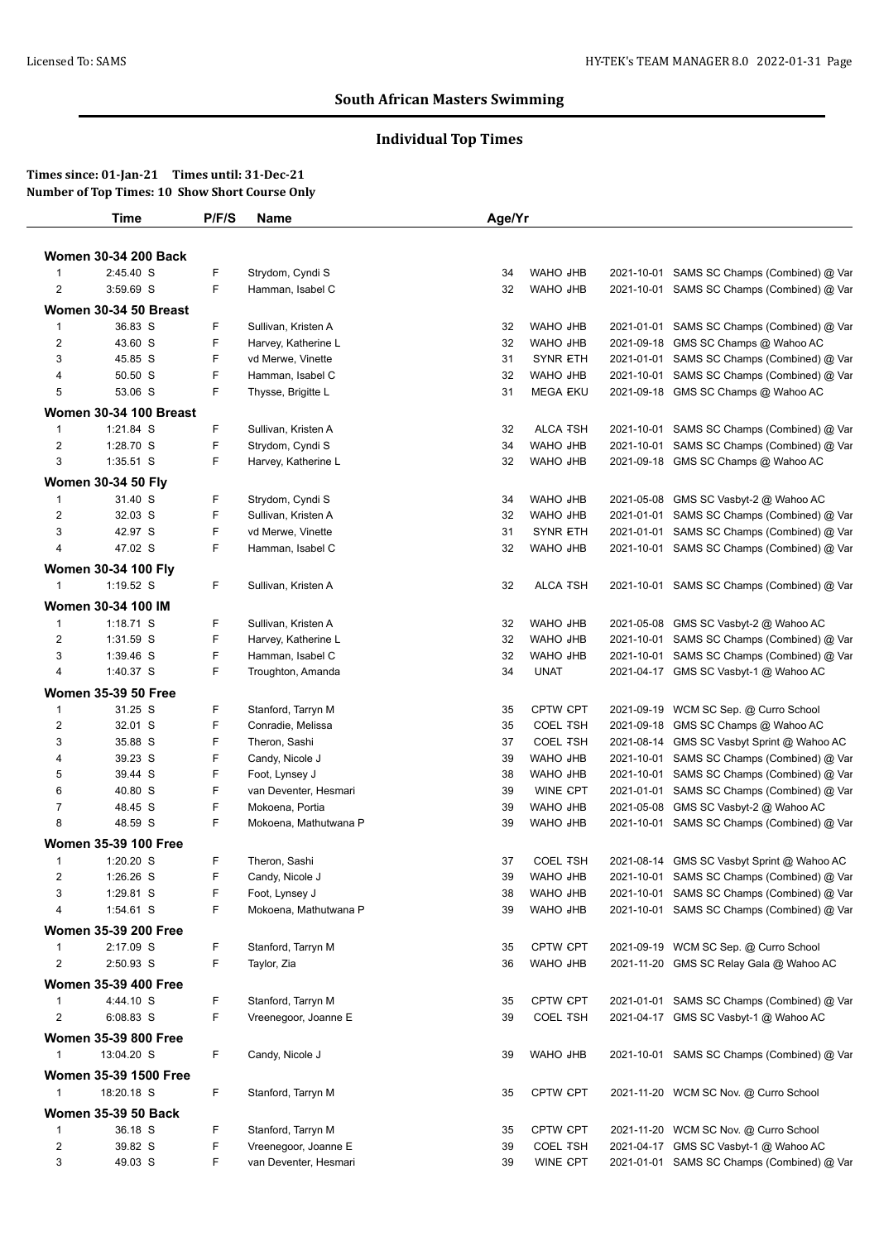# **Individual Top Times**

|                | <b>Time</b>                   | P/F/S | Name                  | Age/Yr |                 |            |                                            |
|----------------|-------------------------------|-------|-----------------------|--------|-----------------|------------|--------------------------------------------|
|                |                               |       |                       |        |                 |            |                                            |
|                | <b>Women 30-34 200 Back</b>   |       |                       |        |                 |            |                                            |
| $\mathbf{1}$   | 2:45.40 S                     | F     | Strydom, Cyndi S      | 34     | WAHO JHB        |            | 2021-10-01 SAMS SC Champs (Combined) @ Var |
| $\overline{c}$ | 3:59.69 S                     | F     | Hamman, Isabel C      | 32     | WAHO JHB        |            | 2021-10-01 SAMS SC Champs (Combined) @ Var |
|                | Women 30-34 50 Breast         |       |                       |        |                 |            |                                            |
| $\mathbf{1}$   | 36.83 S                       | F     | Sullivan, Kristen A   | 32     | WAHO JHB        |            | 2021-01-01 SAMS SC Champs (Combined) @ Var |
| $\overline{c}$ | 43.60 S                       | F     | Harvey, Katherine L   | 32     | WAHO JHB        | 2021-09-18 | GMS SC Champs @ Wahoo AC                   |
| 3              | 45.85 S                       | F     | vd Merwe, Vinette     | 31     | <b>SYNR ETH</b> |            | 2021-01-01 SAMS SC Champs (Combined) @ Var |
| 4              | 50.50 S                       | F     | Hamman, Isabel C      | 32     | WAHO JHB        |            | 2021-10-01 SAMS SC Champs (Combined) @ Var |
| 5              | 53.06 S                       | F     | Thysse, Brigitte L    | 31     | <b>MEGA EKU</b> |            | 2021-09-18 GMS SC Champs @ Wahoo AC        |
|                | <b>Women 30-34 100 Breast</b> |       |                       |        |                 |            |                                            |
| $\mathbf{1}$   | 1:21.84 S                     | F     | Sullivan, Kristen A   | 32     | <b>ALCA TSH</b> |            | 2021-10-01 SAMS SC Champs (Combined) @ Var |
| $\overline{c}$ | 1:28.70 S                     | F     | Strydom, Cyndi S      | 34     | WAHO JHB        |            | 2021-10-01 SAMS SC Champs (Combined) @ Var |
| 3              | 1:35.51 S                     | F     | Harvey, Katherine L   | 32     | WAHO JHB        |            | 2021-09-18 GMS SC Champs @ Wahoo AC        |
|                | <b>Women 30-34 50 Fly</b>     |       |                       |        |                 |            |                                            |
| $\mathbf{1}$   | 31.40 S                       | F     | Strydom, Cyndi S      | 34     | WAHO JHB        | 2021-05-08 | GMS SC Vasbyt-2 @ Wahoo AC                 |
| $\overline{c}$ | 32.03 S                       | F     | Sullivan, Kristen A   | 32     | WAHO JHB        |            | 2021-01-01 SAMS SC Champs (Combined) @ Var |
| $\sqrt{3}$     | 42.97 S                       | F     | vd Merwe, Vinette     | 31     | SYNR ETH        |            | 2021-01-01 SAMS SC Champs (Combined) @ Var |
| 4              | 47.02 S                       | F     | Hamman, Isabel C      | 32     | WAHO JHB        |            | 2021-10-01 SAMS SC Champs (Combined) @ Var |
|                |                               |       |                       |        |                 |            |                                            |
|                | <b>Women 30-34 100 Fly</b>    |       |                       |        |                 |            |                                            |
| $\mathbf{1}$   | 1:19.52 S                     | F.    | Sullivan, Kristen A   | 32     | <b>ALCA TSH</b> |            | 2021-10-01 SAMS SC Champs (Combined) @ Var |
|                | Women 30-34 100 IM            |       |                       |        |                 |            |                                            |
| $\mathbf{1}$   | $1:18.71$ S                   | F     | Sullivan, Kristen A   | 32     | WAHO JHB        | 2021-05-08 | GMS SC Vasbyt-2 @ Wahoo AC                 |
| $\overline{c}$ | 1:31.59 S                     | F     | Harvey, Katherine L   | 32     | WAHO JHB        |            | 2021-10-01 SAMS SC Champs (Combined) @ Var |
| 3              | 1:39.46 S                     | F     | Hamman, Isabel C      | 32     | WAHO JHB        |            | 2021-10-01 SAMS SC Champs (Combined) @ Var |
| 4              | 1:40.37 S                     | F     | Troughton, Amanda     | 34     | <b>UNAT</b>     |            | 2021-04-17 GMS SC Vasbyt-1 @ Wahoo AC      |
|                | <b>Women 35-39 50 Free</b>    |       |                       |        |                 |            |                                            |
| $\mathbf{1}$   | 31.25 S                       | F     | Stanford, Tarryn M    | 35     | CPTW CPT        | 2021-09-19 | WCM SC Sep. @ Curro School                 |
| $\overline{2}$ | 32.01 S                       | F     | Conradie, Melissa     | 35     | <b>COEL TSH</b> | 2021-09-18 | GMS SC Champs @ Wahoo AC                   |
| 3              | 35.88 S                       | F     | Theron, Sashi         | 37     | <b>COEL TSH</b> |            | 2021-08-14 GMS SC Vasbyt Sprint @ Wahoo AC |
| 4              | 39.23 S                       | F     | Candy, Nicole J       | 39     | WAHO JHB        |            | 2021-10-01 SAMS SC Champs (Combined) @ Var |
| 5              | 39.44 S                       | F     | Foot, Lynsey J        | 38     | WAHO JHB        |            | 2021-10-01 SAMS SC Champs (Combined) @ Var |
| 6              | 40.80 S                       | F     | van Deventer, Hesmari | 39     | <b>WINE CPT</b> | 2021-01-01 | SAMS SC Champs (Combined) @ Var            |
| $\overline{7}$ | 48.45 S                       | F     | Mokoena, Portia       | 39     | WAHO JHB        | 2021-05-08 | GMS SC Vasbyt-2 @ Wahoo AC                 |
| 8              | 48.59 S                       | F     | Mokoena, Mathutwana P | 39     | WAHO JHB        |            | 2021-10-01 SAMS SC Champs (Combined) @ Var |
|                | <b>Women 35-39 100 Free</b>   |       |                       |        |                 |            |                                            |
| $\mathbf{1}$   | 1:20.20 S                     | F     | Theron, Sashi         | 37     | <b>COEL TSH</b> |            | 2021-08-14 GMS SC Vasbyt Sprint @ Wahoo AC |
| 2              | 1:26.26 S                     | F     | Candy, Nicole J       | 39     | WAHO JHB        |            | 2021-10-01 SAMS SC Champs (Combined) @ Var |
| 3              | 1:29.81 S                     | F     | Foot, Lynsey J        | 38     | WAHO JHB        |            | 2021-10-01 SAMS SC Champs (Combined) @ Var |
| 4              | 1:54.61 S                     | F     | Mokoena, Mathutwana P | 39     | WAHO JHB        |            | 2021-10-01 SAMS SC Champs (Combined) @ Var |
|                |                               |       |                       |        |                 |            |                                            |
|                | <b>Women 35-39 200 Free</b>   |       |                       |        |                 |            |                                            |
| $\mathbf{1}$   | 2:17.09 S                     | F     | Stanford, Tarryn M    | 35     | CPTW CPT        |            | 2021-09-19 WCM SC Sep. @ Curro School      |
| $\overline{2}$ | 2:50.93 S                     | F     | Taylor, Zia           | 36     | WAHO JHB        |            | 2021-11-20 GMS SC Relay Gala @ Wahoo AC    |
|                | <b>Women 35-39 400 Free</b>   |       |                       |        |                 |            |                                            |
| $\mathbf{1}$   | 4:44.10 S                     | F     | Stanford, Tarryn M    | 35     | CPTW CPT        |            | 2021-01-01 SAMS SC Champs (Combined) @ Var |
| $\overline{2}$ | 6:08.83 S                     | F     | Vreenegoor, Joanne E  | 39     | <b>COEL TSH</b> |            | 2021-04-17 GMS SC Vasbyt-1 @ Wahoo AC      |
|                | <b>Women 35-39 800 Free</b>   |       |                       |        |                 |            |                                            |
| $\mathbf{1}$   | 13:04.20 S                    | F     | Candy, Nicole J       | 39     | WAHO JHB        |            | 2021-10-01 SAMS SC Champs (Combined) @ Var |
|                | <b>Women 35-39 1500 Free</b>  |       |                       |        |                 |            |                                            |
| $\mathbf{1}$   | 18:20.18 S                    | F     | Stanford, Tarryn M    | 35     | CPTW CPT        |            | 2021-11-20 WCM SC Nov. @ Curro School      |
|                |                               |       |                       |        |                 |            |                                            |
|                | <b>Women 35-39 50 Back</b>    |       |                       |        |                 |            |                                            |
| $\mathbf{1}$   | 36.18 S                       | F     | Stanford, Tarryn M    | 35     | CPTW CPT        |            | 2021-11-20 WCM SC Nov. @ Curro School      |
| $\overline{c}$ | 39.82 S                       | F     | Vreenegoor, Joanne E  | 39     | <b>COEL TSH</b> |            | 2021-04-17 GMS SC Vasbyt-1 @ Wahoo AC      |
| 3              | 49.03 S                       | F     | van Deventer, Hesmari | 39     | WINE CPT        |            | 2021-01-01 SAMS SC Champs (Combined) @ Var |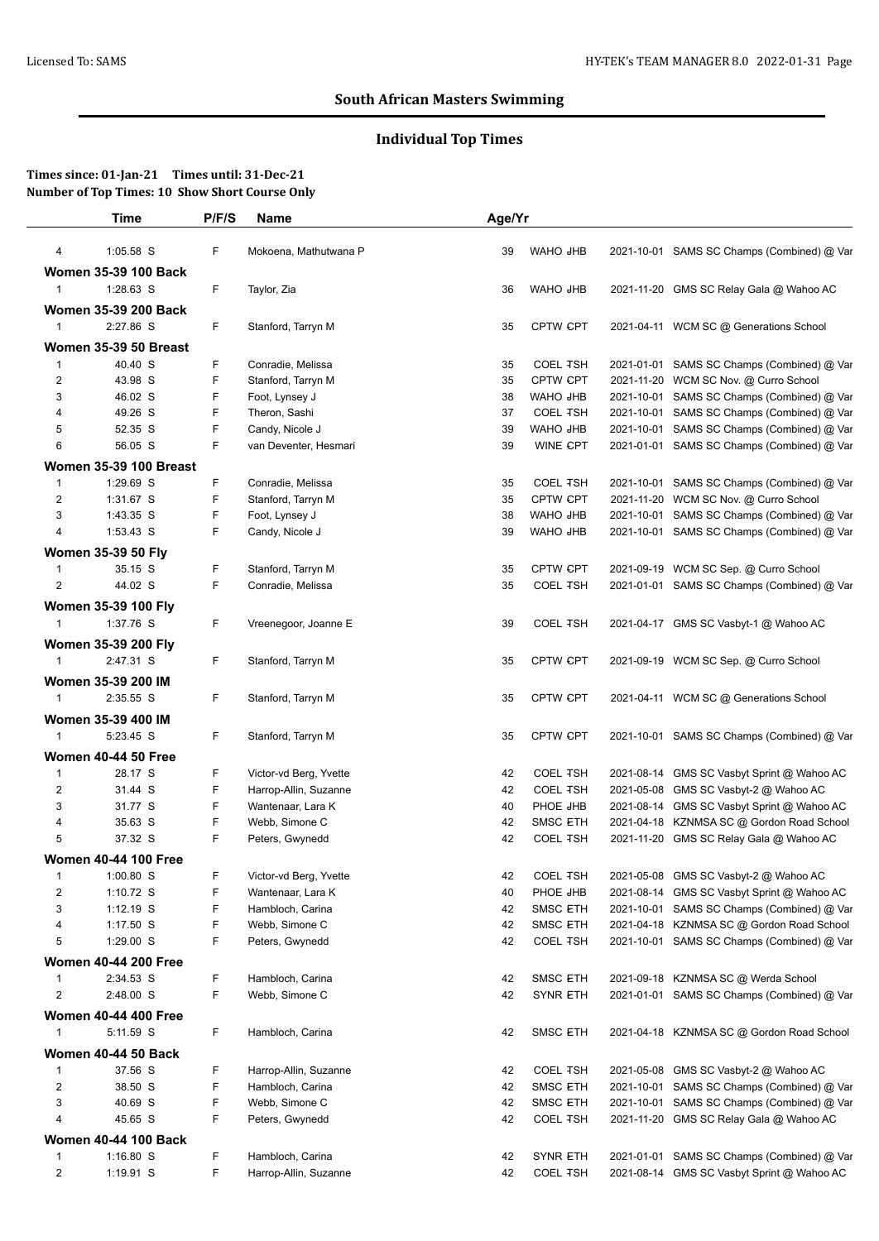# **Individual Top Times**

|                         | Time                                 | P/F/S | Name                   | Age/Yr   |                             |                                            |
|-------------------------|--------------------------------------|-------|------------------------|----------|-----------------------------|--------------------------------------------|
| 4                       | 1:05.58 S                            | F     | Mokoena, Mathutwana P  | 39       | WAHO JHB                    | 2021-10-01 SAMS SC Champs (Combined) @ Var |
|                         | <b>Women 35-39 100 Back</b>          |       |                        |          |                             |                                            |
| $\mathbf{1}$            | $1:28.63$ S                          | F     | Taylor, Zia            | 36       | WAHO JHB                    | 2021-11-20 GMS SC Relay Gala @ Wahoo AC    |
|                         | <b>Women 35-39 200 Back</b>          |       |                        |          |                             |                                            |
| $\mathbf{1}$            | 2:27.86 S                            | F     | Stanford, Tarryn M     | 35       | CPTW CPT                    | 2021-04-11 WCM SC @ Generations School     |
|                         | Women 35-39 50 Breast                |       |                        |          |                             |                                            |
| $\mathbf{1}$            | 40.40 S                              | F     | Conradie, Melissa      |          |                             | 2021-01-01 SAMS SC Champs (Combined) @ Var |
| $\overline{\mathbf{c}}$ | 43.98 S                              | F     | Stanford, Tarryn M     | 35<br>35 | <b>COEL TSH</b><br>CPTW CPT | 2021-11-20 WCM SC Nov. @ Curro School      |
| 3                       | 46.02 S                              | F     | Foot, Lynsey J         | 38       | WAHO JHB                    | 2021-10-01 SAMS SC Champs (Combined) @ Var |
| 4                       | 49.26 S                              | F     | Theron, Sashi          | 37       | <b>COEL TSH</b>             | 2021-10-01 SAMS SC Champs (Combined) @ Var |
| 5                       | 52.35 S                              | F     | Candy, Nicole J        | 39       | WAHO JHB                    | 2021-10-01 SAMS SC Champs (Combined) @ Var |
| 6                       | 56.05 S                              | F     | van Deventer, Hesmari  | 39       | WINE CPT                    | 2021-01-01 SAMS SC Champs (Combined) @ Var |
|                         | <b>Women 35-39 100 Breast</b>        |       |                        |          |                             |                                            |
| $\mathbf{1}$            | 1:29.69 S                            | F     | Conradie, Melissa      | 35       | <b>COEL TSH</b>             | 2021-10-01 SAMS SC Champs (Combined) @ Var |
| 2                       | 1:31.67 S                            | F     | Stanford, Tarryn M     | 35       | CPTW CPT                    | 2021-11-20 WCM SC Nov. @ Curro School      |
| 3                       | 1:43.35 S                            | F     | Foot, Lynsey J         | 38       | WAHO JHB                    | 2021-10-01 SAMS SC Champs (Combined) @ Var |
| $\overline{4}$          | 1:53.43 S                            | F     | Candy, Nicole J        | 39       | WAHO JHB                    | 2021-10-01 SAMS SC Champs (Combined) @ Var |
|                         |                                      |       |                        |          |                             |                                            |
|                         | <b>Women 35-39 50 Fly</b><br>35.15 S | F     | Stanford, Tarryn M     |          | CPTW CPT                    | 2021-09-19 WCM SC Sep. @ Curro School      |
| 1<br>$\overline{2}$     | 44.02 S                              | F     | Conradie, Melissa      | 35<br>35 | <b>COEL TSH</b>             | 2021-01-01 SAMS SC Champs (Combined) @ Var |
|                         |                                      |       |                        |          |                             |                                            |
|                         | Women 35-39 100 Fly                  |       |                        |          |                             |                                            |
| $\mathbf{1}$            | 1:37.76 S                            | F     | Vreenegoor, Joanne E   | 39       | <b>COEL TSH</b>             | 2021-04-17 GMS SC Vasbyt-1 @ Wahoo AC      |
|                         | Women 35-39 200 Fly                  |       |                        |          |                             |                                            |
| $\mathbf{1}$            | 2:47.31 S                            | F     | Stanford, Tarryn M     | 35       | <b>CPTW CPT</b>             | 2021-09-19 WCM SC Sep. @ Curro School      |
|                         | Women 35-39 200 IM                   |       |                        |          |                             |                                            |
| $\mathbf{1}$            | 2:35.55 S                            | F     | Stanford, Tarryn M     | 35       | CPTW CPT                    | 2021-04-11 WCM SC @ Generations School     |
|                         | Women 35-39 400 IM                   |       |                        |          |                             |                                            |
| $\mathbf{1}$            | 5:23.45 S                            | F     | Stanford, Tarryn M     | 35       | <b>CPTW CPT</b>             | 2021-10-01 SAMS SC Champs (Combined) @ Var |
|                         | <b>Women 40-44 50 Free</b>           |       |                        |          |                             |                                            |
| 1                       | 28.17 S                              | F     | Victor-vd Berg, Yvette | 42       | <b>COEL TSH</b>             | 2021-08-14 GMS SC Vasbyt Sprint @ Wahoo AC |
| $\overline{2}$          | 31.44 S                              | F     | Harrop-Allin, Suzanne  | 42       | <b>COEL TSH</b>             | 2021-05-08 GMS SC Vasbyt-2 @ Wahoo AC      |
| 3                       | 31.77 S                              | F     | Wantenaar, Lara K      | 40       | PHOE JHB                    | 2021-08-14 GMS SC Vasbyt Sprint @ Wahoo AC |
| 4                       | 35.63 S                              | F     | Webb, Simone C         | 42       | <b>SMSC ETH</b>             | 2021-04-18 KZNMSA SC @ Gordon Road School  |
| 5                       | 37.32 S                              | F     | Peters, Gwynedd        | 42       | <b>COEL TSH</b>             | 2021-11-20 GMS SC Relay Gala @ Wahoo AC    |
|                         | <b>Women 40-44 100 Free</b>          |       |                        |          |                             |                                            |
|                         | 1:00.80 S                            | F.    | Victor-vd Berg, Yvette | 42       | <b>COEL TSH</b>             | 2021-05-08 GMS SC Vasbyt-2 @ Wahoo AC      |
| $\overline{c}$          | 1:10.72 S                            | F     | Wantenaar, Lara K      | 40       | PHOE JHB                    | 2021-08-14 GMS SC Vasbyt Sprint @ Wahoo AC |
| 3                       | $1:12.19$ S                          | F     | Hambloch, Carina       | 42       | <b>SMSC ETH</b>             | 2021-10-01 SAMS SC Champs (Combined) @ Var |
| 4                       | $1:17.50$ S                          | F     | Webb, Simone C         | 42       | SMSC ETH                    | 2021-04-18 KZNMSA SC @ Gordon Road School  |
| 5                       | 1:29.00 S                            | F     | Peters, Gwynedd        | 42       | <b>COEL TSH</b>             | 2021-10-01 SAMS SC Champs (Combined) @ Var |
|                         | <b>Women 40-44 200 Free</b>          |       |                        |          |                             |                                            |
| 1                       | 2:34.53 S                            | F     | Hambloch, Carina       | 42       | <b>SMSC ETH</b>             | 2021-09-18 KZNMSA SC @ Werda School        |
| 2                       | 2:48.00 S                            | F     | Webb, Simone C         | 42       | <b>SYNR ETH</b>             | 2021-01-01 SAMS SC Champs (Combined) @ Var |
|                         | <b>Women 40-44 400 Free</b>          |       |                        |          |                             |                                            |
| 1                       | 5:11.59 S                            | F     | Hambloch, Carina       | 42       | <b>SMSC ETH</b>             | 2021-04-18 KZNMSA SC @ Gordon Road School  |
|                         |                                      |       |                        |          |                             |                                            |
|                         | <b>Women 40-44 50 Back</b>           |       |                        |          |                             |                                            |
| 1                       | 37.56 S                              | F     | Harrop-Allin, Suzanne  | 42       | <b>COEL TSH</b>             | 2021-05-08 GMS SC Vasbyt-2 @ Wahoo AC      |
| $\overline{2}$          | 38.50 S                              | F     | Hambloch, Carina       | 42       | <b>SMSC ETH</b>             | 2021-10-01 SAMS SC Champs (Combined) @ Var |
| 3                       | 40.69 S                              | F     | Webb, Simone C         | 42       | <b>SMSC ETH</b>             | 2021-10-01 SAMS SC Champs (Combined) @ Var |
| 4                       | 45.65 S                              | F     | Peters, Gwynedd        | 42       | <b>COEL TSH</b>             | 2021-11-20 GMS SC Relay Gala @ Wahoo AC    |
|                         | <b>Women 40-44 100 Back</b>          |       |                        |          |                             |                                            |
| 1                       | $1:16.80$ S                          | F     | Hambloch, Carina       | 42       | <b>SYNR ETH</b>             | 2021-01-01 SAMS SC Champs (Combined) @ Var |
| $\overline{\mathbf{c}}$ | 1:19.91 S                            | F     | Harrop-Allin, Suzanne  | 42       | <b>COEL TSH</b>             | 2021-08-14 GMS SC Vasbyt Sprint @ Wahoo AC |
|                         |                                      |       |                        |          |                             |                                            |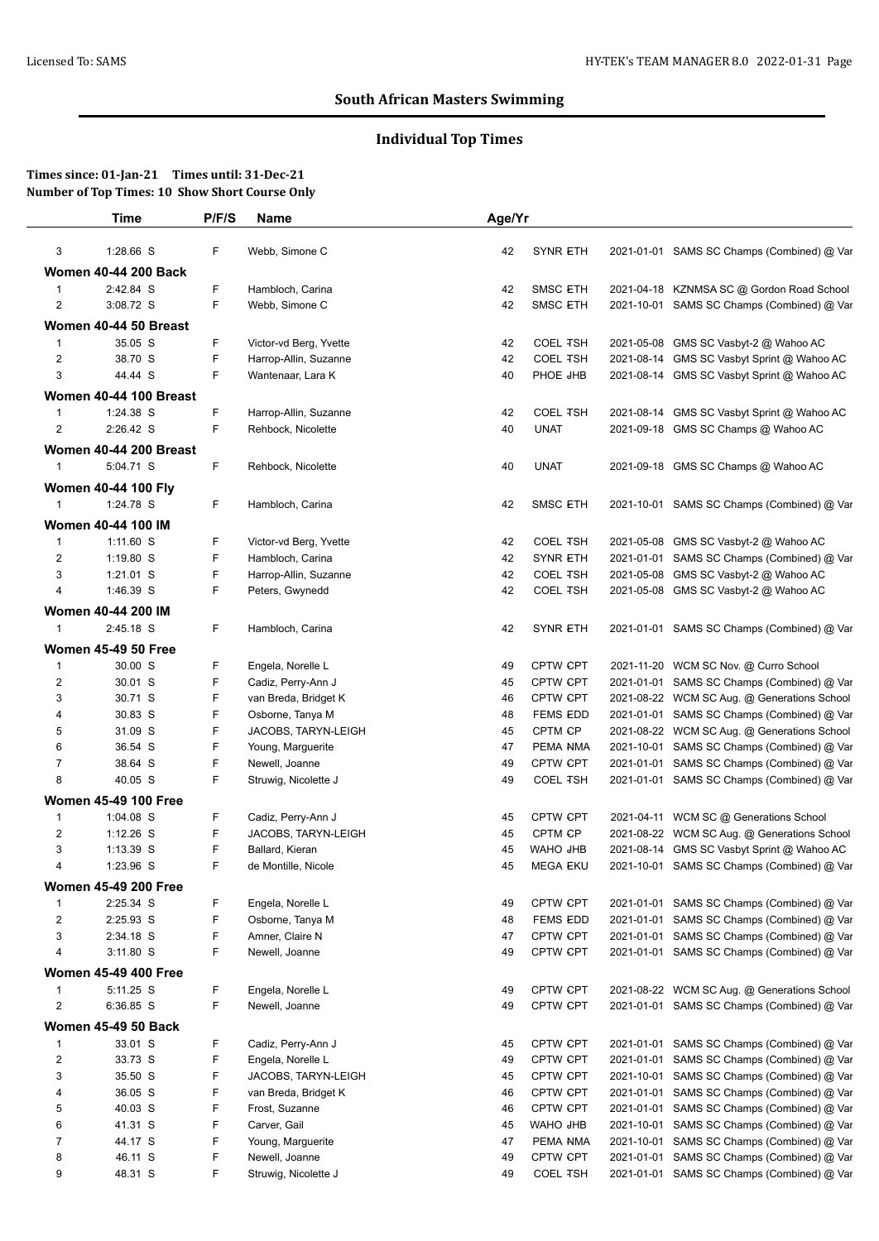# **Individual Top Times**

|                | Time                        | P/F/S  | Name                   | Age/Yr   |                             |            |                                             |
|----------------|-----------------------------|--------|------------------------|----------|-----------------------------|------------|---------------------------------------------|
| 3              | 1:28.66 S                   | F      | Webb, Simone C         | 42       | <b>SYNR ETH</b>             |            | 2021-01-01 SAMS SC Champs (Combined) @ Var  |
|                | <b>Women 40-44 200 Back</b> |        |                        |          |                             |            |                                             |
| 1              | 2:42.84 S                   | F      | Hambloch, Carina       | 42       | SMSC ETH                    |            | 2021-04-18 KZNMSA SC @ Gordon Road School   |
| 2              | 3:08.72 S                   | F      | Webb, Simone C         | 42       | <b>SMSC ETH</b>             |            | 2021-10-01 SAMS SC Champs (Combined) @ Var  |
|                | Women 40-44 50 Breast       |        |                        |          |                             |            |                                             |
| $\mathbf{1}$   | 35.05 S                     | F      | Victor-vd Berg, Yvette | 42       | <b>COEL TSH</b>             |            | 2021-05-08 GMS SC Vasbyt-2 @ Wahoo AC       |
| 2              | 38.70 S                     | F      | Harrop-Allin, Suzanne  | 42       | <b>COEL TSH</b>             | 2021-08-14 | GMS SC Vasbyt Sprint @ Wahoo AC             |
| 3              | 44.44 S                     | F      | Wantenaar, Lara K      | 40       | PHOE JHB                    |            | 2021-08-14 GMS SC Vasbyt Sprint @ Wahoo AC  |
|                | Women 40-44 100 Breast      |        |                        |          |                             |            |                                             |
| 1              | 1:24.38 S                   | F      | Harrop-Allin, Suzanne  | 42       | <b>COEL TSH</b>             |            | 2021-08-14 GMS SC Vasbyt Sprint @ Wahoo AC  |
| 2              | 2:26.42 S                   | F      | Rehbock, Nicolette     | 40       | <b>UNAT</b>                 |            | 2021-09-18 GMS SC Champs @ Wahoo AC         |
|                | Women 40-44 200 Breast      |        |                        |          |                             |            |                                             |
| $\mathbf{1}$   | 5:04.71 S                   | F      | Rehbock, Nicolette     | 40       | <b>UNAT</b>                 |            | 2021-09-18 GMS SC Champs @ Wahoo AC         |
|                |                             |        |                        |          |                             |            |                                             |
|                | <b>Women 40-44 100 Fly</b>  |        |                        |          |                             |            |                                             |
| $\mathbf{1}$   | 1:24.78 S                   | F.     | Hambloch, Carina       | 42       | <b>SMSC ETH</b>             |            | 2021-10-01 SAMS SC Champs (Combined) @ Var  |
|                | Women 40-44 100 IM          |        |                        |          |                             |            |                                             |
| $\mathbf{1}$   | 1:11.60 S                   | F      | Victor-vd Berg, Yvette | 42       | <b>COEL TSH</b>             |            | 2021-05-08 GMS SC Vasbyt-2 @ Wahoo AC       |
| $\overline{c}$ | $1:19.80$ S                 | F      | Hambloch, Carina       | 42       | <b>SYNR ETH</b>             |            | 2021-01-01 SAMS SC Champs (Combined) @ Var  |
| 3              | 1:21.01 S                   | F      | Harrop-Allin, Suzanne  | 42       | <b>COEL TSH</b>             | 2021-05-08 | GMS SC Vasbyt-2 @ Wahoo AC                  |
| 4              | 1:46.39 S                   | F      | Peters, Gwynedd        | 42       | <b>COEL TSH</b>             |            | 2021-05-08 GMS SC Vasbyt-2 @ Wahoo AC       |
|                | Women 40-44 200 IM          |        |                        |          |                             |            |                                             |
| $\mathbf{1}$   | 2:45.18 S                   | F.     | Hambloch, Carina       | 42       | <b>SYNR ETH</b>             |            | 2021-01-01 SAMS SC Champs (Combined) @ Var  |
|                | <b>Women 45-49 50 Free</b>  |        |                        |          |                             |            |                                             |
| $\mathbf{1}$   | 30.00 S                     | F      | Engela, Norelle L      | 49       | CPTW CPT                    |            | 2021-11-20 WCM SC Nov. @ Curro School       |
| $\overline{2}$ | 30.01 S                     | F      | Cadiz, Perry-Ann J     | 45       | <b>CPTW CPT</b>             |            | 2021-01-01 SAMS SC Champs (Combined) @ Var  |
| 3              | 30.71 S                     | F      | van Breda, Bridget K   | 46       | CPTW CPT                    |            | 2021-08-22 WCM SC Aug. @ Generations School |
| 4              | 30.83 S                     | F      | Osborne, Tanya M       | 48       | <b>FEMS EDD</b>             |            | 2021-01-01 SAMS SC Champs (Combined) @ Var  |
| 5              | 31.09 S                     | F      | JACOBS, TARYN-LEIGH    | 45       | CPTM CP                     |            | 2021-08-22 WCM SC Aug. @ Generations School |
| 6              | 36.54 S                     | F      | Young, Marguerite      | 47       | PEMA NMA                    |            | 2021-10-01 SAMS SC Champs (Combined) @ Var  |
| 7<br>8         | 38.64 S                     | F<br>F | Newell, Joanne         | 49<br>49 | CPTW CPT<br><b>COEL TSH</b> |            | 2021-01-01 SAMS SC Champs (Combined) @ Var  |
|                | 40.05 S                     |        | Struwig, Nicolette J   |          |                             |            | 2021-01-01 SAMS SC Champs (Combined) @ Var  |
|                | <b>Women 45-49 100 Free</b> |        |                        |          |                             |            |                                             |
| $\mathbf 1$    | 1:04.08 S                   | F      | Cadiz, Perry-Ann J     | 45       | <b>CPTW CPT</b>             |            | 2021-04-11 WCM SC @ Generations School      |
| $\overline{c}$ | $1:12.26$ S                 | F      | JACOBS, TARYN-LEIGH    | 45       | CPTM CP                     |            | 2021-08-22 WCM SC Aug. @ Generations School |
| 3              | 1:13.39 S                   | F<br>F | Ballard, Kieran        | 45       | <b>WAHO JHB</b>             |            | 2021-08-14 GMS SC Vasbyt Sprint @ Wahoo AC  |
| 4              | 1:23.96 S                   |        | de Montille, Nicole    | 45       | <b>MEGA EKU</b>             |            | 2021-10-01 SAMS SC Champs (Combined) @ Var  |
|                | <b>Women 45-49 200 Free</b> |        |                        |          |                             |            |                                             |
| $\mathbf{1}$   | 2:25.34 S                   | F      | Engela, Norelle L      | 49       | CPTW CPT                    | 2021-01-01 | SAMS SC Champs (Combined) @ Var             |
| $\overline{2}$ | 2:25.93 S                   | F      | Osborne, Tanya M       | 48       | <b>FEMS EDD</b>             | 2021-01-01 | SAMS SC Champs (Combined) @ Var             |
| 3              | 2:34.18 S                   | F<br>F | Amner, Claire N        | 47       | CPTW CPT                    | 2021-01-01 | SAMS SC Champs (Combined) @ Var             |
| 4              | $3:11.80$ S                 |        | Newell, Joanne         | 49       | <b>CPTW CPT</b>             |            | 2021-01-01 SAMS SC Champs (Combined) @ Var  |
|                | <b>Women 45-49 400 Free</b> |        |                        |          |                             |            |                                             |
| $\mathbf{1}$   | 5:11.25 S                   | F      | Engela, Norelle L      | 49       | CPTW CPT                    |            | 2021-08-22 WCM SC Aug. @ Generations School |
| $\overline{2}$ | 6:36.85 S                   | F      | Newell, Joanne         | 49       | CPTW CPT                    |            | 2021-01-01 SAMS SC Champs (Combined) @ Var  |
|                | <b>Women 45-49 50 Back</b>  |        |                        |          |                             |            |                                             |
| $\mathbf{1}$   | 33.01 S                     | F      | Cadiz, Perry-Ann J     | 45       | CPTW CPT                    | 2021-01-01 | SAMS SC Champs (Combined) @ Var             |
| $\overline{2}$ | 33.73 S                     | F      | Engela, Norelle L      | 49       | CPTW CPT                    | 2021-01-01 | SAMS SC Champs (Combined) @ Var             |
| 3              | 35.50 S                     | F      | JACOBS, TARYN-LEIGH    | 45       | CPTW CPT                    | 2021-10-01 | SAMS SC Champs (Combined) @ Var             |
| 4              | 36.05 S                     | F      | van Breda, Bridget K   | 46       | <b>CPTW CPT</b>             | 2021-01-01 | SAMS SC Champs (Combined) @ Var             |
| 5              | 40.03 S                     | F      | Frost, Suzanne         | 46       | CPTW CPT                    | 2021-01-01 | SAMS SC Champs (Combined) @ Var             |
| 6              | 41.31 S                     | F      | Carver, Gail           | 45       | WAHO JHB                    | 2021-10-01 | SAMS SC Champs (Combined) @ Var             |
| $\overline{7}$ | 44.17 S                     | F      | Young, Marguerite      | 47       | PEMA NMA                    | 2021-10-01 | SAMS SC Champs (Combined) @ Var             |
| 8              | 46.11 S                     | F      | Newell, Joanne         | 49       | CPTW CPT                    | 2021-01-01 | SAMS SC Champs (Combined) @ Var             |
| 9              | 48.31 S                     | F      | Struwig, Nicolette J   | 49       | <b>COEL TSH</b>             |            | 2021-01-01 SAMS SC Champs (Combined) @ Var  |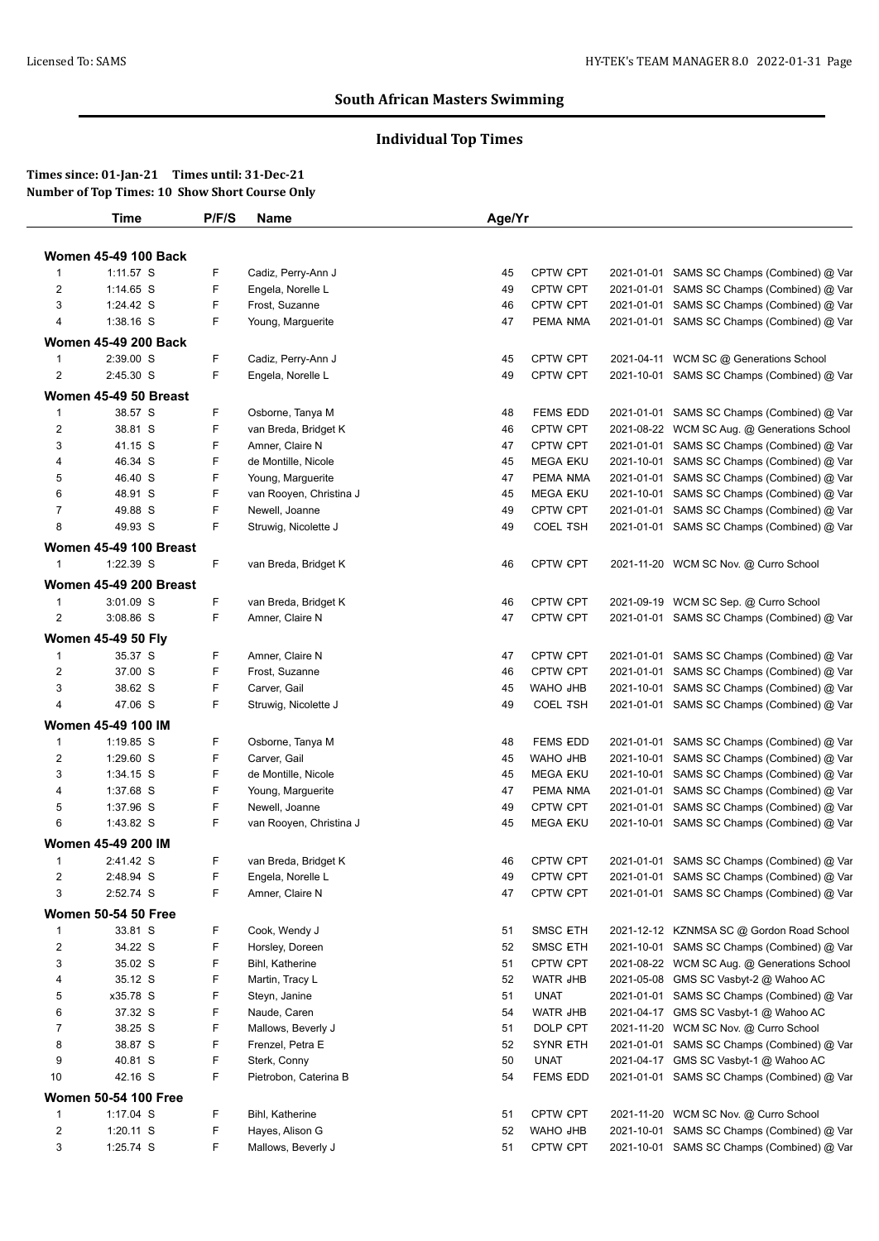# **Individual Top Times**

|                         | <b>Time</b>                   | P/F/S | <b>Name</b>             | Age/Yr |                 |            |                                             |
|-------------------------|-------------------------------|-------|-------------------------|--------|-----------------|------------|---------------------------------------------|
|                         |                               |       |                         |        |                 |            |                                             |
|                         | <b>Women 45-49 100 Back</b>   |       |                         |        |                 |            |                                             |
| $\mathbf{1}$            | 1:11.57 S                     | F     | Cadiz, Perry-Ann J      | 45     | <b>CPTW CPT</b> |            | 2021-01-01 SAMS SC Champs (Combined) @ Var  |
| $\overline{c}$          | $1:14.65$ S                   | F     | Engela, Norelle L       | 49     | <b>CPTW CPT</b> |            | 2021-01-01 SAMS SC Champs (Combined) @ Var  |
| 3                       | 1:24.42 S                     | F     | Frost, Suzanne          | 46     | CPTW CPT        |            | 2021-01-01 SAMS SC Champs (Combined) @ Var  |
| 4                       | $1:38.16$ S                   | F     | Young, Marguerite       | 47     | PEMA NMA        |            | 2021-01-01 SAMS SC Champs (Combined) @ Var  |
|                         | <b>Women 45-49 200 Back</b>   |       |                         |        |                 |            |                                             |
| $\mathbf{1}$            | 2:39.00 S                     | F     | Cadiz, Perry-Ann J      | 45     | CPTW CPT        |            | 2021-04-11 WCM SC @ Generations School      |
| $\overline{2}$          | 2:45.30 S                     | F     | Engela, Norelle L       | 49     | <b>CPTW CPT</b> |            | 2021-10-01 SAMS SC Champs (Combined) @ Var  |
|                         | Women 45-49 50 Breast         |       |                         |        |                 |            |                                             |
| $\mathbf{1}$            | 38.57 S                       | F     | Osborne, Tanya M        | 48     | <b>FEMS EDD</b> |            | 2021-01-01 SAMS SC Champs (Combined) @ Var  |
| $\overline{2}$          | 38.81 S                       | F     | van Breda, Bridget K    | 46     | CPTW CPT        |            | 2021-08-22 WCM SC Aug. @ Generations School |
| 3                       | 41.15 S                       | F     | Amner, Claire N         | 47     | CPTW CPT        |            | 2021-01-01 SAMS SC Champs (Combined) @ Var  |
| 4                       | 46.34 S                       | F     | de Montille, Nicole     | 45     | <b>MEGA EKU</b> |            | 2021-10-01 SAMS SC Champs (Combined) @ Var  |
| 5                       | 46.40 S                       | F     | Young, Marguerite       | 47     | PEMA NMA        | 2021-01-01 | SAMS SC Champs (Combined) @ Var             |
| 6                       | 48.91 S                       | F     | van Rooyen, Christina J | 45     | <b>MEGA EKU</b> |            | 2021-10-01 SAMS SC Champs (Combined) @ Var  |
| $\overline{7}$          | 49.88 S                       | F     | Newell, Joanne          | 49     | <b>CPTW CPT</b> |            | 2021-01-01 SAMS SC Champs (Combined) @ Var  |
| 8                       | 49.93 S                       | F     | Struwig, Nicolette J    | 49     | <b>COEL TSH</b> |            | 2021-01-01 SAMS SC Champs (Combined) @ Var  |
|                         | <b>Women 45-49 100 Breast</b> |       |                         |        |                 |            |                                             |
| $\mathbf{1}$            | 1:22.39 S                     | F     | van Breda, Bridget K    | 46     | CPTW CPT        |            | 2021-11-20 WCM SC Nov. @ Curro School       |
|                         | <b>Women 45-49 200 Breast</b> |       |                         |        |                 |            |                                             |
| $\mathbf{1}$            | 3:01.09 S                     | F     | van Breda, Bridget K    | 46     | <b>CPTW CPT</b> |            | 2021-09-19 WCM SC Sep. @ Curro School       |
| $\overline{2}$          | 3:08.86 S                     | F     | Amner, Claire N         | 47     | CPTW CPT        |            | 2021-01-01 SAMS SC Champs (Combined) @ Var  |
|                         | <b>Women 45-49 50 Fly</b>     |       |                         |        |                 |            |                                             |
| $\mathbf{1}$            | 35.37 S                       | F     | Amner, Claire N         | 47     | CPTW CPT        |            | 2021-01-01 SAMS SC Champs (Combined) @ Var  |
| $\overline{c}$          | 37.00 S                       | F     | Frost, Suzanne          | 46     | <b>CPTW CPT</b> |            | 2021-01-01 SAMS SC Champs (Combined) @ Var  |
| 3                       | 38.62 S                       | F     | Carver, Gail            | 45     | WAHO JHB        |            | 2021-10-01 SAMS SC Champs (Combined) @ Var  |
| 4                       | 47.06 S                       | F     | Struwig, Nicolette J    | 49     | <b>COEL TSH</b> |            | 2021-01-01 SAMS SC Champs (Combined) @ Var  |
|                         |                               |       |                         |        |                 |            |                                             |
|                         | Women 45-49 100 IM            |       |                         |        |                 |            |                                             |
| $\mathbf{1}$            | 1:19.85 S                     | F     | Osborne, Tanya M        | 48     | <b>FEMS EDD</b> | 2021-01-01 | SAMS SC Champs (Combined) @ Var             |
| $\overline{c}$          | 1:29.60 S                     | F     | Carver, Gail            | 45     | WAHO JHB        |            | 2021-10-01 SAMS SC Champs (Combined) @ Var  |
| 3                       | 1:34.15 S                     | F     | de Montille, Nicole     | 45     | <b>MEGA EKU</b> | 2021-10-01 | SAMS SC Champs (Combined) @ Var             |
| 4                       | 1:37.68 S                     | F     | Young, Marguerite       | 47     | PEMA NMA        |            | 2021-01-01 SAMS SC Champs (Combined) @ Var  |
| 5                       | 1:37.96 S                     | F     | Newell, Joanne          | 49     | CPTW CPT        |            | 2021-01-01 SAMS SC Champs (Combined) @ Var  |
| 6                       | 1:43.82 S                     | F     | van Rooyen, Christina J | 45     | <b>MEGA EKU</b> |            | 2021-10-01 SAMS SC Champs (Combined) @ Var  |
|                         | Women 45-49 200 IM            |       |                         |        |                 |            |                                             |
| $\mathbf{1}$            | 2:41.42 S                     | F     | van Breda, Bridget K    | 46     | <b>CPTW CPT</b> |            | 2021-01-01 SAMS SC Champs (Combined) @ Var  |
| 2                       | 2:48.94 S                     | F     | Engela, Norelle L       | 49     | <b>CPTW CPT</b> |            | 2021-01-01 SAMS SC Champs (Combined) @ Var  |
| 3                       | 2:52.74 S                     | F     | Amner, Claire N         | 47     | <b>CPTW CPT</b> |            | 2021-01-01 SAMS SC Champs (Combined) @ Var  |
|                         | <b>Women 50-54 50 Free</b>    |       |                         |        |                 |            |                                             |
| $\mathbf{1}$            | 33.81 S                       | F     | Cook, Wendy J           | 51     | <b>SMSC ETH</b> |            | 2021-12-12 KZNMSA SC @ Gordon Road School   |
| $\overline{2}$          | 34.22 S                       | F     | Horsley, Doreen         | 52     | <b>SMSC ETH</b> |            | 2021-10-01 SAMS SC Champs (Combined) @ Var  |
| $\sqrt{3}$              | 35.02 S                       | F     | Bihl, Katherine         | 51     | CPTW CPT        |            | 2021-08-22 WCM SC Aug. @ Generations School |
| 4                       | 35.12 S                       | F     | Martin, Tracy L         | 52     | <b>WATR JHB</b> | 2021-05-08 | GMS SC Vasbyt-2 @ Wahoo AC                  |
| 5                       | x35.78 S                      | F     | Steyn, Janine           | 51     | <b>UNAT</b>     |            | 2021-01-01 SAMS SC Champs (Combined) @ Var  |
| 6                       | 37.32 S                       | F     | Naude, Caren            | 54     | <b>WATR JHB</b> |            | 2021-04-17 GMS SC Vasbyt-1 @ Wahoo AC       |
| $\overline{7}$          | 38.25 S                       | F     | Mallows, Beverly J      | 51     | DOLP CPT        |            | 2021-11-20 WCM SC Nov. @ Curro School       |
| 8                       | 38.87 S                       | F     | Frenzel, Petra E        | 52     | <b>SYNR ETH</b> |            | 2021-01-01 SAMS SC Champs (Combined) @ Var  |
| 9                       | 40.81 S                       | F     | Sterk, Conny            | 50     | <b>UNAT</b>     |            | 2021-04-17 GMS SC Vasbyt-1 @ Wahoo AC       |
| 10                      | 42.16 S                       | F     | Pietrobon, Caterina B   | 54     | <b>FEMS EDD</b> |            | 2021-01-01 SAMS SC Champs (Combined) @ Var  |
|                         | Women 50-54 100 Free          |       |                         |        |                 |            |                                             |
| $\mathbf{1}$            | 1:17.04 S                     | F     | Bihl, Katherine         | 51     | CPTW CPT        |            | 2021-11-20 WCM SC Nov. @ Curro School       |
| $\overline{\mathbf{c}}$ | 1:20.11 S                     | F     | Hayes, Alison G         | 52     | WAHO JHB        |            | 2021-10-01 SAMS SC Champs (Combined) @ Var  |
| 3                       | 1:25.74 S                     | F     | Mallows, Beverly J      | 51     | CPTW CPT        |            | 2021-10-01 SAMS SC Champs (Combined) @ Var  |
|                         |                               |       |                         |        |                 |            |                                             |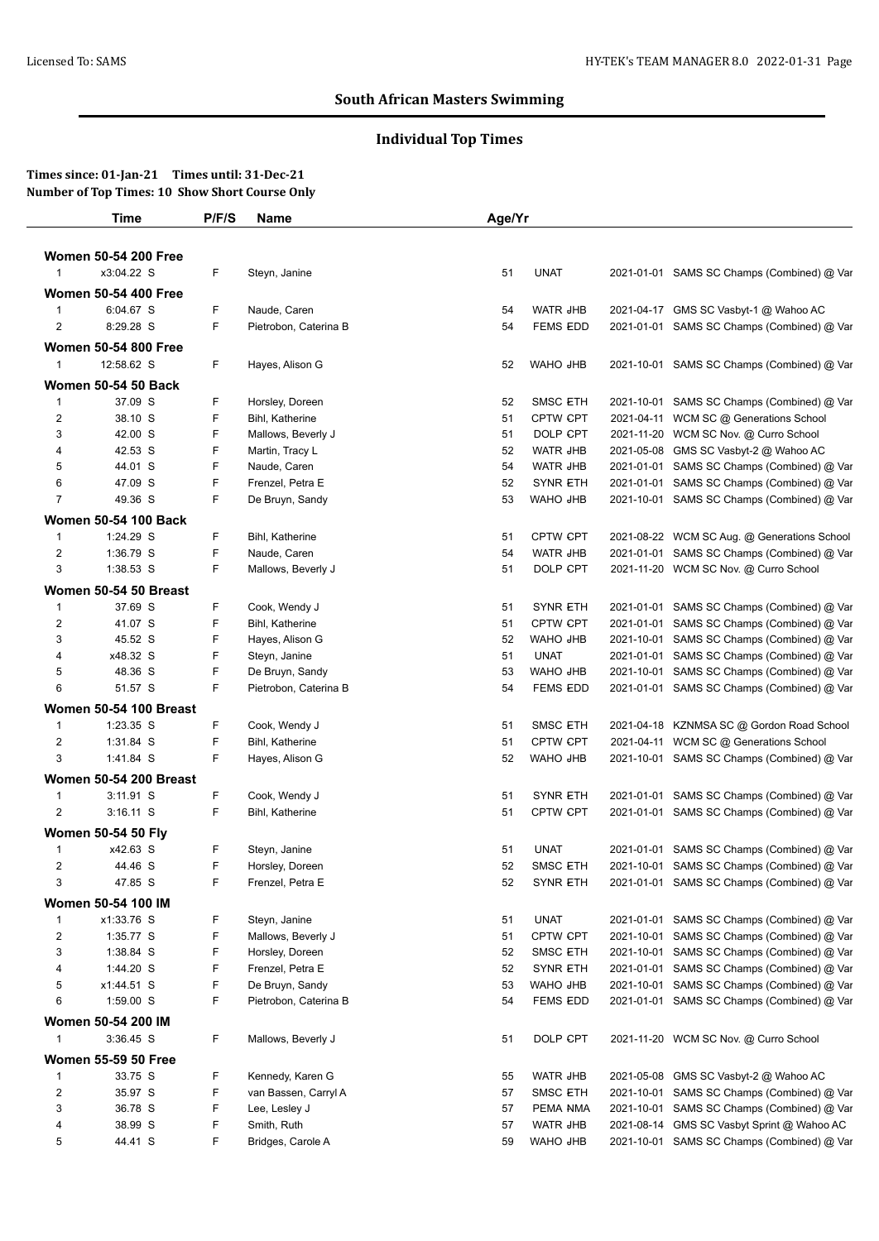# **Individual Top Times**

|                | <b>Time</b>                   | P/F/S | Name                  | Age/Yr |                 |            |                                             |
|----------------|-------------------------------|-------|-----------------------|--------|-----------------|------------|---------------------------------------------|
|                | <b>Women 50-54 200 Free</b>   |       |                       |        |                 |            |                                             |
| $\mathbf{1}$   | x3:04.22 S                    | F     |                       |        |                 |            |                                             |
|                |                               |       | Steyn, Janine         | 51     | <b>UNAT</b>     |            | 2021-01-01 SAMS SC Champs (Combined) @ Var  |
|                | <b>Women 50-54 400 Free</b>   |       |                       |        |                 |            |                                             |
| $\mathbf{1}$   | 6:04.67 S                     | F     | Naude, Caren          | 54     | WATR JHB        |            | 2021-04-17 GMS SC Vasbyt-1 @ Wahoo AC       |
| $\overline{2}$ | 8:29.28 S                     | F     | Pietrobon, Caterina B | 54     | <b>FEMS EDD</b> |            | 2021-01-01 SAMS SC Champs (Combined) @ Var  |
|                | Women 50-54 800 Free          |       |                       |        |                 |            |                                             |
| $\overline{1}$ | 12:58.62 S                    | F     | Hayes, Alison G       | 52     | WAHO JHB        |            | 2021-10-01 SAMS SC Champs (Combined) @ Var  |
|                | <b>Women 50-54 50 Back</b>    |       |                       |        |                 |            |                                             |
| $\mathbf{1}$   | 37.09 S                       | F     | Horsley, Doreen       | 52     | <b>SMSC ETH</b> |            | 2021-10-01 SAMS SC Champs (Combined) @ Var  |
| $\overline{2}$ | 38.10 S                       | F     | Bihl, Katherine       | 51     | <b>CPTW CPT</b> |            | 2021-04-11 WCM SC @ Generations School      |
| 3              | 42.00 S                       | F     | Mallows, Beverly J    | 51     | DOLP CPT        |            | 2021-11-20 WCM SC Nov. @ Curro School       |
| 4              | 42.53 S                       | F     | Martin, Tracy L       | 52     | WATR JHB        | 2021-05-08 | GMS SC Vasbyt-2 @ Wahoo AC                  |
| 5              | 44.01 S                       | F     | Naude, Caren          | 54     | WATR JHB        |            | 2021-01-01 SAMS SC Champs (Combined) @ Var  |
| 6              | 47.09 S                       | F     | Frenzel, Petra E      | 52     | <b>SYNR ETH</b> |            | 2021-01-01 SAMS SC Champs (Combined) @ Var  |
| $\overline{7}$ | 49.36 S                       | F     | De Bruyn, Sandy       | 53     | WAHO JHB        |            | 2021-10-01 SAMS SC Champs (Combined) @ Var  |
|                | Women 50-54 100 Back          |       |                       |        |                 |            |                                             |
| $\mathbf{1}$   | 1:24.29 S                     | F     | Bihl, Katherine       | 51     | <b>CPTW CPT</b> |            | 2021-08-22 WCM SC Aug. @ Generations School |
| $\overline{c}$ | 1:36.79 S                     | F     | Naude, Caren          | 54     | WATR JHB        |            | 2021-01-01 SAMS SC Champs (Combined) @ Var  |
| 3              | 1:38.53 S                     | F     | Mallows, Beverly J    | 51     | DOLP CPT        |            | 2021-11-20 WCM SC Nov. @ Curro School       |
|                | Women 50-54 50 Breast         |       |                       |        |                 |            |                                             |
| $\mathbf{1}$   | 37.69 S                       | F     | Cook, Wendy J         | 51     | <b>SYNR ETH</b> |            | 2021-01-01 SAMS SC Champs (Combined) @ Var  |
| $\overline{c}$ | 41.07 S                       | F     | Bihl, Katherine       | 51     | CPTW CPT        | 2021-01-01 | SAMS SC Champs (Combined) @ Var             |
| 3              | 45.52 S                       | F     | Hayes, Alison G       | 52     | WAHO JHB        |            | 2021-10-01 SAMS SC Champs (Combined) @ Var  |
| 4              | x48.32 S                      | F     | Steyn, Janine         | 51     | <b>UNAT</b>     |            | 2021-01-01 SAMS SC Champs (Combined) @ Var  |
| 5              | 48.36 S                       | F     | De Bruyn, Sandy       | 53     | WAHO JHB        | 2021-10-01 | SAMS SC Champs (Combined) @ Var             |
| 6              | 51.57 S                       | F     | Pietrobon, Caterina B | 54     | <b>FEMS EDD</b> |            | 2021-01-01 SAMS SC Champs (Combined) @ Var  |
|                |                               |       |                       |        |                 |            |                                             |
|                | <b>Women 50-54 100 Breast</b> |       |                       |        |                 |            |                                             |
| $\mathbf{1}$   | 1:23.35 S                     | F     | Cook, Wendy J         | 51     | <b>SMSC ETH</b> | 2021-04-18 | KZNMSA SC @ Gordon Road School              |
| $\overline{c}$ | 1:31.84 S                     | F     | Bihl, Katherine       | 51     | <b>CPTW CPT</b> |            | 2021-04-11 WCM SC @ Generations School      |
| 3              | 1:41.84 S                     | F     | Hayes, Alison G       | 52     | WAHO JHB        |            | 2021-10-01 SAMS SC Champs (Combined) @ Var  |
|                | <b>Women 50-54 200 Breast</b> |       |                       |        |                 |            |                                             |
| $\mathbf{1}$   | 3:11.91 S                     | F     | Cook, Wendy J         | 51     | <b>SYNR ETH</b> |            | 2021-01-01 SAMS SC Champs (Combined) @ Var  |
| $\overline{2}$ | $3:16.11$ S                   | F     | Bihl, Katherine       | 51     | <b>CPTW CPT</b> |            | 2021-01-01 SAMS SC Champs (Combined) @ Var  |
|                | <b>Women 50-54 50 Fly</b>     |       |                       |        |                 |            |                                             |
| $\mathbf{1}$   | x42.63 S                      | F     | Steyn, Janine         | 51     | <b>UNAT</b>     |            | 2021-01-01 SAMS SC Champs (Combined) @ Var  |
| 2              | 44.46 S                       | F     | Horsley, Doreen       | 52     | <b>SMSC ETH</b> |            | 2021-10-01 SAMS SC Champs (Combined) @ Var  |
| 3              | 47.85 S                       | F     | Frenzel, Petra E      | 52     | <b>SYNR ETH</b> |            | 2021-01-01 SAMS SC Champs (Combined) @ Var  |
|                | <b>Women 50-54 100 IM</b>     |       |                       |        |                 |            |                                             |
| $\mathbf{1}$   | x1:33.76 S                    | F     | Steyn, Janine         | 51     | <b>UNAT</b>     |            | 2021-01-01 SAMS SC Champs (Combined) @ Var  |
| $\overline{2}$ | 1:35.77 S                     | F     | Mallows, Beverly J    | 51     | CPTW CPT        | 2021-10-01 | SAMS SC Champs (Combined) @ Var             |
| 3              | 1:38.84 S                     | F     | Horsley, Doreen       | 52     | <b>SMSC ETH</b> |            | 2021-10-01 SAMS SC Champs (Combined) @ Var  |
| 4              | 1:44.20 S                     | F     | Frenzel, Petra E      | 52     | <b>SYNR ETH</b> | 2021-01-01 | SAMS SC Champs (Combined) @ Var             |
| 5              | x1:44.51 S                    | F     | De Bruyn, Sandy       | 53     | WAHO JHB        | 2021-10-01 | SAMS SC Champs (Combined) @ Var             |
| 6              | 1:59.00 S                     | F     | Pietrobon, Caterina B | 54     | <b>FEMS EDD</b> |            | 2021-01-01 SAMS SC Champs (Combined) @ Var  |
|                | Women 50-54 200 IM            |       |                       |        |                 |            |                                             |
| $\mathbf{1}$   | $3:36.45$ S                   | F     | Mallows, Beverly J    | 51     | DOLP CPT        |            | 2021-11-20 WCM SC Nov. @ Curro School       |
|                |                               |       |                       |        |                 |            |                                             |
|                | <b>Women 55-59 50 Free</b>    |       |                       |        |                 |            |                                             |
| $\mathbf{1}$   | 33.75 S                       | F     | Kennedy, Karen G      | 55     | WATR JHB        | 2021-05-08 | GMS SC Vasbyt-2 @ Wahoo AC                  |
| $\overline{2}$ | 35.97 S                       | F     | van Bassen, Carryl A  | 57     | SMSC ETH        | 2021-10-01 | SAMS SC Champs (Combined) @ Var             |
| 3              | 36.78 S                       | F     | Lee, Lesley J         | 57     | PEMA NMA        | 2021-10-01 | SAMS SC Champs (Combined) @ Var             |
| 4              | 38.99 S                       | F     | Smith, Ruth           | 57     | WATR JHB        | 2021-08-14 | GMS SC Vasbyt Sprint @ Wahoo AC             |
| 5              | 44.41 S                       | F     | Bridges, Carole A     | 59     | WAHO JHB        |            | 2021-10-01 SAMS SC Champs (Combined) @ Var  |
|                |                               |       |                       |        |                 |            |                                             |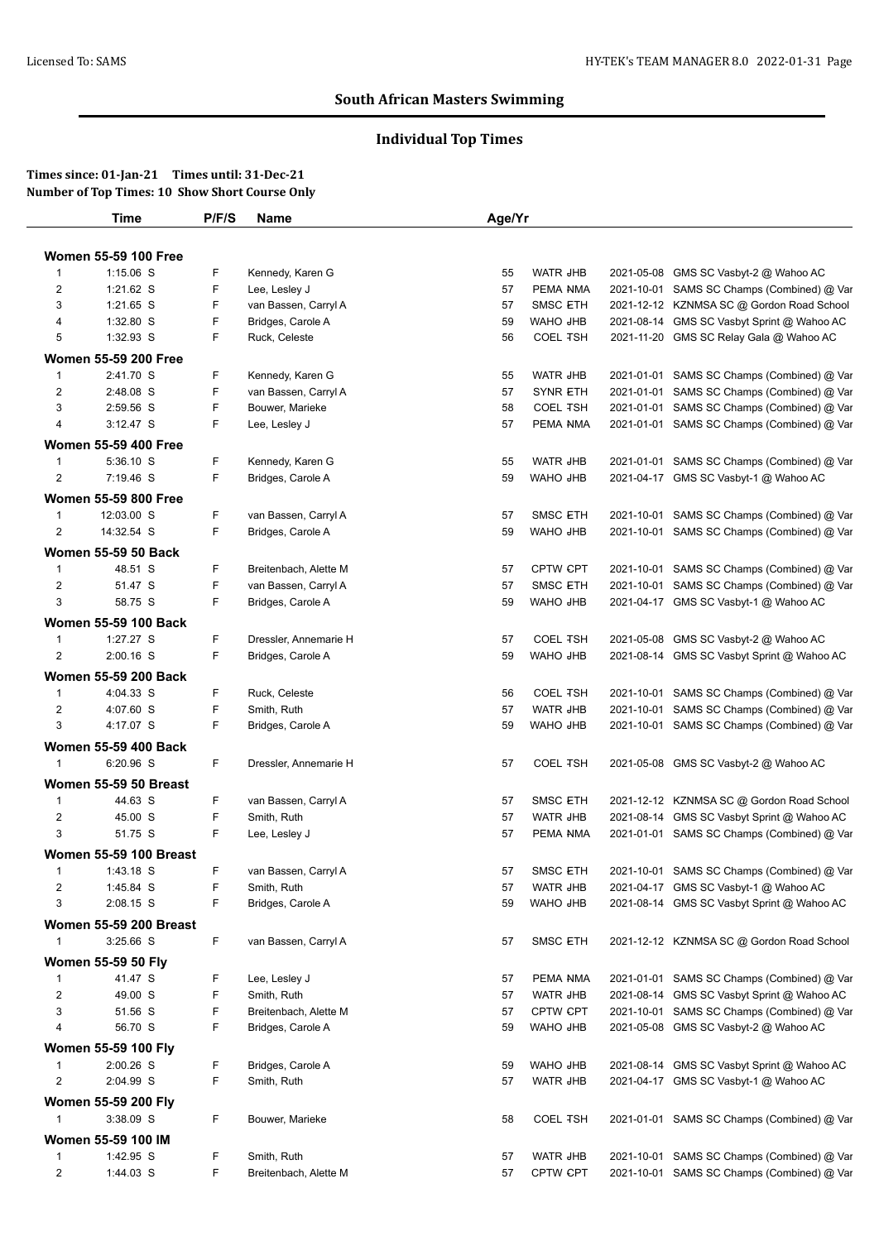# **Individual Top Times**

| Time                                        | P/F/S | Name                                          | Age/Yr   |                                    |            |                                                                                          |
|---------------------------------------------|-------|-----------------------------------------------|----------|------------------------------------|------------|------------------------------------------------------------------------------------------|
| <b>Women 55-59 100 Free</b>                 |       |                                               |          |                                    |            |                                                                                          |
| $1:15.06$ S<br>$\overline{1}$               | F     | Kennedy, Karen G                              | 55       | WATR JHB                           |            | 2021-05-08 GMS SC Vasbyt-2 @ Wahoo AC                                                    |
| $\overline{2}$<br>1:21.62 S                 | F     | Lee, Lesley J                                 | 57       | PEMA NMA                           |            | 2021-10-01 SAMS SC Champs (Combined) @ Var                                               |
| 3<br>1:21.65 S                              | F     | van Bassen, Carryl A                          | 57       | <b>SMSC ETH</b>                    |            | 2021-12-12 KZNMSA SC @ Gordon Road School                                                |
| 1:32.80 S<br>4                              | F     | Bridges, Carole A                             | 59       | WAHO JHB                           |            | 2021-08-14 GMS SC Vasbyt Sprint @ Wahoo AC                                               |
| 1:32.93 S<br>5                              | F     | Ruck, Celeste                                 | 56       | <b>COEL TSH</b>                    |            | 2021-11-20 GMS SC Relay Gala @ Wahoo AC                                                  |
|                                             |       |                                               |          |                                    |            |                                                                                          |
| <b>Women 55-59 200 Free</b>                 |       |                                               |          |                                    |            |                                                                                          |
| 2:41.70 S<br>$\overline{1}$                 | F     | Kennedy, Karen G                              | 55       | WATR JHB                           |            | 2021-01-01 SAMS SC Champs (Combined) @ Var                                               |
| $\overline{c}$<br>2:48.08 S                 | F     | van Bassen, Carryl A                          | 57       | <b>SYNR ETH</b>                    |            | 2021-01-01 SAMS SC Champs (Combined) @ Var                                               |
| 3<br>2:59.56 S                              | F     | Bouwer, Marieke                               | 58       | <b>COEL TSH</b>                    |            | 2021-01-01 SAMS SC Champs (Combined) @ Var                                               |
| 4<br>$3:12.47$ S                            | F     | Lee, Lesley J                                 | 57       | PEMA NMA                           |            | 2021-01-01 SAMS SC Champs (Combined) @ Var                                               |
| <b>Women 55-59 400 Free</b>                 |       |                                               |          |                                    |            |                                                                                          |
| 5:36.10 S<br>$\mathbf{1}$                   | F     | Kennedy, Karen G                              | 55       | WATR JHB                           |            | 2021-01-01 SAMS SC Champs (Combined) @ Var                                               |
| $\overline{c}$<br>7:19.46 S                 | F     | Bridges, Carole A                             | 59       | WAHO JHB                           |            | 2021-04-17 GMS SC Vasbyt-1 @ Wahoo AC                                                    |
| <b>Women 55-59 800 Free</b>                 |       |                                               |          |                                    |            |                                                                                          |
| 12:03.00 S<br>1                             | F     | van Bassen, Carryl A                          | 57       | <b>SMSC ETH</b>                    |            | 2021-10-01 SAMS SC Champs (Combined) @ Var                                               |
| 14:32.54 S<br>$\overline{c}$                | F     | Bridges, Carole A                             | 59       | WAHO JHB                           |            | 2021-10-01 SAMS SC Champs (Combined) @ Var                                               |
| <b>Women 55-59 50 Back</b>                  |       |                                               |          |                                    |            |                                                                                          |
| 48.51 S                                     | F     |                                               |          |                                    |            |                                                                                          |
| $\overline{1}$<br>$\overline{2}$<br>51.47 S | F     | Breitenbach, Alette M<br>van Bassen, Carryl A | 57       | <b>CPTW CPT</b><br><b>SMSC ETH</b> |            | 2021-10-01 SAMS SC Champs (Combined) @ Var<br>2021-10-01 SAMS SC Champs (Combined) @ Var |
| 58.75 S                                     | F     |                                               | 57<br>59 | WAHO JHB                           |            |                                                                                          |
| 3                                           |       | Bridges, Carole A                             |          |                                    |            | 2021-04-17 GMS SC Vasbyt-1 @ Wahoo AC                                                    |
| <b>Women 55-59 100 Back</b>                 |       |                                               |          |                                    |            |                                                                                          |
| 1:27.27 S<br>$\mathbf{1}$                   | F     | Dressler, Annemarie H                         | 57       | <b>COEL TSH</b>                    | 2021-05-08 | GMS SC Vasbyt-2 @ Wahoo AC                                                               |
| 2<br>2:00.16 S                              | F     | Bridges, Carole A                             | 59       | WAHO JHB                           |            | 2021-08-14 GMS SC Vasbyt Sprint @ Wahoo AC                                               |
| <b>Women 55-59 200 Back</b>                 |       |                                               |          |                                    |            |                                                                                          |
| 4:04.33 S<br>$\mathbf{1}$                   | F     | Ruck, Celeste                                 | 56       | <b>COEL TSH</b>                    |            | 2021-10-01 SAMS SC Champs (Combined) @ Var                                               |
| $\overline{\mathbf{c}}$<br>4:07.60 S        | F     | Smith, Ruth                                   | 57       | WATR JHB                           |            | 2021-10-01 SAMS SC Champs (Combined) @ Var                                               |
| 3<br>4:17.07 S                              | F     | Bridges, Carole A                             | 59       | WAHO JHB                           |            | 2021-10-01 SAMS SC Champs (Combined) @ Var                                               |
| <b>Women 55-59 400 Back</b>                 |       |                                               |          |                                    |            |                                                                                          |
| 6:20.96 S<br>$\mathbf{1}$                   | F     | Dressler, Annemarie H                         | 57       | <b>COEL TSH</b>                    |            | 2021-05-08 GMS SC Vasbyt-2 @ Wahoo AC                                                    |
| Women 55-59 50 Breast                       |       |                                               |          |                                    |            |                                                                                          |
| 44.63 S                                     | F     |                                               |          |                                    |            |                                                                                          |
| $\mathbf{1}$                                | F     | van Bassen, Carryl A                          | 57       | <b>SMSC ETH</b>                    |            | 2021-12-12 KZNMSA SC @ Gordon Road School<br>2021-08-14 GMS SC Vasbyt Sprint @ Wahoo AC  |
| $\overline{2}$<br>45.00 S                   |       | Smith, Ruth                                   | 57       | WATR JHB                           |            |                                                                                          |
| 3<br>51.75 S                                | F     | Lee, Lesley J                                 | 57       | PEMA NMA                           |            | 2021-01-01 SAMS SC Champs (Combined) @ Var                                               |
| <b>Women 55-59 100 Breast</b>               |       |                                               |          |                                    |            |                                                                                          |
| 1:43.18 S<br>$\mathbf{1}$                   | F     | van Bassen, Carryl A                          | 57       | <b>SMSC ETH</b>                    |            | 2021-10-01 SAMS SC Champs (Combined) @ Var                                               |
| $\overline{2}$<br>1:45.84 S                 | F     | Smith, Ruth                                   | 57       | WATR JHB                           |            | 2021-04-17 GMS SC Vasbyt-1 @ Wahoo AC                                                    |
| 3<br>2:08.15 S                              | F     | Bridges, Carole A                             | 59       | WAHO JHB                           |            | 2021-08-14 GMS SC Vasbyt Sprint @ Wahoo AC                                               |
| <b>Women 55-59 200 Breast</b>               |       |                                               |          |                                    |            |                                                                                          |
| 3:25.66 S                                   | F.    | van Bassen, Carryl A                          | 57       | SMSC ETH                           |            | 2021-12-12 KZNMSA SC @ Gordon Road School                                                |
| Women 55-59 50 Fly                          |       |                                               |          |                                    |            |                                                                                          |
| 41.47 S<br>$\mathbf{1}$                     | F     | Lee, Lesley J                                 | 57       | PEMA NMA                           |            | 2021-01-01 SAMS SC Champs (Combined) @ Var                                               |
| 49.00 S<br>2                                | F     | Smith, Ruth                                   | 57       | WATR JHB                           |            | 2021-08-14 GMS SC Vasbyt Sprint @ Wahoo AC                                               |
| 51.56 S<br>3                                | F     | Breitenbach, Alette M                         | 57       | CPTW CPT                           |            | 2021-10-01 SAMS SC Champs (Combined) @ Var                                               |
| 56.70 S<br>4                                | F     | Bridges, Carole A                             | 59       | WAHO JHB                           |            | 2021-05-08 GMS SC Vasbyt-2 @ Wahoo AC                                                    |
|                                             |       |                                               |          |                                    |            |                                                                                          |
| <b>Women 55-59 100 Fly</b>                  |       |                                               |          |                                    |            |                                                                                          |
| 2:00.26 S<br>$\mathbf{1}$                   | F     | Bridges, Carole A                             | 59       | WAHO JHB                           |            | 2021-08-14 GMS SC Vasbyt Sprint @ Wahoo AC                                               |
| 2<br>2:04.99 S                              | F     | Smith, Ruth                                   | 57       | WATR JHB                           |            | 2021-04-17 GMS SC Vasbyt-1 @ Wahoo AC                                                    |
| Women 55-59 200 Fly                         |       |                                               |          |                                    |            |                                                                                          |
| 3:38.09 S<br>1                              | F.    | Bouwer, Marieke                               | 58       | <b>COEL TSH</b>                    |            | 2021-01-01 SAMS SC Champs (Combined) @ Var                                               |
| Women 55-59 100 IM                          |       |                                               |          |                                    |            |                                                                                          |
| 1:42.95 S<br>$\mathbf{1}$                   | F     | Smith, Ruth                                   | 57       | WATR JHB                           |            | 2021-10-01 SAMS SC Champs (Combined) @ Var                                               |
|                                             |       |                                               | 57       |                                    |            | 2021-10-01 SAMS SC Champs (Combined) @ Var                                               |
| $\overline{2}$<br>1:44.03 S                 | F     | Breitenbach, Alette M                         |          | CPTW CPT                           |            |                                                                                          |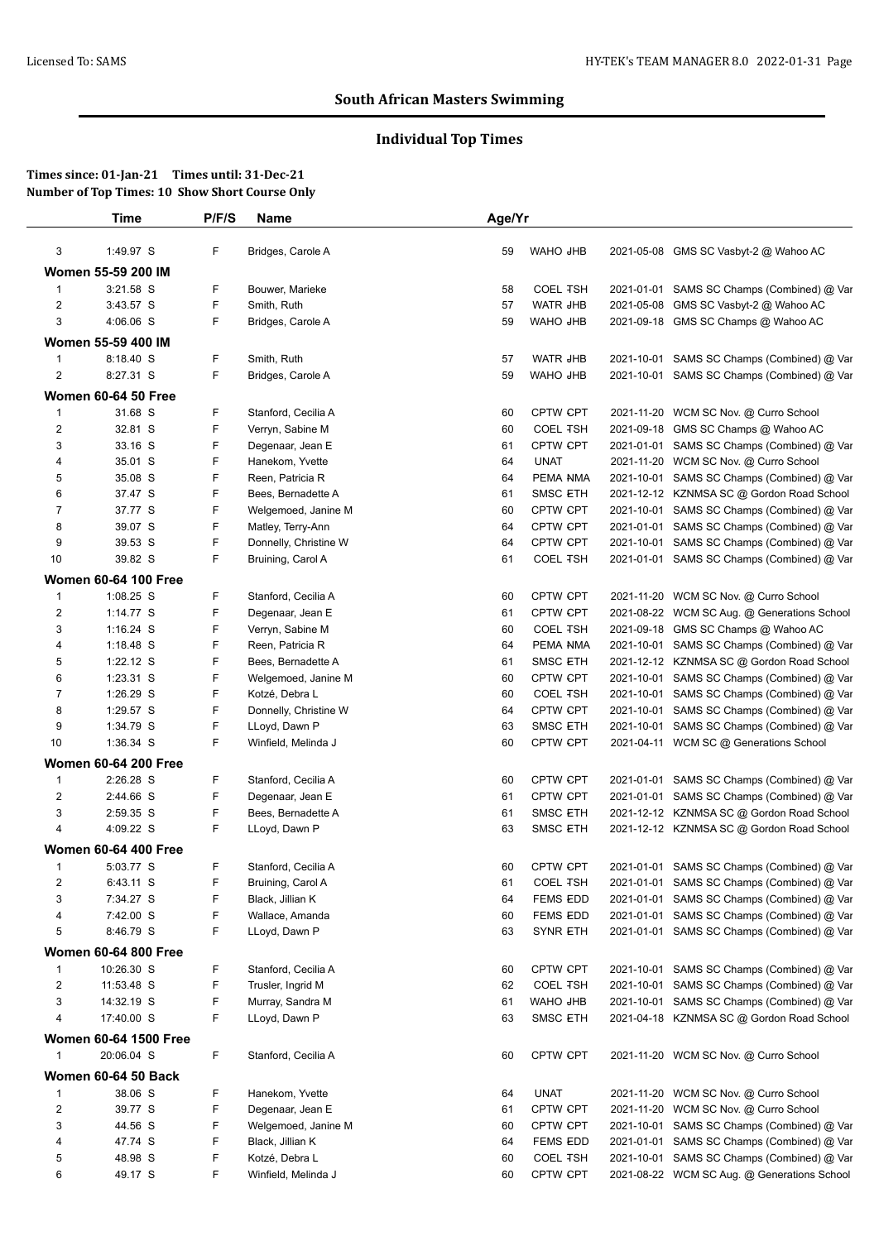# **Individual Top Times**

|                         | Time                         | P/F/S | Name                  | Age/Yr |                 |            |                                             |
|-------------------------|------------------------------|-------|-----------------------|--------|-----------------|------------|---------------------------------------------|
| 3                       | 1:49.97 S                    | F     | Bridges, Carole A     | 59     | WAHO JHB        |            | 2021-05-08 GMS SC Vasbyt-2 @ Wahoo AC       |
|                         | Women 55-59 200 IM           |       |                       |        |                 |            |                                             |
| $\mathbf{1}$            | 3:21.58 S                    | F     | Bouwer, Marieke       | 58     | <b>COEL TSH</b> | 2021-01-01 | SAMS SC Champs (Combined) @ Var             |
| $\overline{2}$          | 3:43.57 S                    | F     | Smith, Ruth           | 57     | <b>WATR JHB</b> | 2021-05-08 | GMS SC Vasbyt-2 @ Wahoo AC                  |
| 3                       | 4:06.06 S                    | F     | Bridges, Carole A     | 59     | <b>WAHO JHB</b> |            | 2021-09-18 GMS SC Champs @ Wahoo AC         |
|                         | Women 55-59 400 IM           |       |                       |        |                 |            |                                             |
| $\mathbf{1}$            | 8:18.40 S                    | F     | Smith, Ruth           | 57     | WATR JHB        | 2021-10-01 | SAMS SC Champs (Combined) @ Var             |
| 2                       | 8:27.31 S                    | F     | Bridges, Carole A     | 59     | WAHO JHB        |            | 2021-10-01 SAMS SC Champs (Combined) @ Var  |
|                         | <b>Women 60-64 50 Free</b>   |       |                       |        |                 |            |                                             |
| $\mathbf{1}$            | 31.68 S                      | F     | Stanford, Cecilia A   | 60     | CPTW CPT        |            | 2021-11-20 WCM SC Nov. @ Curro School       |
| 2                       | 32.81 S                      | F     | Verryn, Sabine M      | 60     | <b>COEL TSH</b> | 2021-09-18 | GMS SC Champs @ Wahoo AC                    |
| 3                       | 33.16 S                      | F     | Degenaar, Jean E      | 61     | <b>CPTW CPT</b> |            | 2021-01-01 SAMS SC Champs (Combined) @ Var  |
| 4                       | 35.01 S                      | F     | Hanekom, Yvette       | 64     | <b>UNAT</b>     |            | 2021-11-20 WCM SC Nov. @ Curro School       |
| 5                       | 35.08 S                      | F     | Reen, Patricia R      | 64     | PEMA NMA        |            | 2021-10-01 SAMS SC Champs (Combined) @ Var  |
| 6                       | 37.47 S                      | F     | Bees, Bernadette A    | 61     | <b>SMSC ETH</b> |            | 2021-12-12 KZNMSA SC @ Gordon Road School   |
| 7                       | 37.77 S                      | F     | Welgemoed, Janine M   | 60     | CPTW CPT        |            | 2021-10-01 SAMS SC Champs (Combined) @ Var  |
| 8                       | 39.07 S                      | F     | Matley, Terry-Ann     | 64     | <b>CPTW CPT</b> | 2021-01-01 | SAMS SC Champs (Combined) @ Var             |
| 9                       | 39.53 S                      | F     | Donnelly, Christine W | 64     | CPTW CPT        | 2021-10-01 | SAMS SC Champs (Combined) @ Var             |
| 10                      | 39.82 S                      | F     | Bruining, Carol A     | 61     | <b>COEL TSH</b> |            | 2021-01-01 SAMS SC Champs (Combined) @ Var  |
|                         | <b>Women 60-64 100 Free</b>  |       |                       |        |                 |            |                                             |
| $\mathbf{1}$            | 1:08.25 S                    | F     | Stanford, Cecilia A   | 60     | CPTW CPT        |            | 2021-11-20 WCM SC Nov. @ Curro School       |
| $\overline{\mathbf{c}}$ | $1:14.77$ S                  | F     | Degenaar, Jean E      | 61     | CPTW CPT        | 2021-08-22 | WCM SC Aug. @ Generations School            |
| 3                       | $1:16.24$ S                  | F     | Verryn, Sabine M      | 60     | <b>COEL TSH</b> | 2021-09-18 | GMS SC Champs @ Wahoo AC                    |
| 4                       | $1:18.48$ S                  | F     | Reen, Patricia R      | 64     | PEMA NMA        |            | 2021-10-01 SAMS SC Champs (Combined) @ Var  |
| 5                       | $1:22.12$ S                  | F     | Bees, Bernadette A    | 61     | <b>SMSC ETH</b> |            | 2021-12-12 KZNMSA SC @ Gordon Road School   |
| 6                       | $1:23.31$ S                  | F     | Welgemoed, Janine M   | 60     | <b>CPTW CPT</b> |            | 2021-10-01 SAMS SC Champs (Combined) @ Var  |
| 7                       | 1:26.29 S                    | F     | Kotzé, Debra L        | 60     | <b>COEL TSH</b> |            | 2021-10-01 SAMS SC Champs (Combined) @ Var  |
| 8                       | 1:29.57 S                    | F     | Donnelly, Christine W | 64     | CPTW CPT        | 2021-10-01 | SAMS SC Champs (Combined) @ Var             |
| 9                       | 1:34.79 S                    | F     | LLoyd, Dawn P         | 63     | <b>SMSC ETH</b> | 2021-10-01 | SAMS SC Champs (Combined) @ Var             |
| 10                      | 1:36.34 S                    | F     | Winfield, Melinda J   | 60     | <b>CPTW CPT</b> |            | 2021-04-11 WCM SC @ Generations School      |
|                         | <b>Women 60-64 200 Free</b>  |       |                       |        |                 |            |                                             |
| $\mathbf{1}$            | 2:26.28 S                    | F     | Stanford, Cecilia A   | 60     | <b>CPTW CPT</b> |            | 2021-01-01 SAMS SC Champs (Combined) @ Var  |
| $\overline{c}$          | 2:44.66 S                    | F     | Degenaar, Jean E      | 61     | CPTW CPT        |            | 2021-01-01 SAMS SC Champs (Combined) @ Var  |
| 3                       | 2:59.35 S                    | F     | Bees, Bernadette A    | 61     | SMSC ETH        |            | 2021-12-12 KZNMSA SC @ Gordon Road School   |
| 4                       | 4:09.22 S                    | F     | LLoyd, Dawn P         | 63     | SMSC ETH        |            | 2021-12-12 KZNMSA SC @ Gordon Road School   |
|                         | <b>Women 60-64 400 Free</b>  |       |                       |        |                 |            |                                             |
| $\mathbf{1}$            | 5:03.77 S                    | F     | Stanford, Cecilia A   | 60     | <b>CPTW CPT</b> |            | 2021-01-01 SAMS SC Champs (Combined) @ Var  |
| 2                       | 6:43.11 S                    | F     | Bruining, Carol A     | 61     | <b>COEL TSH</b> |            | 2021-01-01 SAMS SC Champs (Combined) @ Var  |
| 3                       | 7:34.27 S                    | F     | Black, Jillian K      | 64     | <b>FEMS EDD</b> | 2021-01-01 | SAMS SC Champs (Combined) @ Var             |
| 4                       | 7:42.00 S                    | F     | Wallace, Amanda       | 60     | <b>FEMS EDD</b> |            | 2021-01-01 SAMS SC Champs (Combined) @ Var  |
| 5                       | 8:46.79 S                    | F     | LLoyd, Dawn P         | 63     | <b>SYNR ETH</b> |            | 2021-01-01 SAMS SC Champs (Combined) @ Var  |
|                         | <b>Women 60-64 800 Free</b>  |       |                       |        |                 |            |                                             |
| $\mathbf{1}$            | 10:26.30 S                   | F.    | Stanford, Cecilia A   | 60     | <b>CPTW CPT</b> |            | 2021-10-01 SAMS SC Champs (Combined) @ Var  |
| 2                       | 11:53.48 S                   | F     | Trusler, Ingrid M     | 62     | <b>COEL TSH</b> | 2021-10-01 | SAMS SC Champs (Combined) @ Var             |
| 3                       | 14:32.19 S                   | F     | Murray, Sandra M      | 61     | WAHO JHB        |            | 2021-10-01 SAMS SC Champs (Combined) @ Var  |
| 4                       | 17:40.00 S                   | F     | LLoyd, Dawn P         | 63     | SMSC ETH        |            | 2021-04-18 KZNMSA SC @ Gordon Road School   |
|                         | <b>Women 60-64 1500 Free</b> |       |                       |        |                 |            |                                             |
| 1                       | 20:06.04 S                   | F     | Stanford, Cecilia A   | 60     | CPTW CPT        |            | 2021-11-20 WCM SC Nov. @ Curro School       |
|                         | <b>Women 60-64 50 Back</b>   |       |                       |        |                 |            |                                             |
| $\mathbf{1}$            | 38.06 S                      | F     | Hanekom, Yvette       | 64     | <b>UNAT</b>     |            | 2021-11-20 WCM SC Nov. @ Curro School       |
| 2                       | 39.77 S                      | F     | Degenaar, Jean E      | 61     | <b>CPTW CPT</b> |            | 2021-11-20 WCM SC Nov. @ Curro School       |
| 3                       | 44.56 S                      | F     | Welgemoed, Janine M   | 60     | <b>CPTW CPT</b> |            | 2021-10-01 SAMS SC Champs (Combined) @ Var  |
| 4                       | 47.74 S                      | F     | Black, Jillian K      | 64     | <b>FEMS EDD</b> |            | 2021-01-01 SAMS SC Champs (Combined) @ Var  |
| 5                       | 48.98 S                      | F     | Kotzé, Debra L        | 60     | <b>COEL TSH</b> |            | 2021-10-01 SAMS SC Champs (Combined) @ Var  |
| 6                       | 49.17 S                      | F     | Winfield, Melinda J   | 60     | CPTW CPT        |            | 2021-08-22 WCM SC Aug. @ Generations School |
|                         |                              |       |                       |        |                 |            |                                             |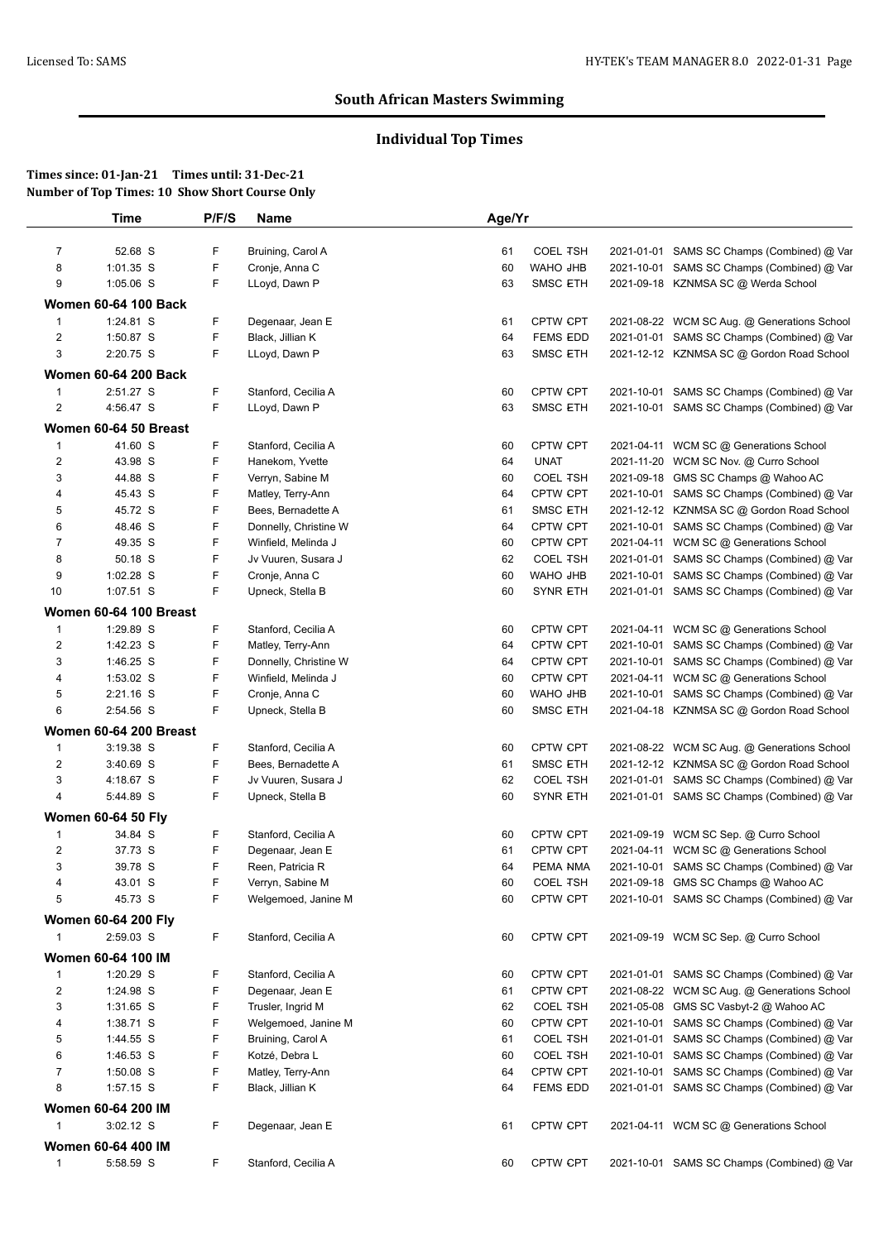# **Individual Top Times**

|                | <b>Time</b>                 | P/F/S  | Name                                     | Age/Yr   |                             |            |                                                                                          |
|----------------|-----------------------------|--------|------------------------------------------|----------|-----------------------------|------------|------------------------------------------------------------------------------------------|
| $\overline{7}$ | 52.68 S                     | F      | Bruining, Carol A                        | 61       | <b>COEL TSH</b>             |            | 2021-01-01 SAMS SC Champs (Combined) @ Var                                               |
| 8              | 1:01.35 S                   | F      | Cronje, Anna C                           | 60       | WAHO JHB                    |            | 2021-10-01 SAMS SC Champs (Combined) @ Var                                               |
| 9              | 1:05.06 S                   | F      | LLoyd, Dawn P                            | 63       | <b>SMSC ETH</b>             |            | 2021-09-18 KZNMSA SC @ Werda School                                                      |
|                | <b>Women 60-64 100 Back</b> |        |                                          |          |                             |            |                                                                                          |
| 1              | 1:24.81 S                   | F      | Degenaar, Jean E                         | 61       | CPTW CPT                    |            | 2021-08-22 WCM SC Aug. @ Generations School                                              |
| $\overline{2}$ | 1:50.87 S                   | F      | Black, Jillian K                         | 64       | <b>FEMS EDD</b>             |            | 2021-01-01 SAMS SC Champs (Combined) @ Var                                               |
| 3              | 2:20.75 S                   | F      | LLoyd, Dawn P                            | 63       | <b>SMSC ETH</b>             |            | 2021-12-12 KZNMSA SC @ Gordon Road School                                                |
|                | <b>Women 60-64 200 Back</b> |        |                                          |          |                             |            |                                                                                          |
| 1              | 2:51.27 S                   | F.     | Stanford, Cecilia A                      | 60       | CPTW CPT                    |            | 2021-10-01 SAMS SC Champs (Combined) @ Var                                               |
| $\overline{c}$ | 4:56.47 S                   | F      | LLoyd, Dawn P                            | 63       | <b>SMSC ETH</b>             |            | 2021-10-01 SAMS SC Champs (Combined) @ Var                                               |
|                |                             |        |                                          |          |                             |            |                                                                                          |
|                | Women 60-64 50 Breast       |        |                                          |          |                             |            |                                                                                          |
| 1<br>2         | 41.60 S<br>43.98 S          | F<br>F | Stanford, Cecilia A                      | 60       | CPTW CPT<br><b>UNAT</b>     |            | 2021-04-11 WCM SC @ Generations School<br>2021-11-20 WCM SC Nov. @ Curro School          |
| 3              | 44.88 S                     | F      | Hanekom, Yvette<br>Verryn, Sabine M      | 64<br>60 | <b>COEL TSH</b>             |            | 2021-09-18 GMS SC Champs @ Wahoo AC                                                      |
| 4              | 45.43 S                     | F      | Matley, Terry-Ann                        | 64       | CPTW CPT                    |            | 2021-10-01 SAMS SC Champs (Combined) @ Var                                               |
| 5              | 45.72 S                     | F.     | Bees, Bernadette A                       | 61       | SMSC ETH                    |            | 2021-12-12 KZNMSA SC @ Gordon Road School                                                |
| 6              | 48.46 S                     | F.     | Donnelly, Christine W                    | 64       | CPTW CPT                    |            | 2021-10-01 SAMS SC Champs (Combined) @ Var                                               |
| 7              | 49.35 S                     | F      | Winfield, Melinda J                      | 60       | CPTW CPT                    |            | 2021-04-11 WCM SC @ Generations School                                                   |
| 8              | 50.18 S                     | F      | Jv Vuuren, Susara J                      | 62       | <b>COEL TSH</b>             | 2021-01-01 | SAMS SC Champs (Combined) @ Var                                                          |
| 9              | 1:02.28 S                   | F      | Cronje, Anna C                           | 60       | <b>WAHO JHB</b>             | 2021-10-01 | SAMS SC Champs (Combined) @ Var                                                          |
| 10             | 1:07.51 S                   | F      | Upneck, Stella B                         | 60       | <b>SYNR ETH</b>             |            | 2021-01-01 SAMS SC Champs (Combined) @ Var                                               |
|                | Women 60-64 100 Breast      |        |                                          |          |                             |            |                                                                                          |
| 1              | 1:29.89 S                   | F.     | Stanford, Cecilia A                      | 60       | <b>CPTW CPT</b>             |            | 2021-04-11 WCM SC @ Generations School                                                   |
| 2              | 1:42.23 S                   | F      | Matley, Terry-Ann                        | 64       | <b>CPTW CPT</b>             |            | 2021-10-01 SAMS SC Champs (Combined) @ Var                                               |
| 3              | 1:46.25 S                   | F      | Donnelly, Christine W                    | 64       | CPTW CPT                    | 2021-10-01 | SAMS SC Champs (Combined) @ Var                                                          |
| 4              | 1:53.02 S                   | F      | Winfield, Melinda J                      | 60       | CPTW CPT                    |            | 2021-04-11 WCM SC @ Generations School                                                   |
| 5              | $2:21.16$ S                 | F      | Cronje, Anna C                           | 60       | WAHO JHB                    | 2021-10-01 | SAMS SC Champs (Combined) @ Var                                                          |
| 6              | 2:54.56 S                   | F.     | Upneck, Stella B                         | 60       | <b>SMSC ETH</b>             |            | 2021-04-18 KZNMSA SC @ Gordon Road School                                                |
|                | Women 60-64 200 Breast      |        |                                          |          |                             |            |                                                                                          |
| 1              | $3:19.38$ S                 | F.     | Stanford, Cecilia A                      | 60       | CPTW CPT                    |            | 2021-08-22 WCM SC Aug. @ Generations School                                              |
| $\overline{2}$ | 3:40.69 S                   | F      | Bees, Bernadette A                       | 61       | <b>SMSC ETH</b>             |            | 2021-12-12 KZNMSA SC @ Gordon Road School                                                |
| 3              | 4:18.67 S                   | F      | Jv Vuuren, Susara J                      | 62       | <b>COEL TSH</b>             |            | 2021-01-01 SAMS SC Champs (Combined) @ Var                                               |
| $\overline{4}$ | 5:44.89 S                   | F      | Upneck, Stella B                         | 60       | <b>SYNR ETH</b>             |            | 2021-01-01 SAMS SC Champs (Combined) @ Var                                               |
|                | <b>Women 60-64 50 Fly</b>   |        |                                          |          |                             |            |                                                                                          |
| 1              | 34.84 S                     | F.     | Stanford, Cecilia A                      | 60       | <b>CPTW CPT</b>             |            | 2021-09-19 WCM SC Sep. @ Curro School                                                    |
| $\overline{c}$ | 37.73 S                     | F      | Degenaar, Jean E                         | 61       | <b>CPTW CPT</b>             |            | 2021-04-11 WCM SC @ Generations School                                                   |
| 3              | 39.78 S                     | F      | Reen, Patricia R                         | 64       | PEMA NMA                    |            | 2021-10-01 SAMS SC Champs (Combined) @ Var                                               |
| 4              | 43.01 S                     | F.     | Verryn, Sabine M                         | 60       | <b>COEL TSH</b>             |            | 2021-09-18 GMS SC Champs @ Wahoo AC                                                      |
| 5              | 45.73 S                     | F      | Welgemoed, Janine M                      | 60       | CPTW CPT                    |            | 2021-10-01 SAMS SC Champs (Combined) @ Var                                               |
|                | <b>Women 60-64 200 Fly</b>  |        |                                          |          |                             |            |                                                                                          |
| $\mathbf{1}$   | 2:59.03 S                   | F      | Stanford, Cecilia A                      | 60       | CPTW CPT                    |            | 2021-09-19 WCM SC Sep. @ Curro School                                                    |
|                |                             |        |                                          |          |                             |            |                                                                                          |
|                | Women 60-64 100 IM          |        |                                          |          |                             |            |                                                                                          |
| $\mathbf{1}$   | 1:20.29 S                   | F.     | Stanford, Cecilia A                      | 60       | <b>CPTW CPT</b>             |            | 2021-01-01 SAMS SC Champs (Combined) @ Var                                               |
| $\overline{c}$ | 1:24.98 S                   | F      | Degenaar, Jean E                         | 61       | CPTW CPT                    |            | 2021-08-22 WCM SC Aug. @ Generations School                                              |
| 3              | 1:31.65 S                   | F<br>F | Trusler, Ingrid M                        | 62       | <b>COEL TSH</b><br>CPTW CPT |            | 2021-05-08 GMS SC Vasbyt-2 @ Wahoo AC                                                    |
| 4<br>5         | 1:38.71 S<br>1:44.55 S      | F      | Welgemoed, Janine M<br>Bruining, Carol A | 60       | <b>COEL TSH</b>             |            | 2021-10-01 SAMS SC Champs (Combined) @ Var<br>2021-01-01 SAMS SC Champs (Combined) @ Var |
| 6              | 1:46.53 S                   | F      | Kotzé, Debra L                           | 61<br>60 | <b>COEL TSH</b>             | 2021-10-01 | SAMS SC Champs (Combined) @ Var                                                          |
| $\overline{7}$ | 1:50.08 S                   | F      | Matley, Terry-Ann                        | 64       | CPTW CPT                    |            | 2021-10-01 SAMS SC Champs (Combined) @ Var                                               |
| 8              | 1:57.15 S                   | F      | Black, Jillian K                         | 64       | <b>FEMS EDD</b>             |            | 2021-01-01 SAMS SC Champs (Combined) @ Var                                               |
|                |                             |        |                                          |          |                             |            |                                                                                          |
|                | Women 60-64 200 IM          |        |                                          |          |                             |            |                                                                                          |
| 1              | $3:02.12$ S                 | F.     | Degenaar, Jean E                         | 61       | CPTW CPT                    |            | 2021-04-11 WCM SC @ Generations School                                                   |
|                | Women 60-64 400 IM          |        |                                          |          |                             |            |                                                                                          |
| $\mathbf{1}$   | 5:58.59 S                   | F.     | Stanford, Cecilia A                      | 60       | <b>CPTW CPT</b>             |            | 2021-10-01 SAMS SC Champs (Combined) @ Var                                               |
|                |                             |        |                                          |          |                             |            |                                                                                          |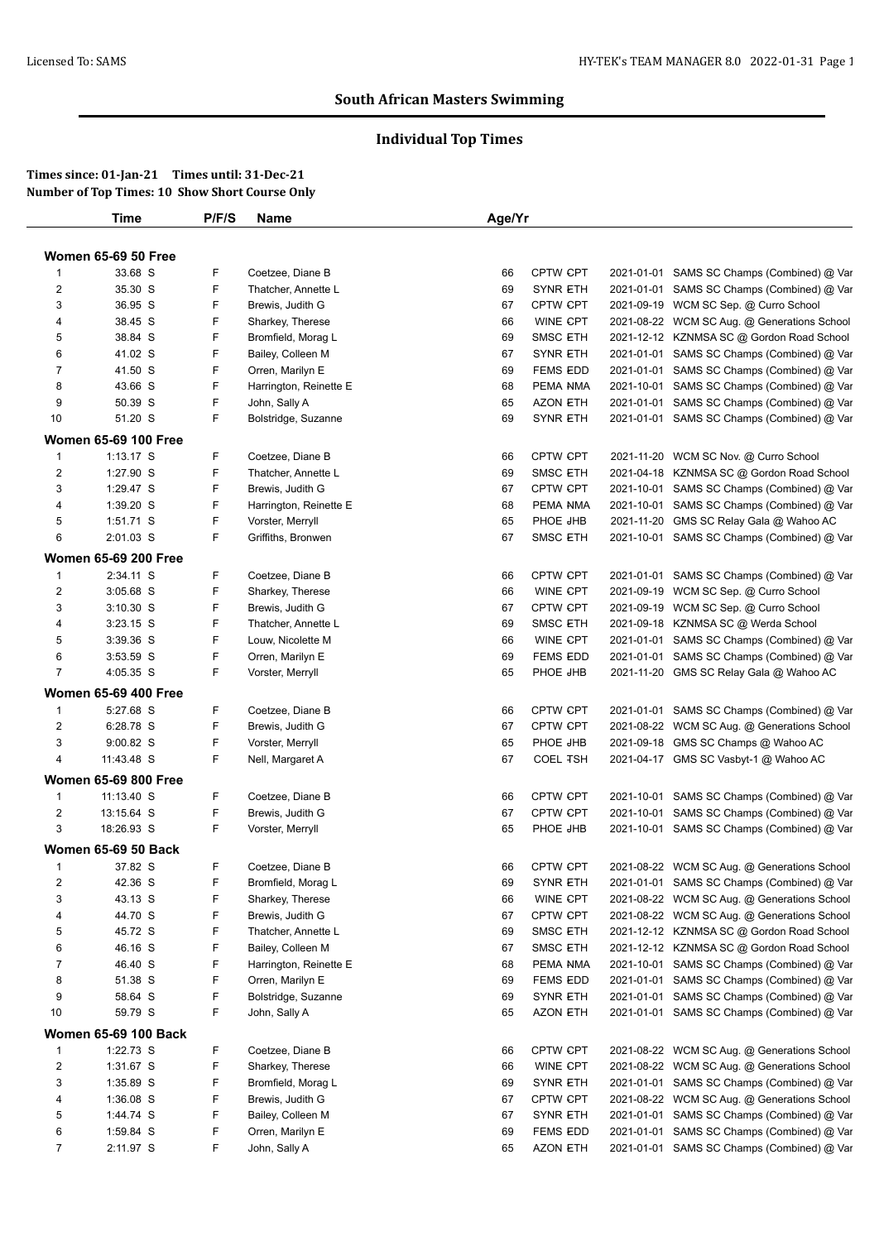# **Individual Top Times**

|                         | <b>Time</b>                 | P/F/S | <b>Name</b>            | Age/Yr |                 |            |                                             |
|-------------------------|-----------------------------|-------|------------------------|--------|-----------------|------------|---------------------------------------------|
|                         |                             |       |                        |        |                 |            |                                             |
|                         | <b>Women 65-69 50 Free</b>  |       |                        |        |                 |            |                                             |
| 1                       | 33.68 S                     | F     | Coetzee, Diane B       | 66     | <b>CPTW CPT</b> | 2021-01-01 | SAMS SC Champs (Combined) @ Var             |
| $\overline{c}$          | 35.30 S                     | F     | Thatcher, Annette L    | 69     | <b>SYNR ETH</b> |            | 2021-01-01 SAMS SC Champs (Combined) @ Var  |
| 3                       | 36.95 S                     | F     | Brewis, Judith G       | 67     | <b>CPTW CPT</b> | 2021-09-19 | WCM SC Sep. @ Curro School                  |
| 4                       | 38.45 S                     | F     | Sharkey, Therese       | 66     | <b>WINE CPT</b> |            | 2021-08-22 WCM SC Aug. @ Generations School |
| 5                       | 38.84 S                     | F     | Bromfield, Morag L     | 69     | <b>SMSC ETH</b> |            | 2021-12-12 KZNMSA SC @ Gordon Road School   |
| 6                       | 41.02 S                     | F     | Bailey, Colleen M      | 67     | <b>SYNR ETH</b> | 2021-01-01 | SAMS SC Champs (Combined) @ Var             |
| 7                       | 41.50 S                     | F     | Orren, Marilyn E       | 69     | <b>FEMS EDD</b> | 2021-01-01 | SAMS SC Champs (Combined) @ Var             |
| 8                       | 43.66 S                     | F     | Harrington, Reinette E | 68     | PEMA NMA        | 2021-10-01 | SAMS SC Champs (Combined) @ Var             |
| 9                       | 50.39 S                     | F     | John, Sally A          | 65     | <b>AZON ETH</b> | 2021-01-01 | SAMS SC Champs (Combined) @ Var             |
| 10                      | 51.20 S                     | F     | Bolstridge, Suzanne    | 69     | <b>SYNR ETH</b> |            | 2021-01-01 SAMS SC Champs (Combined) @ Var  |
|                         | <b>Women 65-69 100 Free</b> |       |                        |        |                 |            |                                             |
| $\mathbf{1}$            | $1:13.17$ S                 | F     | Coetzee, Diane B       | 66     | CPTW CPT        | 2021-11-20 | WCM SC Nov. @ Curro School                  |
| $\overline{2}$          | 1:27.90 S                   | F     | Thatcher, Annette L    | 69     | <b>SMSC ETH</b> | 2021-04-18 | KZNMSA SC @ Gordon Road School              |
| 3                       | 1:29.47 S                   | F     | Brewis, Judith G       | 67     | <b>CPTW CPT</b> | 2021-10-01 | SAMS SC Champs (Combined) @ Var             |
| 4                       | 1:39.20 S                   | F     | Harrington, Reinette E | 68     | PEMA NMA        | 2021-10-01 | SAMS SC Champs (Combined) @ Var             |
| 5                       | 1:51.71 S                   | F     | Vorster, Merryll       | 65     | PHOE JHB        | 2021-11-20 | GMS SC Relay Gala @ Wahoo AC                |
| 6                       | 2:01.03 S                   | F     | Griffiths, Bronwen     | 67     | <b>SMSC ETH</b> |            | 2021-10-01 SAMS SC Champs (Combined) @ Var  |
|                         | <b>Women 65-69 200 Free</b> |       |                        |        |                 |            |                                             |
| 1                       | 2:34.11 S                   | F     | Coetzee, Diane B       | 66     | <b>CPTW CPT</b> |            | 2021-01-01 SAMS SC Champs (Combined) @ Var  |
| $\overline{2}$          | 3:05.68 S                   | F     | Sharkey, Therese       | 66     | WINE CPT        | 2021-09-19 | WCM SC Sep. @ Curro School                  |
| 3                       | $3:10.30$ S                 | F     | Brewis, Judith G       | 67     | CPTW CPT        | 2021-09-19 | WCM SC Sep. @ Curro School                  |
| 4                       | $3:23.15$ S                 | F     | Thatcher, Annette L    | 69     | SMSC ETH        | 2021-09-18 | KZNMSA SC @ Werda School                    |
| 5                       | 3:39.36 S                   | F     | Louw, Nicolette M      | 66     | WINE CPT        | 2021-01-01 | SAMS SC Champs (Combined) @ Var             |
| 6                       | 3:53.59 S                   | F     | Orren, Marilyn E       | 69     | <b>FEMS EDD</b> | 2021-01-01 | SAMS SC Champs (Combined) @ Var             |
| $\overline{7}$          | 4:05.35 S                   | F     | Vorster, Merryll       | 65     | PHOE JHB        |            | 2021-11-20 GMS SC Relay Gala @ Wahoo AC     |
|                         | <b>Women 65-69 400 Free</b> |       |                        |        |                 |            |                                             |
| $\mathbf{1}$            | 5:27.68 S                   | F     | Coetzee, Diane B       | 66     | <b>CPTW CPT</b> |            | 2021-01-01 SAMS SC Champs (Combined) @ Var  |
| $\overline{2}$          | 6:28.78 S                   | F     | Brewis, Judith G       | 67     | <b>CPTW CPT</b> | 2021-08-22 | WCM SC Aug. @ Generations School            |
| 3                       | $9:00.82$ S                 | F     | Vorster, Merryll       | 65     | PHOE JHB        | 2021-09-18 | GMS SC Champs @ Wahoo AC                    |
| 4                       | 11:43.48 S                  | F     | Nell, Margaret A       | 67     | <b>COEL TSH</b> |            | 2021-04-17 GMS SC Vasbyt-1 @ Wahoo AC       |
|                         |                             |       |                        |        |                 |            |                                             |
|                         | <b>Women 65-69 800 Free</b> |       |                        |        |                 |            |                                             |
| $\mathbf{1}$            | 11:13.40 S                  | F     | Coetzee, Diane B       | 66     | <b>CPTW CPT</b> | 2021-10-01 | SAMS SC Champs (Combined) @ Var             |
| $\overline{\mathbf{c}}$ | 13:15.64 S                  | F     | Brewis, Judith G       | 67     | CPTW CPT        | 2021-10-01 | SAMS SC Champs (Combined) @ Var             |
| 3                       | 18:26.93 S                  | F     | Vorster, Merryll       | 65     | PHOE JHB        |            | 2021-10-01 SAMS SC Champs (Combined) @ Var  |
|                         | <b>Women 65-69 50 Back</b>  |       |                        |        |                 |            |                                             |
| $\mathbf{1}$            | 37.82 S                     | F     | Coetzee, Diane B       | 66     | CPTW CPT        |            | 2021-08-22 WCM SC Aug. @ Generations School |
| $\boldsymbol{2}$        | 42.36 S                     | F     | Bromfield, Morag L     | 69     | <b>SYNR ETH</b> |            | 2021-01-01 SAMS SC Champs (Combined) @ Var  |
| 3                       | 43.13 S                     | F     | Sharkey, Therese       | 66     | WINE CPT        |            | 2021-08-22 WCM SC Aug. @ Generations School |
| 4                       | 44.70 S                     | F     | Brewis, Judith G       | 67     | CPTW CPT        |            | 2021-08-22 WCM SC Aug. @ Generations School |
| 5                       | 45.72 S                     | F     | Thatcher, Annette L    | 69     | <b>SMSC ETH</b> |            | 2021-12-12 KZNMSA SC @ Gordon Road School   |
| 6                       | 46.16 S                     | F     | Bailey, Colleen M      | 67     | <b>SMSC ETH</b> |            | 2021-12-12 KZNMSA SC @ Gordon Road School   |
| 7                       | 46.40 S                     | F     | Harrington, Reinette E | 68     | PEMA NMA        |            | 2021-10-01 SAMS SC Champs (Combined) @ Var  |
| 8                       | 51.38 S                     | F     | Orren, Marilyn E       | 69     | <b>FEMS EDD</b> |            | 2021-01-01 SAMS SC Champs (Combined) @ Var  |
| 9                       | 58.64 S                     | F     | Bolstridge, Suzanne    | 69     | SYNR ETH        |            | 2021-01-01 SAMS SC Champs (Combined) @ Var  |
| 10                      | 59.79 S                     | F     | John, Sally A          | 65     | <b>AZON ETH</b> |            | 2021-01-01 SAMS SC Champs (Combined) @ Var  |
|                         | <b>Women 65-69 100 Back</b> |       |                        |        |                 |            |                                             |
| $\mathbf{1}$            | 1:22.73 S                   | F     | Coetzee, Diane B       | 66     | CPTW CPT        |            | 2021-08-22 WCM SC Aug. @ Generations School |
| 2                       | 1:31.67 S                   | F     | Sharkey, Therese       | 66     | WINE CPT        |            | 2021-08-22 WCM SC Aug. @ Generations School |
| 3                       | 1:35.89 S                   | F     | Bromfield, Morag L     | 69     | SYNR ETH        |            | 2021-01-01 SAMS SC Champs (Combined) @ Var  |
| 4                       | 1:36.08 S                   | F     | Brewis, Judith G       | 67     | <b>CPTW CPT</b> |            | 2021-08-22 WCM SC Aug. @ Generations School |
| 5                       | 1:44.74 S                   | F     | Bailey, Colleen M      | 67     | SYNR ETH        |            | 2021-01-01 SAMS SC Champs (Combined) @ Var  |
| 6                       | 1:59.84 S                   | F     | Orren, Marilyn E       | 69     | <b>FEMS EDD</b> | 2021-01-01 | SAMS SC Champs (Combined) @ Var             |
| $\overline{7}$          | 2:11.97 S                   | F     | John, Sally A          | 65     | <b>AZON ETH</b> |            | 2021-01-01 SAMS SC Champs (Combined) @ Var  |
|                         |                             |       |                        |        |                 |            |                                             |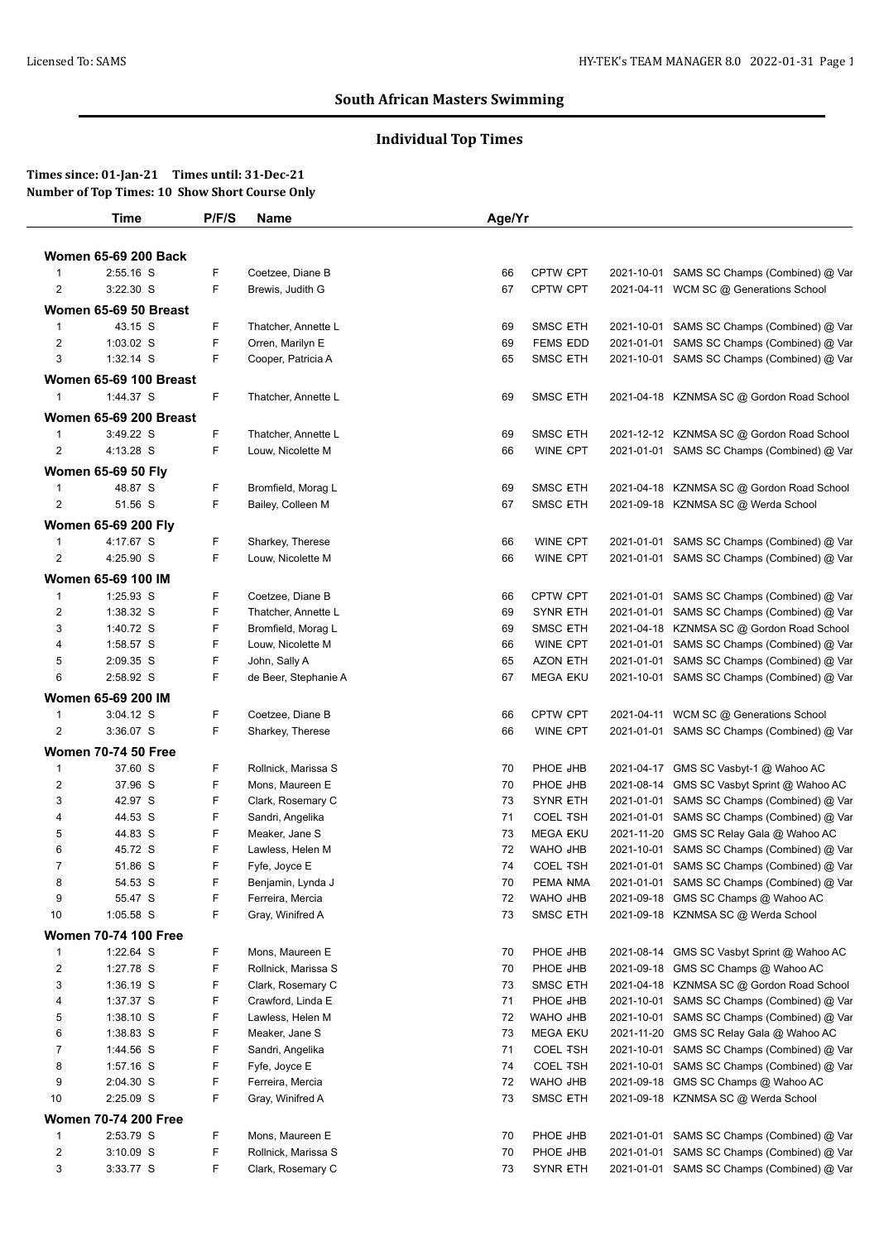# **Individual Top Times**

|                         | Time                          | P/F/S  | <b>Name</b>                             | Age/Yr   |                                    |                          |                                                                               |
|-------------------------|-------------------------------|--------|-----------------------------------------|----------|------------------------------------|--------------------------|-------------------------------------------------------------------------------|
|                         | <b>Women 65-69 200 Back</b>   |        |                                         |          |                                    |                          |                                                                               |
| $\overline{1}$          | 2:55.16 S                     | F      | Coetzee, Diane B                        | 66       | CPTW CPT                           |                          | 2021-10-01 SAMS SC Champs (Combined) @ Var                                    |
| $\overline{2}$          | 3:22.30 S                     | F      | Brewis, Judith G                        | 67       | <b>CPTW CPT</b>                    |                          | 2021-04-11 WCM SC @ Generations School                                        |
|                         |                               |        |                                         |          |                                    |                          |                                                                               |
|                         | Women 65-69 50 Breast         | F      |                                         |          |                                    |                          |                                                                               |
| $\overline{1}$          | 43.15 S                       |        | Thatcher, Annette L                     | 69       | <b>SMSC ETH</b>                    | 2021-10-01               | SAMS SC Champs (Combined) @ Var                                               |
| $\overline{\mathbf{c}}$ | 1:03.02 S<br>$1:32.14$ S      | F<br>F | Orren, Marilyn E                        | 69       | <b>FEMS EDD</b>                    | 2021-01-01               | SAMS SC Champs (Combined) @ Var                                               |
| 3                       |                               |        | Cooper, Patricia A                      | 65       | <b>SMSC ETH</b>                    |                          | 2021-10-01 SAMS SC Champs (Combined) @ Var                                    |
|                         | <b>Women 65-69 100 Breast</b> |        |                                         |          |                                    |                          |                                                                               |
| $\overline{1}$          | 1:44.37 S                     | F.     | Thatcher, Annette L                     | 69       | <b>SMSC ETH</b>                    |                          | 2021-04-18 KZNMSA SC @ Gordon Road School                                     |
|                         | <b>Women 65-69 200 Breast</b> |        |                                         |          |                                    |                          |                                                                               |
| $\overline{1}$          | 3:49.22 S                     | F      | Thatcher, Annette L                     | 69       | <b>SMSC ETH</b>                    |                          | 2021-12-12 KZNMSA SC @ Gordon Road School                                     |
| $\overline{2}$          | 4:13.28 S                     | F      | Louw, Nicolette M                       | 66       | WINE CPT                           |                          | 2021-01-01 SAMS SC Champs (Combined) @ Var                                    |
|                         | <b>Women 65-69 50 Fly</b>     |        |                                         |          |                                    |                          |                                                                               |
| $\mathbf{1}$            | 48.87 S                       | F      | Bromfield, Morag L                      | 69       | <b>SMSC ETH</b>                    |                          | 2021-04-18 KZNMSA SC @ Gordon Road School                                     |
| 2                       | 51.56 S                       | F      | Bailey, Colleen M                       | 67       | <b>SMSC ETH</b>                    |                          | 2021-09-18 KZNMSA SC @ Werda School                                           |
|                         | Women 65-69 200 Fly           |        |                                         |          |                                    |                          |                                                                               |
| $\mathbf 1$             | 4:17.67 S                     | F      | Sharkey, Therese                        | 66       | <b>WINE CPT</b>                    |                          | 2021-01-01 SAMS SC Champs (Combined) @ Var                                    |
| $\overline{2}$          | 4:25.90 S                     | F      | Louw, Nicolette M                       | 66       | <b>WINE CPT</b>                    |                          | 2021-01-01 SAMS SC Champs (Combined) @ Var                                    |
|                         | Women 65-69 100 IM            |        |                                         |          |                                    |                          |                                                                               |
|                         |                               |        |                                         |          |                                    |                          |                                                                               |
| $\mathbf 1$             | 1:25.93 S                     | F<br>F | Coetzee, Diane B                        | 66       | CPTW CPT                           |                          | 2021-01-01 SAMS SC Champs (Combined) @ Var                                    |
| $\overline{c}$          | 1:38.32 S<br>1:40.72 S        | F      | Thatcher, Annette L                     | 69<br>69 | <b>SYNR ETH</b>                    | 2021-01-01               | SAMS SC Champs (Combined) @ Var                                               |
| 3<br>4                  | 1:58.57 S                     | F      | Bromfield, Morag L<br>Louw, Nicolette M | 66       | <b>SMSC ETH</b><br><b>WINE CPT</b> | 2021-01-01               | 2021-04-18 KZNMSA SC @ Gordon Road School                                     |
| 5                       | 2:09.35 S                     | F      | John, Sally A                           | 65       | <b>AZON ETH</b>                    |                          | SAMS SC Champs (Combined) @ Var<br>2021-01-01 SAMS SC Champs (Combined) @ Var |
| 6                       | 2:58.92 S                     | F      | de Beer, Stephanie A                    | 67       | <b>MEGA EKU</b>                    |                          | 2021-10-01 SAMS SC Champs (Combined) @ Var                                    |
|                         |                               |        |                                         |          |                                    |                          |                                                                               |
|                         | Women 65-69 200 IM            |        |                                         |          |                                    |                          |                                                                               |
| 1                       | 3:04.12 S                     | F      | Coetzee, Diane B                        | 66       | <b>CPTW CPT</b>                    |                          | 2021-04-11 WCM SC @ Generations School                                        |
| 2                       | $3:36.07$ S                   | F      | Sharkey, Therese                        | 66       | WINE CPT                           |                          | 2021-01-01 SAMS SC Champs (Combined) @ Var                                    |
|                         | <b>Women 70-74 50 Free</b>    |        |                                         |          |                                    |                          |                                                                               |
| $\overline{1}$          | 37.60 S                       | F      | Rollnick, Marissa S                     | 70       | PHOE JHB                           |                          | 2021-04-17 GMS SC Vasbyt-1 @ Wahoo AC                                         |
| $\overline{\mathbf{c}}$ | 37.96 S                       | F      | Mons, Maureen E                         | 70       | PHOE JHB                           | 2021-08-14               | GMS SC Vasbyt Sprint @ Wahoo AC                                               |
| 3                       | 42.97 S                       | F      | Clark, Rosemary C                       | 73       | <b>SYNR ETH</b>                    | 2021-01-01               | SAMS SC Champs (Combined) @ Var                                               |
| 4                       | 44.53 S                       | F      | Sandri, Angelika                        | 71       | <b>COEL TSH</b>                    |                          | 2021-01-01 SAMS SC Champs (Combined) @ Var                                    |
| 5                       | 44.83 S                       | F      | Meaker, Jane S                          | 73       | <b>MEGA EKU</b>                    | 2021-11-20               | GMS SC Relay Gala @ Wahoo AC                                                  |
| 6                       | 45.72 S                       | F      | Lawless, Helen M                        | 72       | WAHO JHB                           | 2021-10-01               | SAMS SC Champs (Combined) @ Var                                               |
| $\overline{7}$          | 51.86 S                       | F      | Fyfe, Joyce E                           | 74       | <b>COEL TSH</b>                    |                          | 2021-01-01 SAMS SC Champs (Combined) @ Var                                    |
| 8<br>9                  | 54.53 S<br>55.47 S            | F<br>F | Benjamin, Lynda J                       | 70<br>72 | PEMA NMA<br>WAHO JHB               |                          | 2021-01-01 SAMS SC Champs (Combined) @ Var<br>GMS SC Champs @ Wahoo AC        |
| 10                      | 1:05.58 S                     | F      | Ferreira, Mercia<br>Gray, Winifred A    | 73       | <b>SMSC ETH</b>                    | 2021-09-18               | 2021-09-18 KZNMSA SC @ Werda School                                           |
|                         |                               |        |                                         |          |                                    |                          |                                                                               |
|                         | <b>Women 70-74 100 Free</b>   |        |                                         |          |                                    |                          |                                                                               |
| $\mathbf{1}$            | 1:22.64 S                     | F      | Mons, Maureen E                         | 70       | PHOE JHB                           | 2021-08-14               | GMS SC Vasbyt Sprint @ Wahoo AC                                               |
| $\overline{\mathbf{c}}$ | 1:27.78 S                     | F      | Rollnick, Marissa S                     | 70       | PHOE JHB                           | 2021-09-18               | GMS SC Champs @ Wahoo AC                                                      |
| 3                       | 1:36.19 S                     | F      | Clark, Rosemary C                       | 73       | <b>SMSC ETH</b>                    | 2021-04-18               | KZNMSA SC @ Gordon Road School                                                |
| 4                       | 1:37.37 S                     | F<br>F | Crawford, Linda E<br>Lawless, Helen M   | 71       | PHOE JHB<br>WAHO JHB               | 2021-10-01               | SAMS SC Champs (Combined) @ Var                                               |
| 5<br>6                  | $1:38.10$ S<br>1:38.83 S      | F      |                                         | 72<br>73 | <b>MEGA EKU</b>                    | 2021-10-01               | SAMS SC Champs (Combined) @ Var<br>GMS SC Relay Gala @ Wahoo AC               |
| $\overline{7}$          | 1:44.56 S                     | F      | Meaker, Jane S<br>Sandri, Angelika      | 71       | <b>COEL TSH</b>                    | 2021-11-20<br>2021-10-01 | SAMS SC Champs (Combined) @ Var                                               |
| 8                       | 1:57.16 S                     | F      |                                         | 74       | <b>COEL TSH</b>                    | 2021-10-01               | SAMS SC Champs (Combined) @ Var                                               |
| 9                       | 2:04.30 S                     | F      | Fyfe, Joyce E<br>Ferreira, Mercia       | 72       | WAHO JHB                           | 2021-09-18               | GMS SC Champs @ Wahoo AC                                                      |
| 10                      | 2:25.09 S                     | F      | Gray, Winifred A                        | 73       | <b>SMSC ETH</b>                    |                          | 2021-09-18 KZNMSA SC @ Werda School                                           |
|                         |                               |        |                                         |          |                                    |                          |                                                                               |
|                         | <b>Women 70-74 200 Free</b>   |        |                                         |          |                                    |                          |                                                                               |
| $\mathbf{1}$            | 2:53.79 S                     | F      | Mons, Maureen E                         | 70       | PHOE JHB                           |                          | 2021-01-01 SAMS SC Champs (Combined) @ Var                                    |
| $\overline{2}$          | 3:10.09 S                     | F      | Rollnick, Marissa S                     | 70       | PHOE JHB                           | 2021-01-01               | SAMS SC Champs (Combined) @ Var                                               |
| 3                       | 3:33.77 S                     | F      | Clark, Rosemary C                       | 73       | <b>SYNR ETH</b>                    |                          | 2021-01-01 SAMS SC Champs (Combined) @ Var                                    |
|                         |                               |        |                                         |          |                                    |                          |                                                                               |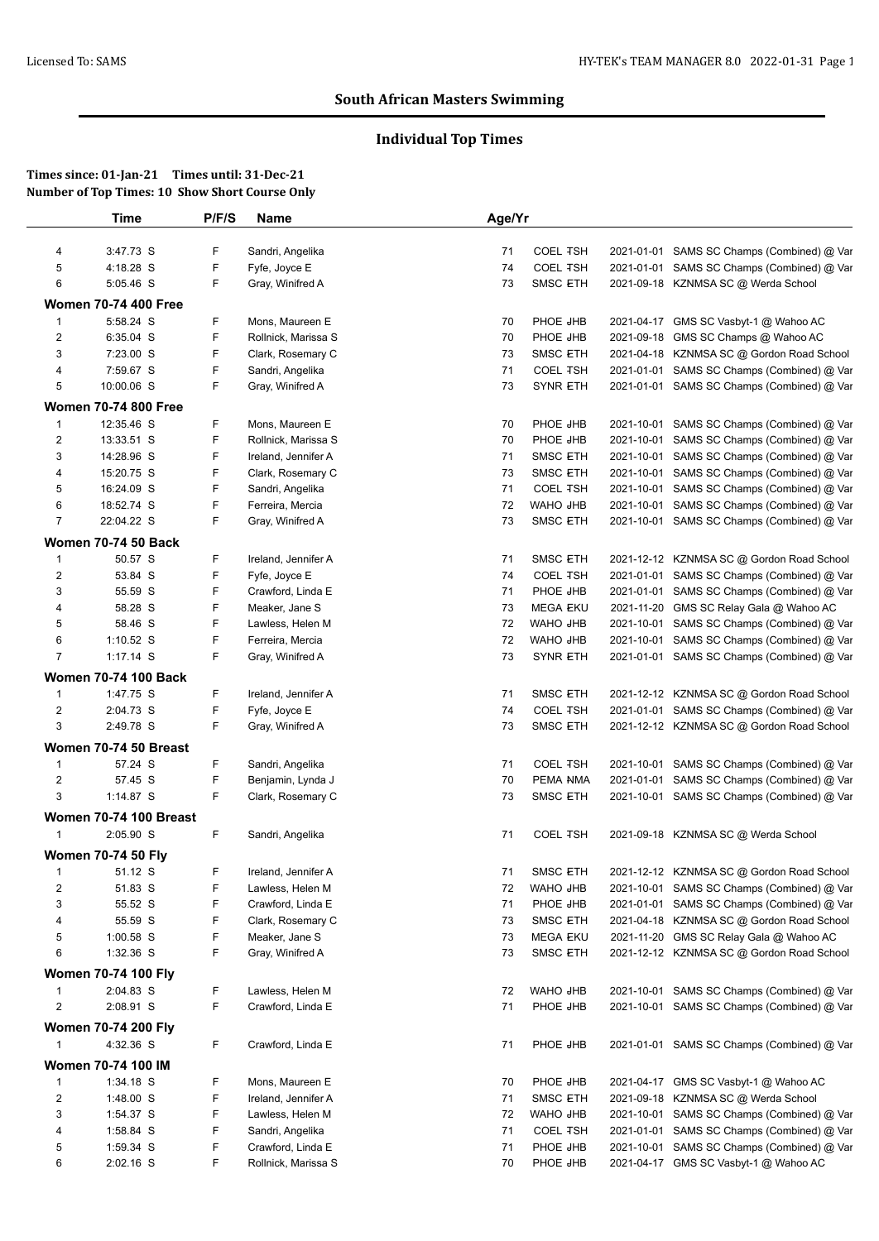# **Individual Top Times**

|                                | Time                          | P/F/S | <b>Name</b>         | Age/Yr |                 |            |                                            |
|--------------------------------|-------------------------------|-------|---------------------|--------|-----------------|------------|--------------------------------------------|
| 4                              | 3:47.73 S                     | F     | Sandri, Angelika    | 71     | <b>COEL TSH</b> |            | 2021-01-01 SAMS SC Champs (Combined) @ Var |
| 5                              | 4:18.28 S                     | F     | Fyfe, Joyce E       | 74     | <b>COEL TSH</b> |            | 2021-01-01 SAMS SC Champs (Combined) @ Var |
| 6                              | 5:05.46 S                     | F     | Gray, Winifred A    | 73     | <b>SMSC ETH</b> |            | 2021-09-18 KZNMSA SC @ Werda School        |
|                                | <b>Women 70-74 400 Free</b>   |       |                     |        |                 |            |                                            |
| 1                              | 5:58.24 S                     | F     | Mons, Maureen E     | 70     | PHOE JHB        |            | 2021-04-17 GMS SC Vasbyt-1 @ Wahoo AC      |
| 2                              | 6:35.04 S                     | F     | Rollnick, Marissa S | 70     | PHOE JHB        |            | 2021-09-18 GMS SC Champs @ Wahoo AC        |
| 3                              | 7:23.00 S                     | F     | Clark, Rosemary C   | 73     | <b>SMSC ETH</b> |            | 2021-04-18 KZNMSA SC @ Gordon Road School  |
| 4                              | 7:59.67 S                     | F     | Sandri, Angelika    | 71     | <b>COEL TSH</b> |            | 2021-01-01 SAMS SC Champs (Combined) @ Var |
| 5                              | 10:00.06 S                    | F     | Gray, Winifred A    | 73     | <b>SYNR ETH</b> |            | 2021-01-01 SAMS SC Champs (Combined) @ Var |
|                                | <b>Women 70-74 800 Free</b>   |       |                     |        |                 |            |                                            |
| 1                              | 12:35.46 S                    | F     | Mons, Maureen E     | 70     | PHOE JHB        |            | 2021-10-01 SAMS SC Champs (Combined) @ Var |
| 2                              | 13:33.51 S                    | F     | Rollnick, Marissa S | 70     | PHOE JHB        | 2021-10-01 | SAMS SC Champs (Combined) @ Var            |
| 3                              | 14:28.96 S                    | F     | Ireland, Jennifer A | 71     | <b>SMSC ETH</b> | 2021-10-01 | SAMS SC Champs (Combined) @ Var            |
| 4                              | 15:20.75 S                    | F     | Clark, Rosemary C   | 73     | <b>SMSC ETH</b> |            | 2021-10-01 SAMS SC Champs (Combined) @ Var |
| 5                              | 16:24.09 S                    | F     | Sandri, Angelika    | 71     | <b>COEL TSH</b> | 2021-10-01 | SAMS SC Champs (Combined) @ Var            |
| 6                              | 18:52.74 S                    | F     | Ferreira, Mercia    | 72     | <b>WAHO JHB</b> | 2021-10-01 | SAMS SC Champs (Combined) @ Var            |
| $\overline{7}$                 | 22:04.22 S                    | F.    | Gray, Winifred A    | 73     | <b>SMSC ETH</b> |            | 2021-10-01 SAMS SC Champs (Combined) @ Var |
|                                |                               |       |                     |        |                 |            |                                            |
|                                | <b>Women 70-74 50 Back</b>    |       |                     |        |                 |            |                                            |
| $\mathbf{1}$                   | 50.57 S                       | F     | Ireland, Jennifer A | 71     | <b>SMSC ETH</b> |            | 2021-12-12 KZNMSA SC @ Gordon Road School  |
| 2                              | 53.84 S                       | F     | Fyfe, Joyce E       | 74     | <b>COEL TSH</b> |            | 2021-01-01 SAMS SC Champs (Combined) @ Var |
| 3                              | 55.59 S                       | F     | Crawford, Linda E   | 71     | PHOE JHB        |            | 2021-01-01 SAMS SC Champs (Combined) @ Var |
| 4                              | 58.28 S                       | F     | Meaker, Jane S      | 73     | <b>MEGA EKU</b> | 2021-11-20 | GMS SC Relay Gala @ Wahoo AC               |
| 5                              | 58.46 S                       | F     | Lawless, Helen M    | 72     | WAHO JHB        | 2021-10-01 | SAMS SC Champs (Combined) @ Var            |
| 6                              | 1:10.52 $S$                   | F     | Ferreira, Mercia    | 72     | WAHO JHB        | 2021-10-01 | SAMS SC Champs (Combined) @ Var            |
| $\overline{7}$                 | 1:17.14 S                     | F     | Gray, Winifred A    | 73     | <b>SYNR ETH</b> |            | 2021-01-01 SAMS SC Champs (Combined) @ Var |
|                                | <b>Women 70-74 100 Back</b>   |       |                     |        |                 |            |                                            |
| $\mathbf{1}$                   | 1:47.75 S                     | F     | Ireland, Jennifer A | 71     | <b>SMSC ETH</b> |            | 2021-12-12 KZNMSA SC @ Gordon Road School  |
| 2                              | 2:04.73 S                     | F     | Fyfe, Joyce E       | 74     | <b>COEL TSH</b> |            | 2021-01-01 SAMS SC Champs (Combined) @ Var |
| 3                              | 2:49.78 S                     | F     | Gray, Winifred A    | 73     | <b>SMSC ETH</b> |            | 2021-12-12 KZNMSA SC @ Gordon Road School  |
|                                | Women 70-74 50 Breast         |       |                     |        |                 |            |                                            |
| $\mathbf{1}$                   | 57.24 S                       | F     | Sandri, Angelika    | 71     | <b>COEL TSH</b> |            | 2021-10-01 SAMS SC Champs (Combined) @ Var |
| $\overline{c}$                 | 57.45 S                       | F     | Benjamin, Lynda J   | 70     | PEMA NMA        |            | 2021-01-01 SAMS SC Champs (Combined) @ Var |
| 3                              | 1:14.87 S                     | F     | Clark, Rosemary C   | 73     | <b>SMSC ETH</b> |            | 2021-10-01 SAMS SC Champs (Combined) @ Var |
|                                | <b>Women 70-74 100 Breast</b> |       |                     |        |                 |            |                                            |
| 1                              | 2:05.90 S                     | F     | Sandri, Angelika    | 71     | <b>COEL TSH</b> |            | 2021-09-18 KZNMSA SC @ Werda School        |
|                                | <b>Women 70-74 50 Fly</b>     |       |                     |        |                 |            |                                            |
|                                | 51.12 S                       | F     | Ireland, Jennifer A | 71     | SMSC ETH        |            | 2021-12-12 KZNMSA SC @ Gordon Road School  |
| $\overline{\mathbf{c}}$        | 51.83 S                       | F     | Lawless, Helen M    | 72     | WAHO JHB        |            | 2021-10-01 SAMS SC Champs (Combined) @ Var |
| 3                              | 55.52 S                       | F     | Crawford, Linda E   | 71     | PHOE JHB        |            | 2021-01-01 SAMS SC Champs (Combined) @ Var |
| 4                              | 55.59 S                       | F     | Clark, Rosemary C   | 73     | <b>SMSC ETH</b> |            | 2021-04-18 KZNMSA SC @ Gordon Road School  |
| 5                              | 1:00.58 S                     | F     | Meaker, Jane S      | 73     | MEGA EKU        |            | 2021-11-20 GMS SC Relay Gala @ Wahoo AC    |
| 6                              | 1:32.36 S                     | F     | Gray, Winifred A    | 73     | <b>SMSC ETH</b> |            | 2021-12-12 KZNMSA SC @ Gordon Road School  |
|                                | <b>Women 70-74 100 Flv</b>    |       |                     |        |                 |            |                                            |
|                                | 2:04.83 S                     | F     | Lawless, Helen M    |        | WAHO JHB        |            | 2021-10-01 SAMS SC Champs (Combined) @ Var |
| $\mathbf{1}$<br>$\overline{2}$ |                               | F     |                     | 72     |                 |            |                                            |
|                                | 2:08.91 S                     |       | Crawford, Linda E   | 71     | PHOE JHB        |            | 2021-10-01 SAMS SC Champs (Combined) @ Var |
|                                | <b>Women 70-74 200 Fly</b>    |       |                     |        |                 |            |                                            |
| $\mathbf{1}$                   | 4:32.36 S                     | F.    | Crawford, Linda E   | 71     | <b>PHOE JHB</b> |            | 2021-01-01 SAMS SC Champs (Combined) @ Var |
|                                | <b>Women 70-74 100 IM</b>     |       |                     |        |                 |            |                                            |
| 1                              | 1:34.18 S                     | F     | Mons, Maureen E     | 70     | <b>PHOE JHB</b> |            | 2021-04-17 GMS SC Vasbyt-1 @ Wahoo AC      |
| 2                              | 1:48.00 S                     | F     | Ireland, Jennifer A | 71     | SMSC ETH        |            | 2021-09-18 KZNMSA SC @ Werda School        |
|                                | 1:54.37 S                     | F     | Lawless, Helen M    | 72     | WAHO JHB        |            | 2021-10-01 SAMS SC Champs (Combined) @ Var |
| 3                              |                               |       |                     |        |                 |            |                                            |
| 4                              | 1:58.84 S                     | F     | Sandri, Angelika    | 71     | <b>COEL TSH</b> | 2021-01-01 | SAMS SC Champs (Combined) @ Var            |
| 5                              | 1:59.34 S                     | F     | Crawford, Linda E   | 71     | PHOE JHB        |            | 2021-10-01 SAMS SC Champs (Combined) @ Var |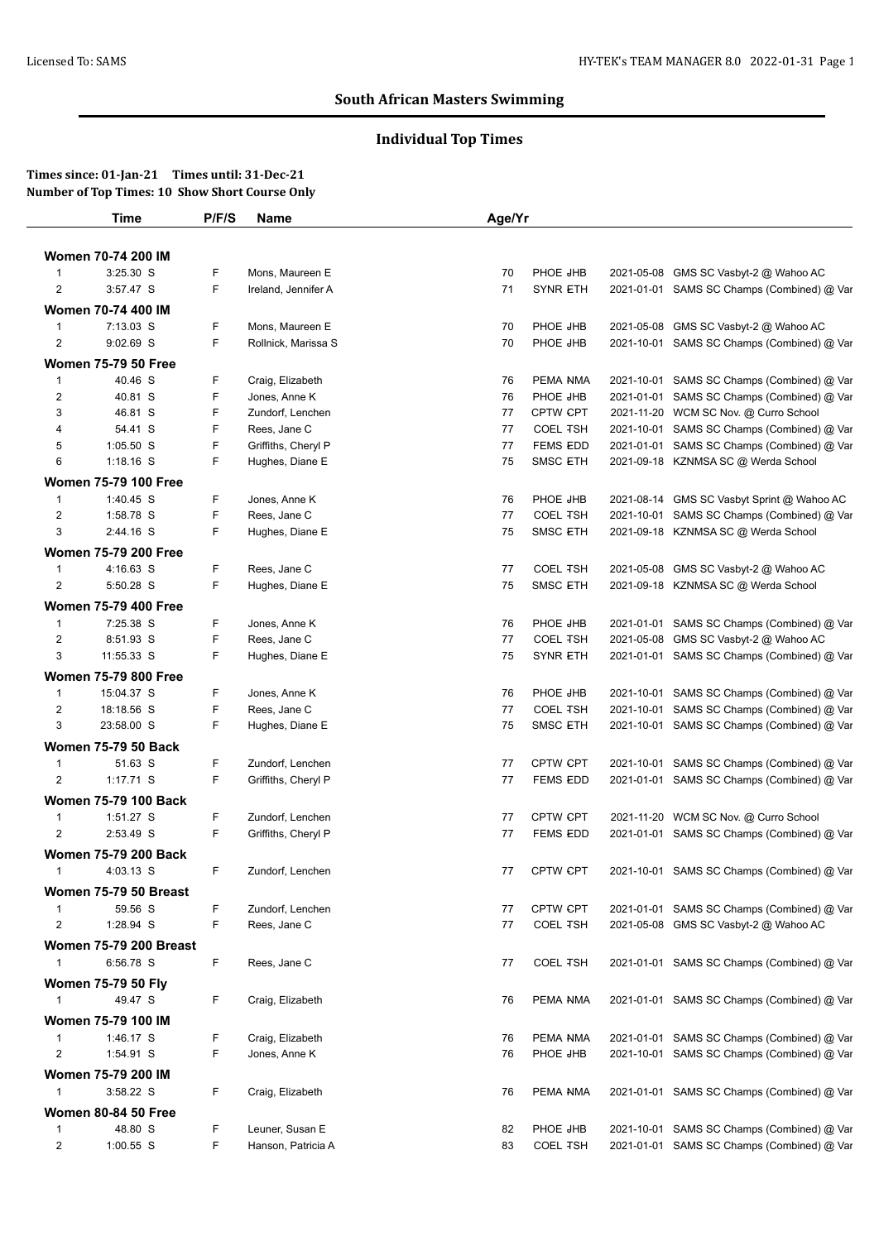# **Individual Top Times**

|                                | Time                          | P/F/S  | <b>Name</b>                       | Age/Yr   |                             |                                                                                          |
|--------------------------------|-------------------------------|--------|-----------------------------------|----------|-----------------------------|------------------------------------------------------------------------------------------|
|                                | <b>Women 70-74 200 IM</b>     |        |                                   |          |                             |                                                                                          |
| 1                              | 3:25.30 S                     | F      | Mons, Maureen E                   | 70       | PHOE JHB                    | 2021-05-08 GMS SC Vasbyt-2 @ Wahoo AC                                                    |
| $\overline{2}$                 | 3:57.47 S                     | F      | Ireland, Jennifer A               | 71       | <b>SYNR ETH</b>             | 2021-01-01 SAMS SC Champs (Combined) @ Var                                               |
|                                | Women 70-74 400 IM            |        |                                   |          |                             |                                                                                          |
| $\mathbf{1}$                   | 7:13.03 S                     | F      | Mons, Maureen E                   | 70       | PHOE JHB                    | 2021-05-08 GMS SC Vasbyt-2 @ Wahoo AC                                                    |
| 2                              | 9:02.69 S                     | F      | Rollnick, Marissa S               | 70       | PHOE JHB                    | 2021-10-01 SAMS SC Champs (Combined) @ Var                                               |
|                                |                               |        |                                   |          |                             |                                                                                          |
|                                | <b>Women 75-79 50 Free</b>    |        |                                   |          |                             |                                                                                          |
| $\mathbf{1}$                   | 40.46 S<br>40.81 S            | F<br>F | Craig, Elizabeth<br>Jones, Anne K | 76       | PEMA NMA<br>PHOE JHB        | 2021-10-01 SAMS SC Champs (Combined) @ Var<br>2021-01-01 SAMS SC Champs (Combined) @ Var |
| 2<br>3                         | 46.81 S                       | F      | Zundorf, Lenchen                  | 76<br>77 | CPTW CPT                    | 2021-11-20 WCM SC Nov. @ Curro School                                                    |
| 4                              | 54.41 S                       | F.     | Rees, Jane C                      | 77       | <b>COEL TSH</b>             | 2021-10-01 SAMS SC Champs (Combined) @ Var                                               |
| 5                              | $1:05.50$ S                   | F      | Griffiths, Cheryl P               | 77       | <b>FEMS EDD</b>             | 2021-01-01 SAMS SC Champs (Combined) @ Var                                               |
| 6                              | $1:18.16$ S                   | F      | Hughes, Diane E                   | 75       | <b>SMSC ETH</b>             | 2021-09-18 KZNMSA SC @ Werda School                                                      |
|                                |                               |        |                                   |          |                             |                                                                                          |
|                                | <b>Women 75-79 100 Free</b>   | F      |                                   |          |                             |                                                                                          |
| $\mathbf{1}$<br>$\overline{c}$ | $1:40.45$ S<br>1:58.78 S      | F      | Jones, Anne K<br>Rees, Jane C     | 76<br>77 | PHOE JHB<br><b>COEL TSH</b> | 2021-08-14 GMS SC Vasbyt Sprint @ Wahoo AC<br>2021-10-01 SAMS SC Champs (Combined) @ Var |
| 3                              | 2:44.16 S                     | F      | Hughes, Diane E                   | 75       | <b>SMSC ETH</b>             | 2021-09-18 KZNMSA SC @ Werda School                                                      |
|                                |                               |        |                                   |          |                             |                                                                                          |
|                                | <b>Women 75-79 200 Free</b>   |        |                                   |          | <b>COEL TSH</b>             |                                                                                          |
| 1                              | 4:16.63 S                     | F<br>F | Rees, Jane C                      | 77<br>75 |                             | 2021-05-08 GMS SC Vasbyt-2 @ Wahoo AC                                                    |
| $\overline{2}$                 | 5:50.28 S                     |        | Hughes, Diane E                   |          | <b>SMSC ETH</b>             | 2021-09-18 KZNMSA SC @ Werda School                                                      |
|                                | <b>Women 75-79 400 Free</b>   |        |                                   |          |                             |                                                                                          |
| $\mathbf{1}$                   | 7:25.38 S                     | F      | Jones, Anne K                     | 76       | PHOE JHB                    | 2021-01-01 SAMS SC Champs (Combined) @ Var                                               |
| $\overline{c}$                 | 8:51.93 S                     | F      | Rees, Jane C                      | 77       | <b>COEL TSH</b>             | 2021-05-08 GMS SC Vasbyt-2 @ Wahoo AC                                                    |
| 3                              | 11:55.33 S                    | F      | Hughes, Diane E                   | 75       | <b>SYNR ETH</b>             | 2021-01-01 SAMS SC Champs (Combined) @ Var                                               |
|                                | <b>Women 75-79 800 Free</b>   |        |                                   |          |                             |                                                                                          |
| 1                              | 15:04.37 S                    | F      | Jones, Anne K                     | 76       | PHOE JHB                    | 2021-10-01 SAMS SC Champs (Combined) @ Var                                               |
| $\overline{c}$                 | 18:18.56 S                    | F      | Rees, Jane C                      | 77       | <b>COEL TSH</b>             | 2021-10-01 SAMS SC Champs (Combined) @ Var                                               |
| 3                              | 23:58.00 S                    | F      | Hughes, Diane E                   | 75       | <b>SMSC ETH</b>             | 2021-10-01 SAMS SC Champs (Combined) @ Var                                               |
|                                | <b>Women 75-79 50 Back</b>    |        |                                   |          |                             |                                                                                          |
| 1                              | 51.63 S                       | F      | Zundorf, Lenchen                  | 77       | <b>CPTW CPT</b>             | 2021-10-01 SAMS SC Champs (Combined) @ Var                                               |
| 2                              | $1:17.71$ S                   | F      | Griffiths, Cheryl P               | 77       | <b>FEMS EDD</b>             | 2021-01-01 SAMS SC Champs (Combined) @ Var                                               |
|                                | <b>Women 75-79 100 Back</b>   |        |                                   |          |                             |                                                                                          |
| 1                              | 1:51.27 S                     | F      | Zundorf, Lenchen                  | 77       | <b>CPTW CPT</b>             | 2021-11-20 WCM SC Nov. @ Curro School                                                    |
| $\overline{2}$                 | 2:53.49 S                     | F      | Griffiths, Cheryl P               | 77       | <b>FEMS EDD</b>             | 2021-01-01 SAMS SC Champs (Combined) @ Var                                               |
|                                | <b>Women 75-79 200 Back</b>   |        |                                   |          |                             |                                                                                          |
| $\mathbf{1}$                   | 4:03.13 S                     | F      | Zundorf, Lenchen                  | 77       | <b>CPTW CPT</b>             | 2021-10-01 SAMS SC Champs (Combined) @ Var                                               |
|                                | Women 75-79 50 Breast         |        |                                   |          |                             |                                                                                          |
| 1                              | 59.56 S                       | F      | Zundorf, Lenchen                  | 77       | CPTW CPT                    | 2021-01-01 SAMS SC Champs (Combined) @ Var                                               |
| $\overline{c}$                 | 1:28.94 S                     | F      | Rees, Jane C                      | 77       | <b>COEL TSH</b>             | 2021-05-08 GMS SC Vasbyt-2 @ Wahoo AC                                                    |
|                                |                               |        |                                   |          |                             |                                                                                          |
|                                | <b>Women 75-79 200 Breast</b> |        |                                   |          |                             |                                                                                          |
| $\mathbf{1}$                   | 6:56.78 S                     | F.     | Rees, Jane C                      | 77       | <b>COEL TSH</b>             | 2021-01-01 SAMS SC Champs (Combined) @ Var                                               |
|                                | <b>Women 75-79 50 Fly</b>     |        |                                   |          |                             |                                                                                          |
| $\mathbf{1}$                   | 49.47 S                       | F.     | Craig, Elizabeth                  | 76       | PEMA NMA                    | 2021-01-01 SAMS SC Champs (Combined) @ Var                                               |
|                                | <b>Women 75-79 100 IM</b>     |        |                                   |          |                             |                                                                                          |
| 1                              | 1:46.17 S                     | F      | Craig, Elizabeth                  | 76       | PEMA NMA                    | 2021-01-01 SAMS SC Champs (Combined) @ Var                                               |
| $\overline{2}$                 | 1:54.91 S                     | F      | Jones, Anne K                     | 76       | PHOE JHB                    | 2021-10-01 SAMS SC Champs (Combined) @ Var                                               |
|                                | Women 75-79 200 IM            |        |                                   |          |                             |                                                                                          |
| 1                              | 3:58.22 S                     | F.     | Craig, Elizabeth                  | 76       | PEMA NMA                    | 2021-01-01 SAMS SC Champs (Combined) @ Var                                               |
|                                | <b>Women 80-84 50 Free</b>    |        |                                   |          |                             |                                                                                          |
| $\mathbf{1}$                   | 48.80 S                       | F      | Leuner, Susan E                   | 82       | PHOE JHB                    | 2021-10-01 SAMS SC Champs (Combined) @ Var                                               |
| $\overline{c}$                 | $1:00.55$ S                   | F      | Hanson, Patricia A                | 83       | <b>COEL TSH</b>             | 2021-01-01 SAMS SC Champs (Combined) @ Var                                               |
|                                |                               |        |                                   |          |                             |                                                                                          |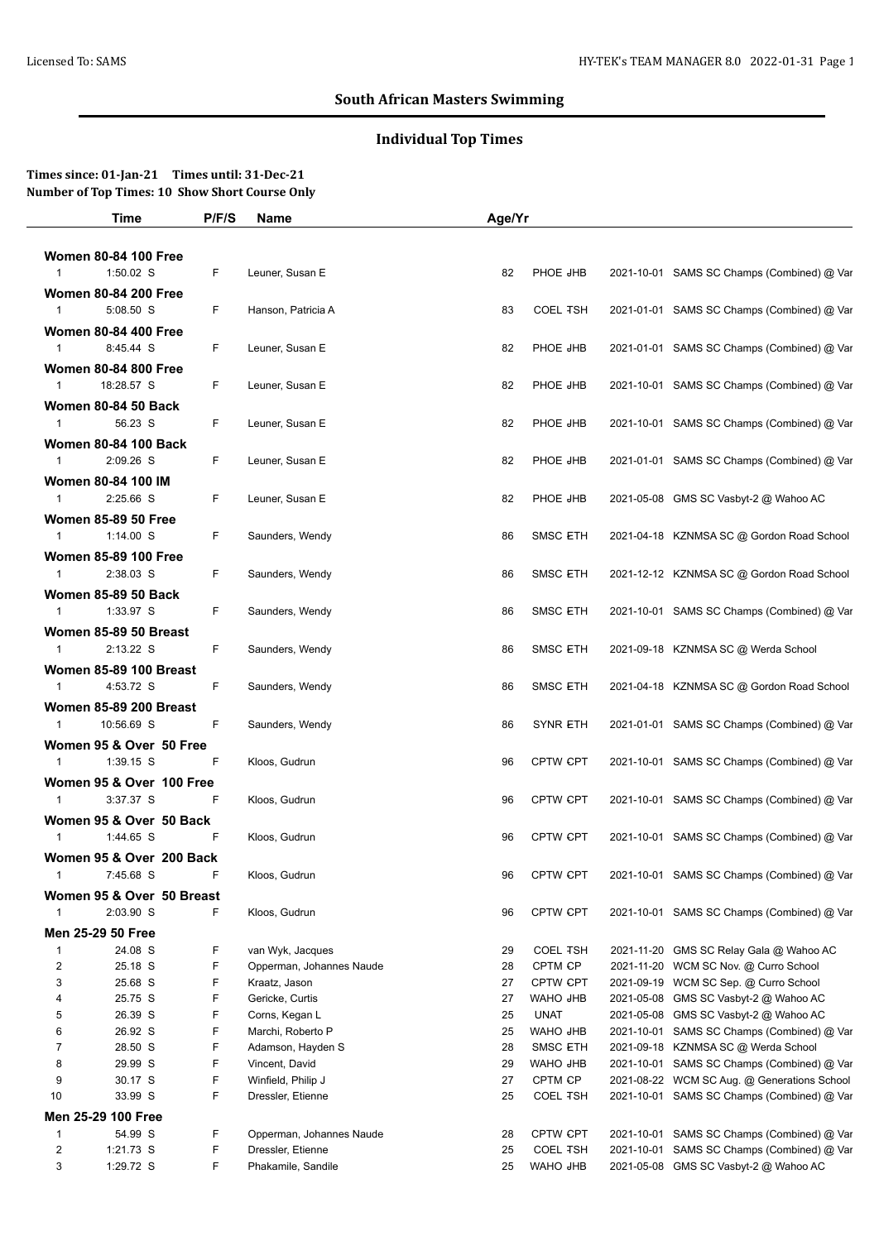# **Individual Top Times**

|                | <b>Time</b>                   | P/F/S | Name                     | Age/Yr |                 |            |                                            |
|----------------|-------------------------------|-------|--------------------------|--------|-----------------|------------|--------------------------------------------|
|                |                               |       |                          |        |                 |            |                                            |
|                | <b>Women 80-84 100 Free</b>   |       |                          |        |                 |            |                                            |
| $\mathbf{1}$   | 1:50.02 S                     | F.    | Leuner, Susan E          | 82     | PHOE JHB        |            | 2021-10-01 SAMS SC Champs (Combined) @ Var |
|                | <b>Women 80-84 200 Free</b>   |       |                          |        |                 |            |                                            |
| $\mathbf{1}$   | 5:08.50 S                     | F.    | Hanson, Patricia A       | 83     | <b>COEL TSH</b> |            | 2021-01-01 SAMS SC Champs (Combined) @ Var |
|                | <b>Women 80-84 400 Free</b>   |       |                          |        |                 |            |                                            |
| $\mathbf{1}$   | 8:45.44 S                     | F     | Leuner, Susan E          | 82     | PHOE JHB        |            | 2021-01-01 SAMS SC Champs (Combined) @ Var |
|                |                               |       |                          |        |                 |            |                                            |
|                | <b>Women 80-84 800 Free</b>   |       |                          |        |                 |            |                                            |
| $\mathbf{1}$   | 18:28.57 S                    | F.    | Leuner, Susan E          | 82     | PHOE JHB        |            | 2021-10-01 SAMS SC Champs (Combined) @ Var |
|                | <b>Women 80-84 50 Back</b>    |       |                          |        |                 |            |                                            |
| 1              | 56.23 S                       | F.    | Leuner, Susan E          | 82     | PHOE JHB        |            | 2021-10-01 SAMS SC Champs (Combined) @ Var |
|                | <b>Women 80-84 100 Back</b>   |       |                          |        |                 |            |                                            |
| 1              | 2:09.26 S                     | F.    | Leuner, Susan E          | 82     | PHOE JHB        |            | 2021-01-01 SAMS SC Champs (Combined) @ Var |
|                | Women 80-84 100 IM            |       |                          |        |                 |            |                                            |
| $\mathbf{1}$   | $2:25.66$ S                   | F.    | Leuner, Susan E          | 82     | PHOE JHB        |            | 2021-05-08 GMS SC Vasbyt-2 @ Wahoo AC      |
|                | <b>Women 85-89 50 Free</b>    |       |                          |        |                 |            |                                            |
| $\mathbf{1}$   | $1:14.00$ S                   | F.    | Saunders, Wendy          | 86     | SMSC ETH        |            | 2021-04-18 KZNMSA SC @ Gordon Road School  |
|                | <b>Women 85-89 100 Free</b>   |       |                          |        |                 |            |                                            |
| $\mathbf{1}$   | 2:38.03 S                     | F.    | Saunders, Wendy          | 86     | <b>SMSC ETH</b> |            | 2021-12-12 KZNMSA SC @ Gordon Road School  |
|                |                               |       |                          |        |                 |            |                                            |
|                | <b>Women 85-89 50 Back</b>    |       |                          |        |                 |            |                                            |
| $\mathbf{1}$   | 1:33.97 S                     | F     | Saunders, Wendy          | 86     | <b>SMSC ETH</b> |            | 2021-10-01 SAMS SC Champs (Combined) @ Var |
|                | Women 85-89 50 Breast         |       |                          |        |                 |            |                                            |
| $\mathbf{1}$   | $2:13.22$ S                   | F     | Saunders, Wendy          | 86     | <b>SMSC ETH</b> |            | 2021-09-18 KZNMSA SC @ Werda School        |
|                | <b>Women 85-89 100 Breast</b> |       |                          |        |                 |            |                                            |
| $\mathbf{1}$   | 4:53.72 S                     | F     | Saunders, Wendy          | 86     | SMSC ETH        |            | 2021-04-18 KZNMSA SC @ Gordon Road School  |
|                | <b>Women 85-89 200 Breast</b> |       |                          |        |                 |            |                                            |
| 1              | 10:56.69 S                    | F     | Saunders, Wendy          | 86     | <b>SYNR ETH</b> |            | 2021-01-01 SAMS SC Champs (Combined) @ Var |
|                | Women 95 & Over 50 Free       |       |                          |        |                 |            |                                            |
| $\mathbf{1}$   | $1:39.15$ S                   | F     | Kloos, Gudrun            | 96     | CPTW CPT        |            | 2021-10-01 SAMS SC Champs (Combined) @ Var |
|                |                               |       |                          |        |                 |            |                                            |
|                | Women 95 & Over 100 Free      |       |                          |        |                 |            |                                            |
| $\mathbf{1}$   | 3:37.37 S                     | F.    | Kloos, Gudrun            | 96     | CPTW CPT        |            | 2021-10-01 SAMS SC Champs (Combined) @ Var |
|                | Women 95 & Over 50 Back       |       |                          |        |                 |            |                                            |
| $\mathbf{1}$   | 1:44.65 S                     | F     | Kloos, Gudrun            | 96     | <b>CPTW CPT</b> |            | 2021-10-01 SAMS SC Champs (Combined) @ Var |
|                | Women 95 & Over 200 Back      |       |                          |        |                 |            |                                            |
| 1              | 7:45.68 S                     | ۲     | Kloos, Gudrun            | 96     | CPTW CPT        |            | 2021-10-01 SAMS SC Champs (Combined) @ Var |
|                | Women 95 & Over 50 Breast     |       |                          |        |                 |            |                                            |
| $\mathbf 1$    | 2:03.90 S                     | F     | Kloos, Gudrun            | 96     | CPTW CPT        |            | 2021-10-01 SAMS SC Champs (Combined) @ Var |
|                | Men 25-29 50 Free             |       |                          |        |                 |            |                                            |
| $\mathbf 1$    | 24.08 S                       | F     | van Wyk, Jacques         | 29     | <b>COEL TSH</b> | 2021-11-20 | GMS SC Relay Gala @ Wahoo AC               |
| $\overline{c}$ | 25.18 S                       | F     | Opperman, Johannes Naude | 28     | CPTM CP         | 2021-11-20 | WCM SC Nov. @ Curro School                 |
| 3              | 25.68 S                       | F     | Kraatz, Jason            | 27     | CPTW CPT        | 2021-09-19 | WCM SC Sep. @ Curro School                 |
| 4              | 25.75 S                       | F     | Gericke, Curtis          | 27     | <b>WAHO JHB</b> | 2021-05-08 | GMS SC Vasbyt-2 @ Wahoo AC                 |
| 5              | 26.39 S                       | F     | Corns, Kegan L           | 25     | <b>UNAT</b>     | 2021-05-08 | GMS SC Vasbyt-2 @ Wahoo AC                 |
| 6              | 26.92 S                       | F     | Marchi, Roberto P        | 25     | WAHO JHB        |            | 2021-10-01 SAMS SC Champs (Combined) @ Var |
| $\overline{7}$ | 28.50 S                       | F     | Adamson, Hayden S        | 28     | <b>SMSC ETH</b> | 2021-09-18 | KZNMSA SC @ Werda School                   |
| 8              | 29.99 S                       | F     | Vincent, David           | 29     | WAHO JHB        |            | 2021-10-01 SAMS SC Champs (Combined) @ Var |
| 9              | 30.17 S                       | F     | Winfield, Philip J       | 27     | CPTM CP         | 2021-08-22 | WCM SC Aug. @ Generations School           |
| 10             | 33.99 S                       | F     | Dressler, Etienne        | 25     | <b>COEL TSH</b> |            | 2021-10-01 SAMS SC Champs (Combined) @ Var |
|                | Men 25-29 100 Free            |       |                          |        |                 |            |                                            |
|                |                               | F     | Opperman, Johannes Naude | 28     | CPTW CPT        |            | 2021-10-01 SAMS SC Champs (Combined) @ Var |
| $\overline{1}$ | 54.99 S                       |       |                          |        |                 |            |                                            |
| $\overline{2}$ | 1:21.73 S                     | F     | Dressler, Etienne        | 25     | <b>COEL TSH</b> | 2021-10-01 | SAMS SC Champs (Combined) @ Var            |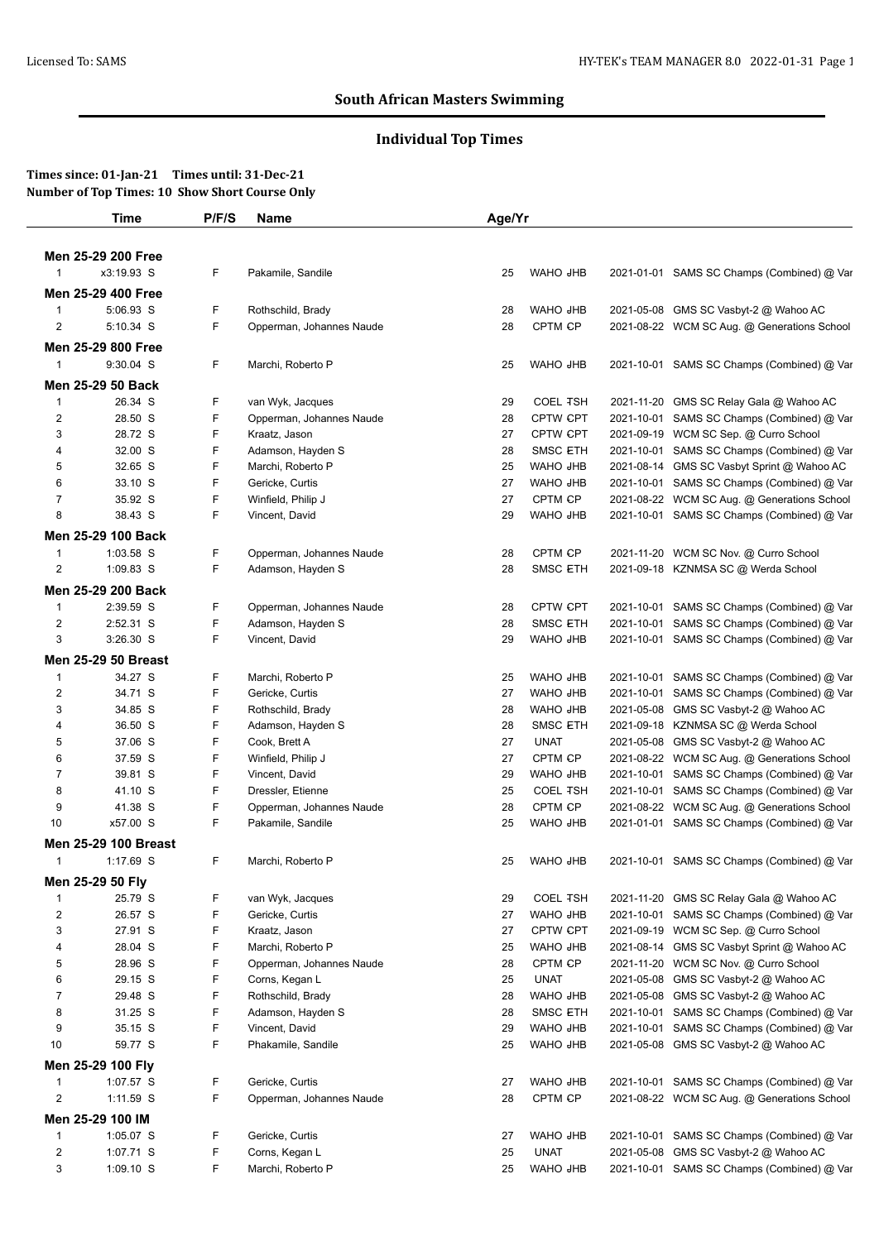# **Individual Top Times**

|                     | <b>Time</b>                 | P/F/S  | Name                     | Age/Yr |                             |            |                                                                               |
|---------------------|-----------------------------|--------|--------------------------|--------|-----------------------------|------------|-------------------------------------------------------------------------------|
|                     |                             |        |                          |        |                             |            |                                                                               |
|                     | Men 25-29 200 Free          |        |                          |        |                             |            |                                                                               |
| $\overline{1}$      | x3:19.93 S                  | F      | Pakamile, Sandile        | 25     | WAHO JHB                    |            | 2021-01-01 SAMS SC Champs (Combined) @ Var                                    |
|                     | Men 25-29 400 Free          |        |                          |        |                             |            |                                                                               |
| $\overline{1}$      | 5:06.93 S                   | F      | Rothschild, Brady        | 28     | WAHO JHB                    |            | 2021-05-08 GMS SC Vasbyt-2 @ Wahoo AC                                         |
| 2                   | 5:10.34 S                   | F      | Opperman, Johannes Naude | 28     | CPTM CP                     |            | 2021-08-22 WCM SC Aug. @ Generations School                                   |
|                     | Men 25-29 800 Free          |        |                          |        |                             |            |                                                                               |
| $\mathbf{1}$        | 9:30.04 S                   | F      | Marchi, Roberto P        | 25     | WAHO JHB                    |            | 2021-10-01 SAMS SC Champs (Combined) @ Var                                    |
|                     | Men 25-29 50 Back           |        |                          |        |                             |            |                                                                               |
| $\overline{1}$      | 26.34 S                     | F      | van Wyk, Jacques         | 29     | <b>COEL TSH</b>             |            | 2021-11-20 GMS SC Relay Gala @ Wahoo AC                                       |
| $\overline{2}$      | 28.50 S                     | F      | Opperman, Johannes Naude | 28     | <b>CPTW CPT</b>             | 2021-10-01 | SAMS SC Champs (Combined) @ Var                                               |
| 3                   | 28.72 S                     | F      | Kraatz, Jason            | 27     | <b>CPTW CPT</b>             | 2021-09-19 | WCM SC Sep. @ Curro School                                                    |
| 4                   | 32.00 S                     | F      | Adamson, Hayden S        | 28     | <b>SMSC ETH</b>             | 2021-10-01 | SAMS SC Champs (Combined) @ Var                                               |
| 5                   | 32.65 S                     | F      | Marchi, Roberto P        | 25     | WAHO JHB                    |            | 2021-08-14 GMS SC Vasbyt Sprint @ Wahoo AC                                    |
| 6                   | 33.10 S                     | F      | Gericke, Curtis          | 27     | WAHO JHB                    | 2021-10-01 | SAMS SC Champs (Combined) @ Var                                               |
| $\overline{7}$      | 35.92 S                     | F      | Winfield, Philip J       | 27     | CPTM CP                     | 2021-08-22 | WCM SC Aug. @ Generations School                                              |
| 8                   | 38.43 S                     | F      | Vincent, David           | 29     | WAHO JHB                    |            | 2021-10-01 SAMS SC Champs (Combined) @ Var                                    |
|                     | Men 25-29 100 Back          |        |                          |        |                             |            |                                                                               |
| $\overline{1}$      | 1:03.58 S                   | F      | Opperman, Johannes Naude | 28     | CPTM CP                     |            | 2021-11-20 WCM SC Nov. @ Curro School                                         |
| $\overline{2}$      | 1:09.83 S                   | F      | Adamson, Hayden S        | 28     | <b>SMSC ETH</b>             |            | 2021-09-18 KZNMSA SC @ Werda School                                           |
|                     | Men 25-29 200 Back          |        |                          |        |                             |            |                                                                               |
| $\mathbf{1}$        | 2:39.59 S                   | F      | Opperman, Johannes Naude | 28     | <b>CPTW CPT</b>             | 2021-10-01 | SAMS SC Champs (Combined) @ Var                                               |
|                     |                             |        |                          |        |                             |            |                                                                               |
| $\overline{2}$<br>3 | 2:52.31 S<br>3:26.30 S      | F<br>F | Adamson, Hayden S        | 28     | <b>SMSC ETH</b><br>WAHO JHB | 2021-10-01 | SAMS SC Champs (Combined) @ Var<br>2021-10-01 SAMS SC Champs (Combined) @ Var |
|                     |                             |        | Vincent, David           | 29     |                             |            |                                                                               |
|                     | <b>Men 25-29 50 Breast</b>  |        |                          |        |                             |            |                                                                               |
| $\overline{1}$      | 34.27 S                     | F      | Marchi, Roberto P        | 25     | WAHO JHB                    | 2021-10-01 | SAMS SC Champs (Combined) @ Var                                               |
| $\overline{2}$      | 34.71 S                     | F      | Gericke, Curtis          | 27     | WAHO JHB                    | 2021-10-01 | SAMS SC Champs (Combined) @ Var                                               |
| 3                   | 34.85 S                     | F      | Rothschild, Brady        | 28     | WAHO JHB                    | 2021-05-08 | GMS SC Vasbyt-2 @ Wahoo AC                                                    |
| 4                   | 36.50 S                     | F      | Adamson, Hayden S        | 28     | <b>SMSC ETH</b>             | 2021-09-18 | KZNMSA SC @ Werda School                                                      |
| 5                   | 37.06 S                     | F      | Cook, Brett A            | 27     | <b>UNAT</b>                 | 2021-05-08 | GMS SC Vasbyt-2 @ Wahoo AC                                                    |
| 6                   | 37.59 S                     | F      | Winfield, Philip J       | 27     | CPTM CP                     |            | 2021-08-22 WCM SC Aug. @ Generations School                                   |
| $\overline{7}$      | 39.81 S                     | F      | Vincent, David           | 29     | WAHO JHB                    | 2021-10-01 | SAMS SC Champs (Combined) @ Var                                               |
| 8                   | 41.10 S                     | F      | Dressler, Etienne        | 25     | <b>COEL TSH</b>             |            | 2021-10-01 SAMS SC Champs (Combined) @ Var                                    |
| 9                   | 41.38 S                     | F      | Opperman, Johannes Naude | 28     | CPTM CP                     |            | 2021-08-22 WCM SC Aug. @ Generations School                                   |
| 10                  | x57.00 S                    | F      | Pakamile, Sandile        | 25     | WAHO JHB                    |            | 2021-01-01 SAMS SC Champs (Combined) @ Var                                    |
|                     | <b>Men 25-29 100 Breast</b> |        |                          |        |                             |            |                                                                               |
| $\overline{1}$      | 1:17.69 S                   | F      | Marchi, Roberto P        | 25     | WAHO JHB                    |            | 2021-10-01 SAMS SC Champs (Combined) @ Var                                    |
|                     | Men 25-29 50 Fly            |        |                          |        |                             |            |                                                                               |
| $\overline{1}$      | 25.79 S                     | F      | van Wyk, Jacques         | 29     | <b>COEL TSH</b>             |            | 2021-11-20 GMS SC Relay Gala @ Wahoo AC                                       |
| $\overline{2}$      | 26.57 S                     | F      | Gericke, Curtis          | 27     | WAHO JHB                    | 2021-10-01 | SAMS SC Champs (Combined) @ Var                                               |
| 3                   | 27.91 S                     | F      | Kraatz, Jason            | 27     | CPTW CPT                    |            | 2021-09-19 WCM SC Sep. @ Curro School                                         |
| 4                   | 28.04 S                     | F      | Marchi, Roberto P        | 25     | WAHO JHB                    |            | 2021-08-14 GMS SC Vasbyt Sprint @ Wahoo AC                                    |
| 5                   | 28.96 S                     | F      | Opperman, Johannes Naude | 28     | CPTM CP                     |            | 2021-11-20 WCM SC Nov. @ Curro School                                         |
| 6                   | 29.15 S                     | F      | Corns, Kegan L           | 25     | <b>UNAT</b>                 | 2021-05-08 | GMS SC Vasbyt-2 @ Wahoo AC                                                    |
| $\overline{7}$      | 29.48 S                     | F      | Rothschild, Brady        | 28     | WAHO JHB                    | 2021-05-08 | GMS SC Vasbyt-2 @ Wahoo AC                                                    |
| 8                   | 31.25 S                     | F      | Adamson, Hayden S        | 28     | <b>SMSC ETH</b>             | 2021-10-01 | SAMS SC Champs (Combined) @ Var                                               |
| 9                   | 35.15 S                     | F      | Vincent, David           | 29     | WAHO JHB                    | 2021-10-01 | SAMS SC Champs (Combined) @ Var                                               |
| 10                  | 59.77 S                     | F      | Phakamile, Sandile       | 25     | WAHO JHB                    |            | 2021-05-08 GMS SC Vasbyt-2 @ Wahoo AC                                         |
|                     | Men 25-29 100 Fly           |        |                          |        |                             |            |                                                                               |
| $\mathbf{1}$        | 1:07.57 S                   | F      | Gericke, Curtis          | 27     | WAHO JHB                    |            | 2021-10-01 SAMS SC Champs (Combined) @ Var                                    |
| $\overline{c}$      | 1:11.59 S                   | F      | Opperman, Johannes Naude | 28     | CPTM CP                     |            | 2021-08-22 WCM SC Aug. @ Generations School                                   |
|                     | Men 25-29 100 IM            |        |                          |        |                             |            |                                                                               |
|                     |                             |        |                          |        |                             |            |                                                                               |
| $\mathbf{1}$        | 1:05.07 S                   | F      | Gericke, Curtis          | 27     | WAHO JHB                    |            | 2021-10-01 SAMS SC Champs (Combined) @ Var                                    |
| $\overline{2}$      | 1:07.71 S                   | F      | Corns, Kegan L           | 25     | <b>UNAT</b>                 | 2021-05-08 | GMS SC Vasbyt-2 @ Wahoo AC                                                    |
| 3                   | 1:09.10 S                   | F      | Marchi, Roberto P        | 25     | WAHO JHB                    |            | 2021-10-01 SAMS SC Champs (Combined) @ Var                                    |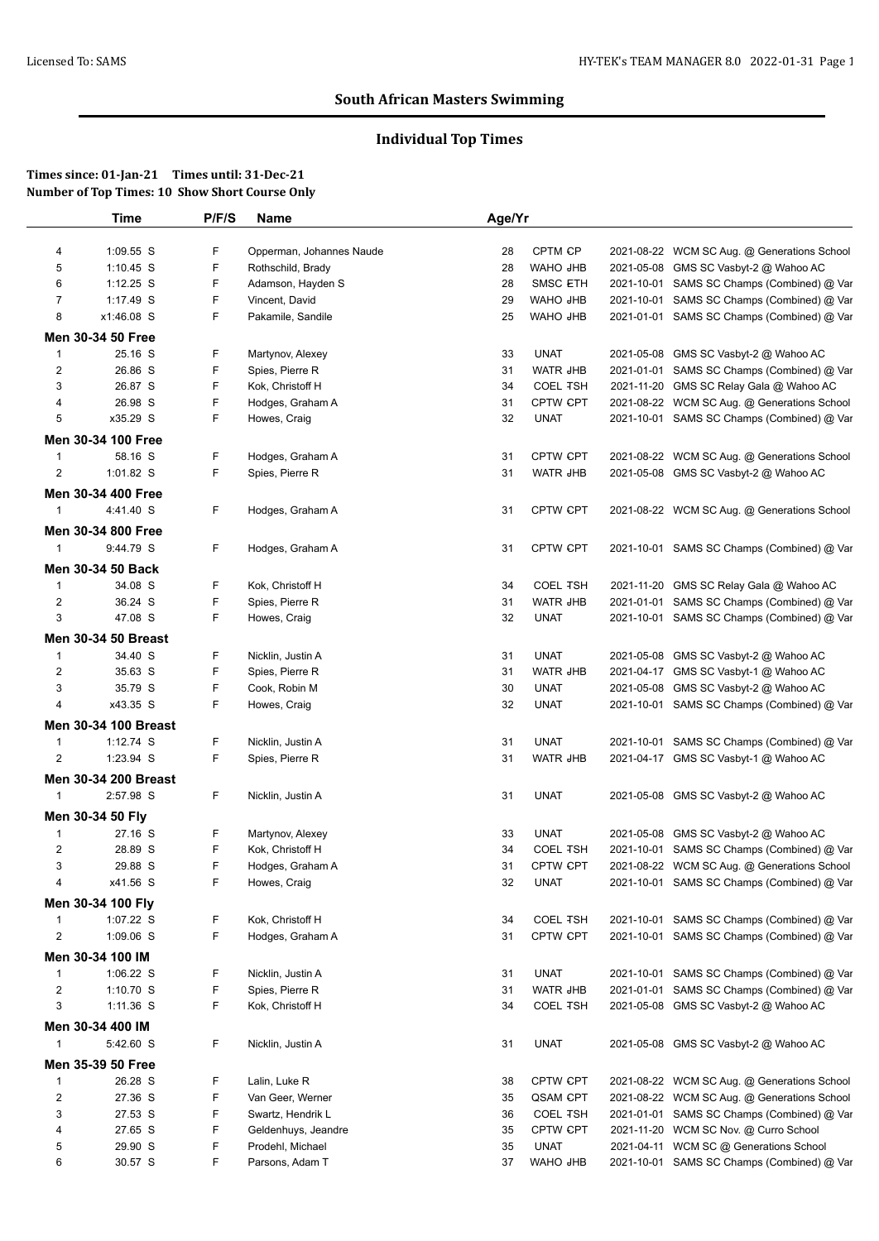# **Individual Top Times**

|                | <b>Time</b>                 | P/F/S | <b>Name</b>              | Age/Yr |                 |            |                                             |
|----------------|-----------------------------|-------|--------------------------|--------|-----------------|------------|---------------------------------------------|
| 4              | 1:09.55 S                   | F     | Opperman, Johannes Naude | 28     | CPTM CP         |            | 2021-08-22 WCM SC Aug. @ Generations School |
| 5              | $1:10.45$ S                 | F     | Rothschild, Brady        | 28     | WAHO JHB        |            | 2021-05-08 GMS SC Vasbyt-2 @ Wahoo AC       |
| 6              | 1:12.25 S                   | F     | Adamson, Hayden S        | 28     | <b>SMSC ETH</b> |            | 2021-10-01 SAMS SC Champs (Combined) @ Var  |
| $\overline{7}$ | 1:17.49 S                   | F     | Vincent, David           | 29     | WAHO JHB        |            | 2021-10-01 SAMS SC Champs (Combined) @ Var  |
| 8              | x1:46.08 S                  | F     | Pakamile, Sandile        | 25     | <b>WAHO JHB</b> |            | 2021-01-01 SAMS SC Champs (Combined) @ Var  |
|                |                             |       |                          |        |                 |            |                                             |
|                | Men 30-34 50 Free           |       |                          |        |                 |            |                                             |
| $\mathbf{1}$   | 25.16 S                     | F     | Martynov, Alexey         | 33     | <b>UNAT</b>     |            | 2021-05-08 GMS SC Vasbyt-2 @ Wahoo AC       |
| $\overline{2}$ | 26.86 S                     | F     | Spies, Pierre R          | 31     | <b>WATR JHB</b> |            | 2021-01-01 SAMS SC Champs (Combined) @ Var  |
| 3              | 26.87 S                     | F     | Kok, Christoff H         | 34     | <b>COEL TSH</b> |            | 2021-11-20 GMS SC Relay Gala @ Wahoo AC     |
| 4              | 26.98 S                     | F     | Hodges, Graham A         | 31     | CPTW CPT        |            | 2021-08-22 WCM SC Aug. @ Generations School |
| 5              | x35.29 S                    | F     | Howes, Craig             | 32     | <b>UNAT</b>     |            | 2021-10-01 SAMS SC Champs (Combined) @ Var  |
|                | Men 30-34 100 Free          |       |                          |        |                 |            |                                             |
| $\mathbf{1}$   | 58.16 S                     | F     | Hodges, Graham A         | 31     | <b>CPTW CPT</b> |            | 2021-08-22 WCM SC Aug. @ Generations School |
| $\overline{c}$ | 1:01.82 S                   | F     | Spies, Pierre R          | 31     | WATR JHB        |            | 2021-05-08 GMS SC Vasbyt-2 @ Wahoo AC       |
|                | Men 30-34 400 Free          |       |                          |        |                 |            |                                             |
| $\mathbf{1}$   | 4:41.40 S                   | F     | Hodges, Graham A         | 31     | <b>CPTW CPT</b> |            | 2021-08-22 WCM SC Aug. @ Generations School |
|                |                             |       |                          |        |                 |            |                                             |
|                | Men 30-34 800 Free          |       |                          |        |                 |            |                                             |
| $\mathbf{1}$   | 9:44.79 S                   | F     | Hodges, Graham A         | 31     | <b>CPTW CPT</b> |            | 2021-10-01 SAMS SC Champs (Combined) @ Var  |
|                | Men 30-34 50 Back           |       |                          |        |                 |            |                                             |
| 1              | 34.08 S                     | F     | Kok, Christoff H         | 34     | <b>COEL TSH</b> |            | 2021-11-20 GMS SC Relay Gala @ Wahoo AC     |
| $\overline{c}$ | 36.24 S                     | F     | Spies, Pierre R          | 31     | WATR JHB        |            | 2021-01-01 SAMS SC Champs (Combined) @ Var  |
| 3              | 47.08 S                     | F     | Howes, Craig             | 32     | <b>UNAT</b>     |            | 2021-10-01 SAMS SC Champs (Combined) @ Var  |
|                | <b>Men 30-34 50 Breast</b>  |       |                          |        |                 |            |                                             |
| $\mathbf{1}$   | 34.40 S                     | F     | Nicklin, Justin A        | 31     | <b>UNAT</b>     |            | 2021-05-08 GMS SC Vasbyt-2 @ Wahoo AC       |
|                | 35.63 S                     | F     |                          |        | WATR JHB        |            |                                             |
| $\overline{c}$ |                             | F     | Spies, Pierre R          | 31     |                 |            | 2021-04-17 GMS SC Vasbyt-1 @ Wahoo AC       |
| 3              | 35.79 S                     | F     | Cook, Robin M            | 30     | <b>UNAT</b>     |            | 2021-05-08 GMS SC Vasbyt-2 @ Wahoo AC       |
| 4              | x43.35 S                    |       | Howes, Craig             | 32     | <b>UNAT</b>     |            | 2021-10-01 SAMS SC Champs (Combined) @ Var  |
|                | <b>Men 30-34 100 Breast</b> |       |                          |        |                 |            |                                             |
| $\mathbf{1}$   | $1:12.74$ S                 | F     | Nicklin, Justin A        | 31     | <b>UNAT</b>     |            | 2021-10-01 SAMS SC Champs (Combined) @ Var  |
| $\overline{2}$ | 1:23.94 S                   | F     | Spies, Pierre R          | 31     | <b>WATR JHB</b> |            | 2021-04-17 GMS SC Vasbyt-1 @ Wahoo AC       |
|                | <b>Men 30-34 200 Breast</b> |       |                          |        |                 |            |                                             |
| $\mathbf{1}$   | 2:57.98 S                   | F.    | Nicklin, Justin A        | 31     | <b>UNAT</b>     |            | 2021-05-08 GMS SC Vasbyt-2 @ Wahoo AC       |
|                |                             |       |                          |        |                 |            |                                             |
|                | Men 30-34 50 Fly            |       |                          |        |                 |            |                                             |
| 1              | 27.16 S                     | F     | Martynov, Alexey         | 33     | <b>UNAT</b>     |            | 2021-05-08 GMS SC Vasbyt-2 @ Wahoo AC       |
| $\overline{c}$ | 28.89 S                     | F     | Kok, Christoff H         | 34     | <b>COEL TSH</b> |            | 2021-10-01 SAMS SC Champs (Combined) @ Var  |
| 3              | 29.88 S                     | F     | Hodges, Graham A         | 31     | <b>CPTW CPT</b> |            | 2021-08-22 WCM SC Aug. @ Generations School |
| 4              | x41.56 S                    | F     | Howes, Craig             | 32     | <b>UNAT</b>     |            | 2021-10-01 SAMS SC Champs (Combined) @ Var  |
|                | Men 30-34 100 Fly           |       |                          |        |                 |            |                                             |
| $\mathbf{1}$   | 1:07.22 S                   | F     | Kok, Christoff H         | 34     | <b>COEL TSH</b> |            | 2021-10-01 SAMS SC Champs (Combined) @ Var  |
| $\overline{2}$ | 1:09.06 S                   | F     | Hodges, Graham A         | 31     | CPTW CPT        | 2021-10-01 | SAMS SC Champs (Combined) @ Var             |
|                | Men 30-34 100 IM            |       |                          |        |                 |            |                                             |
| $\mathbf{1}$   | 1:06.22 S                   | F     | Nicklin, Justin A        | 31     | <b>UNAT</b>     |            | 2021-10-01 SAMS SC Champs (Combined) @ Var  |
| $\overline{2}$ | 1:10.70 S                   | F     | Spies, Pierre R          | 31     | WATR JHB        |            | 2021-01-01 SAMS SC Champs (Combined) @ Var  |
| 3              | 1:11.36 S                   | F     | Kok, Christoff H         | 34     | <b>COEL TSH</b> |            | 2021-05-08 GMS SC Vasbyt-2 @ Wahoo AC       |
|                |                             |       |                          |        |                 |            |                                             |
|                | Men 30-34 400 IM            |       |                          |        |                 |            |                                             |
| 1              | 5:42.60 S                   | F     | Nicklin, Justin A        | 31     | <b>UNAT</b>     |            | 2021-05-08 GMS SC Vasbyt-2 @ Wahoo AC       |
|                | Men 35-39 50 Free           |       |                          |        |                 |            |                                             |
| -1             | 26.28 S                     | F     | Lalin, Luke R            | 38     | <b>CPTW CPT</b> |            | 2021-08-22 WCM SC Aug. @ Generations School |
| $\overline{2}$ | 27.36 S                     | F     | Van Geer, Werner         | 35     | QSAM CPT        |            | 2021-08-22 WCM SC Aug. @ Generations School |
| 3              | 27.53 S                     | F     | Swartz, Hendrik L        | 36     | <b>COEL TSH</b> |            | 2021-01-01 SAMS SC Champs (Combined) @ Var  |
| 4              | 27.65 S                     | F     | Geldenhuys, Jeandre      | 35     | <b>CPTW CPT</b> |            | 2021-11-20 WCM SC Nov. @ Curro School       |
| 5              | 29.90 S                     | F     | Prodehl, Michael         | 35     | <b>UNAT</b>     |            | 2021-04-11 WCM SC @ Generations School      |
| 6              | 30.57 S                     | F     | Parsons, Adam T          | 37     | WAHO JHB        |            | 2021-10-01 SAMS SC Champs (Combined) @ Var  |
|                |                             |       |                          |        |                 |            |                                             |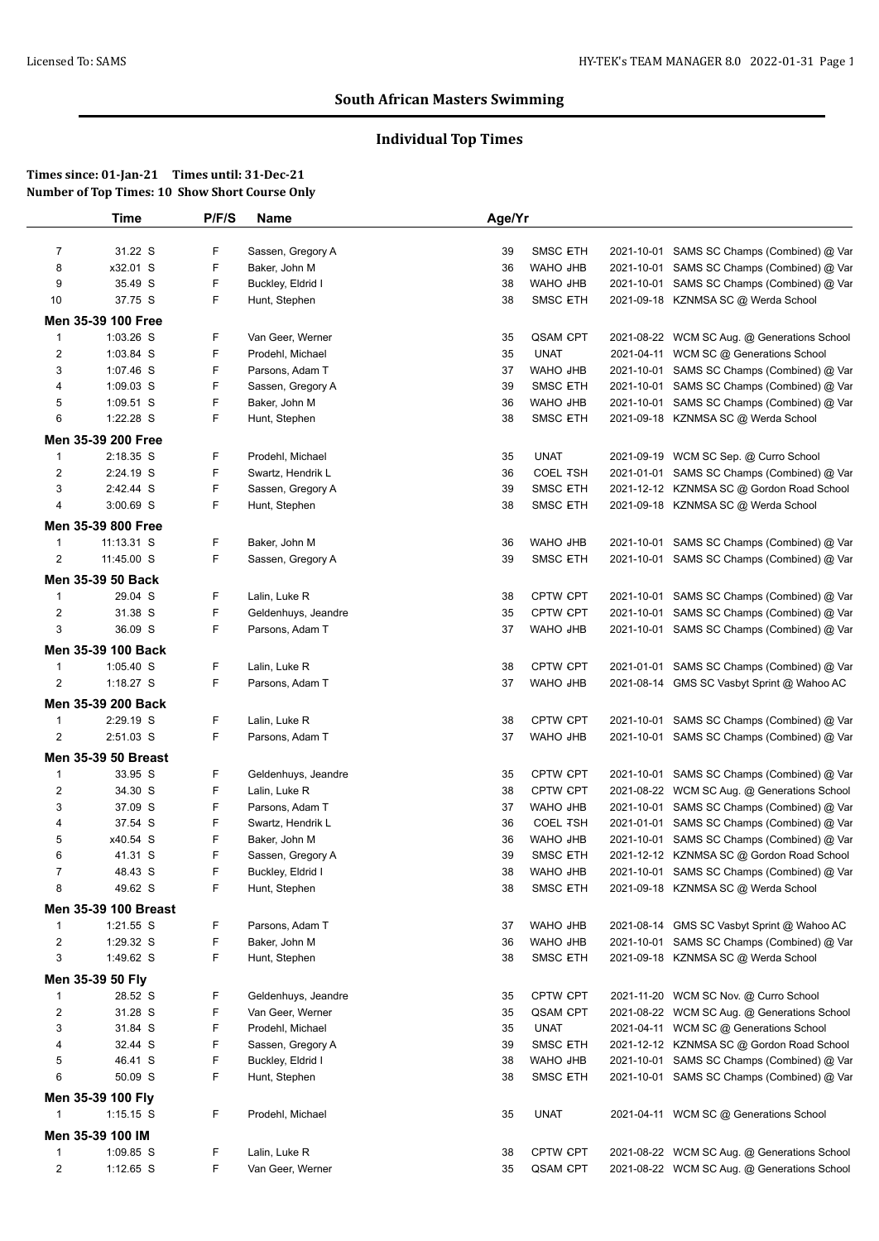# **Individual Top Times**

| Time              |                                                                                                                                                                                                                                                                                                                                                                                                                                                                                                                                                                    | <b>Name</b>                                                                                                                                       |                                                                                                                                                                                                                                                                                                                                                                                                                                                                                                                                                                            |                                                                                                                                                          |                                                                                                                                                                                                                                                                                                                                                                                                                                                                        |                                                                                                              |
|-------------------|--------------------------------------------------------------------------------------------------------------------------------------------------------------------------------------------------------------------------------------------------------------------------------------------------------------------------------------------------------------------------------------------------------------------------------------------------------------------------------------------------------------------------------------------------------------------|---------------------------------------------------------------------------------------------------------------------------------------------------|----------------------------------------------------------------------------------------------------------------------------------------------------------------------------------------------------------------------------------------------------------------------------------------------------------------------------------------------------------------------------------------------------------------------------------------------------------------------------------------------------------------------------------------------------------------------------|----------------------------------------------------------------------------------------------------------------------------------------------------------|------------------------------------------------------------------------------------------------------------------------------------------------------------------------------------------------------------------------------------------------------------------------------------------------------------------------------------------------------------------------------------------------------------------------------------------------------------------------|--------------------------------------------------------------------------------------------------------------|
|                   |                                                                                                                                                                                                                                                                                                                                                                                                                                                                                                                                                                    |                                                                                                                                                   |                                                                                                                                                                                                                                                                                                                                                                                                                                                                                                                                                                            |                                                                                                                                                          |                                                                                                                                                                                                                                                                                                                                                                                                                                                                        | 2021-10-01 SAMS SC Champs (Combined) @ Var                                                                   |
|                   | F                                                                                                                                                                                                                                                                                                                                                                                                                                                                                                                                                                  |                                                                                                                                                   |                                                                                                                                                                                                                                                                                                                                                                                                                                                                                                                                                                            |                                                                                                                                                          |                                                                                                                                                                                                                                                                                                                                                                                                                                                                        | SAMS SC Champs (Combined) @ Var                                                                              |
| 35.49 S           | F                                                                                                                                                                                                                                                                                                                                                                                                                                                                                                                                                                  |                                                                                                                                                   | 38                                                                                                                                                                                                                                                                                                                                                                                                                                                                                                                                                                         | WAHO JHB                                                                                                                                                 |                                                                                                                                                                                                                                                                                                                                                                                                                                                                        | SAMS SC Champs (Combined) @ Var                                                                              |
| 37.75 S           | F                                                                                                                                                                                                                                                                                                                                                                                                                                                                                                                                                                  | Hunt, Stephen                                                                                                                                     | 38                                                                                                                                                                                                                                                                                                                                                                                                                                                                                                                                                                         | <b>SMSC ETH</b>                                                                                                                                          |                                                                                                                                                                                                                                                                                                                                                                                                                                                                        | 2021-09-18 KZNMSA SC @ Werda School                                                                          |
|                   |                                                                                                                                                                                                                                                                                                                                                                                                                                                                                                                                                                    |                                                                                                                                                   |                                                                                                                                                                                                                                                                                                                                                                                                                                                                                                                                                                            |                                                                                                                                                          |                                                                                                                                                                                                                                                                                                                                                                                                                                                                        |                                                                                                              |
|                   |                                                                                                                                                                                                                                                                                                                                                                                                                                                                                                                                                                    |                                                                                                                                                   |                                                                                                                                                                                                                                                                                                                                                                                                                                                                                                                                                                            |                                                                                                                                                          |                                                                                                                                                                                                                                                                                                                                                                                                                                                                        | 2021-08-22 WCM SC Aug. @ Generations School                                                                  |
|                   |                                                                                                                                                                                                                                                                                                                                                                                                                                                                                                                                                                    |                                                                                                                                                   |                                                                                                                                                                                                                                                                                                                                                                                                                                                                                                                                                                            |                                                                                                                                                          |                                                                                                                                                                                                                                                                                                                                                                                                                                                                        | 2021-04-11 WCM SC @ Generations School                                                                       |
|                   |                                                                                                                                                                                                                                                                                                                                                                                                                                                                                                                                                                    |                                                                                                                                                   |                                                                                                                                                                                                                                                                                                                                                                                                                                                                                                                                                                            |                                                                                                                                                          |                                                                                                                                                                                                                                                                                                                                                                                                                                                                        | 2021-10-01 SAMS SC Champs (Combined) @ Var                                                                   |
|                   |                                                                                                                                                                                                                                                                                                                                                                                                                                                                                                                                                                    |                                                                                                                                                   |                                                                                                                                                                                                                                                                                                                                                                                                                                                                                                                                                                            |                                                                                                                                                          |                                                                                                                                                                                                                                                                                                                                                                                                                                                                        | SAMS SC Champs (Combined) @ Var                                                                              |
|                   |                                                                                                                                                                                                                                                                                                                                                                                                                                                                                                                                                                    |                                                                                                                                                   |                                                                                                                                                                                                                                                                                                                                                                                                                                                                                                                                                                            |                                                                                                                                                          |                                                                                                                                                                                                                                                                                                                                                                                                                                                                        | SAMS SC Champs (Combined) @ Var                                                                              |
|                   |                                                                                                                                                                                                                                                                                                                                                                                                                                                                                                                                                                    |                                                                                                                                                   |                                                                                                                                                                                                                                                                                                                                                                                                                                                                                                                                                                            |                                                                                                                                                          |                                                                                                                                                                                                                                                                                                                                                                                                                                                                        | 2021-09-18 KZNMSA SC @ Werda School                                                                          |
|                   |                                                                                                                                                                                                                                                                                                                                                                                                                                                                                                                                                                    |                                                                                                                                                   |                                                                                                                                                                                                                                                                                                                                                                                                                                                                                                                                                                            |                                                                                                                                                          |                                                                                                                                                                                                                                                                                                                                                                                                                                                                        |                                                                                                              |
|                   |                                                                                                                                                                                                                                                                                                                                                                                                                                                                                                                                                                    |                                                                                                                                                   |                                                                                                                                                                                                                                                                                                                                                                                                                                                                                                                                                                            |                                                                                                                                                          |                                                                                                                                                                                                                                                                                                                                                                                                                                                                        |                                                                                                              |
|                   |                                                                                                                                                                                                                                                                                                                                                                                                                                                                                                                                                                    |                                                                                                                                                   |                                                                                                                                                                                                                                                                                                                                                                                                                                                                                                                                                                            |                                                                                                                                                          |                                                                                                                                                                                                                                                                                                                                                                                                                                                                        | 2021-09-19 WCM SC Sep. @ Curro School                                                                        |
|                   |                                                                                                                                                                                                                                                                                                                                                                                                                                                                                                                                                                    |                                                                                                                                                   |                                                                                                                                                                                                                                                                                                                                                                                                                                                                                                                                                                            |                                                                                                                                                          |                                                                                                                                                                                                                                                                                                                                                                                                                                                                        | 2021-01-01 SAMS SC Champs (Combined) @ Var                                                                   |
|                   |                                                                                                                                                                                                                                                                                                                                                                                                                                                                                                                                                                    |                                                                                                                                                   |                                                                                                                                                                                                                                                                                                                                                                                                                                                                                                                                                                            |                                                                                                                                                          |                                                                                                                                                                                                                                                                                                                                                                                                                                                                        | 2021-12-12 KZNMSA SC @ Gordon Road School                                                                    |
|                   |                                                                                                                                                                                                                                                                                                                                                                                                                                                                                                                                                                    |                                                                                                                                                   |                                                                                                                                                                                                                                                                                                                                                                                                                                                                                                                                                                            |                                                                                                                                                          |                                                                                                                                                                                                                                                                                                                                                                                                                                                                        | 2021-09-18 KZNMSA SC @ Werda School                                                                          |
|                   |                                                                                                                                                                                                                                                                                                                                                                                                                                                                                                                                                                    |                                                                                                                                                   |                                                                                                                                                                                                                                                                                                                                                                                                                                                                                                                                                                            |                                                                                                                                                          |                                                                                                                                                                                                                                                                                                                                                                                                                                                                        |                                                                                                              |
| 11:13.31 S        | F                                                                                                                                                                                                                                                                                                                                                                                                                                                                                                                                                                  | Baker, John M                                                                                                                                     | 36                                                                                                                                                                                                                                                                                                                                                                                                                                                                                                                                                                         | WAHO JHB                                                                                                                                                 |                                                                                                                                                                                                                                                                                                                                                                                                                                                                        | 2021-10-01 SAMS SC Champs (Combined) @ Var                                                                   |
| 11:45.00 S        | F                                                                                                                                                                                                                                                                                                                                                                                                                                                                                                                                                                  |                                                                                                                                                   | 39                                                                                                                                                                                                                                                                                                                                                                                                                                                                                                                                                                         | <b>SMSC ETH</b>                                                                                                                                          |                                                                                                                                                                                                                                                                                                                                                                                                                                                                        | 2021-10-01 SAMS SC Champs (Combined) @ Var                                                                   |
| Men 35-39 50 Back |                                                                                                                                                                                                                                                                                                                                                                                                                                                                                                                                                                    |                                                                                                                                                   |                                                                                                                                                                                                                                                                                                                                                                                                                                                                                                                                                                            |                                                                                                                                                          |                                                                                                                                                                                                                                                                                                                                                                                                                                                                        |                                                                                                              |
| 29.04 S           | F                                                                                                                                                                                                                                                                                                                                                                                                                                                                                                                                                                  | Lalin, Luke R                                                                                                                                     | 38                                                                                                                                                                                                                                                                                                                                                                                                                                                                                                                                                                         | <b>CPTW CPT</b>                                                                                                                                          |                                                                                                                                                                                                                                                                                                                                                                                                                                                                        | 2021-10-01 SAMS SC Champs (Combined) @ Var                                                                   |
| 31.38 S           | F                                                                                                                                                                                                                                                                                                                                                                                                                                                                                                                                                                  | Geldenhuys, Jeandre                                                                                                                               | 35                                                                                                                                                                                                                                                                                                                                                                                                                                                                                                                                                                         | <b>CPTW CPT</b>                                                                                                                                          | 2021-10-01                                                                                                                                                                                                                                                                                                                                                                                                                                                             | SAMS SC Champs (Combined) @ Var                                                                              |
| 36.09 S           | F                                                                                                                                                                                                                                                                                                                                                                                                                                                                                                                                                                  | Parsons, Adam T                                                                                                                                   | 37                                                                                                                                                                                                                                                                                                                                                                                                                                                                                                                                                                         | WAHO JHB                                                                                                                                                 |                                                                                                                                                                                                                                                                                                                                                                                                                                                                        | 2021-10-01 SAMS SC Champs (Combined) @ Var                                                                   |
|                   |                                                                                                                                                                                                                                                                                                                                                                                                                                                                                                                                                                    |                                                                                                                                                   |                                                                                                                                                                                                                                                                                                                                                                                                                                                                                                                                                                            |                                                                                                                                                          |                                                                                                                                                                                                                                                                                                                                                                                                                                                                        |                                                                                                              |
|                   |                                                                                                                                                                                                                                                                                                                                                                                                                                                                                                                                                                    |                                                                                                                                                   |                                                                                                                                                                                                                                                                                                                                                                                                                                                                                                                                                                            |                                                                                                                                                          |                                                                                                                                                                                                                                                                                                                                                                                                                                                                        | 2021-01-01 SAMS SC Champs (Combined) @ Var                                                                   |
|                   |                                                                                                                                                                                                                                                                                                                                                                                                                                                                                                                                                                    |                                                                                                                                                   |                                                                                                                                                                                                                                                                                                                                                                                                                                                                                                                                                                            |                                                                                                                                                          |                                                                                                                                                                                                                                                                                                                                                                                                                                                                        | 2021-08-14 GMS SC Vasbyt Sprint @ Wahoo AC                                                                   |
|                   |                                                                                                                                                                                                                                                                                                                                                                                                                                                                                                                                                                    |                                                                                                                                                   |                                                                                                                                                                                                                                                                                                                                                                                                                                                                                                                                                                            |                                                                                                                                                          |                                                                                                                                                                                                                                                                                                                                                                                                                                                                        |                                                                                                              |
|                   |                                                                                                                                                                                                                                                                                                                                                                                                                                                                                                                                                                    |                                                                                                                                                   |                                                                                                                                                                                                                                                                                                                                                                                                                                                                                                                                                                            |                                                                                                                                                          |                                                                                                                                                                                                                                                                                                                                                                                                                                                                        |                                                                                                              |
|                   |                                                                                                                                                                                                                                                                                                                                                                                                                                                                                                                                                                    |                                                                                                                                                   |                                                                                                                                                                                                                                                                                                                                                                                                                                                                                                                                                                            |                                                                                                                                                          |                                                                                                                                                                                                                                                                                                                                                                                                                                                                        | 2021-10-01 SAMS SC Champs (Combined) @ Var                                                                   |
|                   |                                                                                                                                                                                                                                                                                                                                                                                                                                                                                                                                                                    |                                                                                                                                                   |                                                                                                                                                                                                                                                                                                                                                                                                                                                                                                                                                                            |                                                                                                                                                          |                                                                                                                                                                                                                                                                                                                                                                                                                                                                        | 2021-10-01 SAMS SC Champs (Combined) @ Var                                                                   |
|                   |                                                                                                                                                                                                                                                                                                                                                                                                                                                                                                                                                                    |                                                                                                                                                   |                                                                                                                                                                                                                                                                                                                                                                                                                                                                                                                                                                            |                                                                                                                                                          |                                                                                                                                                                                                                                                                                                                                                                                                                                                                        |                                                                                                              |
|                   |                                                                                                                                                                                                                                                                                                                                                                                                                                                                                                                                                                    |                                                                                                                                                   | 35                                                                                                                                                                                                                                                                                                                                                                                                                                                                                                                                                                         |                                                                                                                                                          |                                                                                                                                                                                                                                                                                                                                                                                                                                                                        | 2021-10-01 SAMS SC Champs (Combined) @ Var                                                                   |
|                   |                                                                                                                                                                                                                                                                                                                                                                                                                                                                                                                                                                    |                                                                                                                                                   |                                                                                                                                                                                                                                                                                                                                                                                                                                                                                                                                                                            |                                                                                                                                                          |                                                                                                                                                                                                                                                                                                                                                                                                                                                                        | WCM SC Aug. @ Generations School                                                                             |
|                   |                                                                                                                                                                                                                                                                                                                                                                                                                                                                                                                                                                    |                                                                                                                                                   |                                                                                                                                                                                                                                                                                                                                                                                                                                                                                                                                                                            |                                                                                                                                                          |                                                                                                                                                                                                                                                                                                                                                                                                                                                                        | SAMS SC Champs (Combined) @ Var                                                                              |
|                   |                                                                                                                                                                                                                                                                                                                                                                                                                                                                                                                                                                    |                                                                                                                                                   |                                                                                                                                                                                                                                                                                                                                                                                                                                                                                                                                                                            |                                                                                                                                                          |                                                                                                                                                                                                                                                                                                                                                                                                                                                                        | SAMS SC Champs (Combined) @ Var                                                                              |
|                   |                                                                                                                                                                                                                                                                                                                                                                                                                                                                                                                                                                    |                                                                                                                                                   |                                                                                                                                                                                                                                                                                                                                                                                                                                                                                                                                                                            |                                                                                                                                                          |                                                                                                                                                                                                                                                                                                                                                                                                                                                                        | 2021-10-01 SAMS SC Champs (Combined) @ Var                                                                   |
|                   |                                                                                                                                                                                                                                                                                                                                                                                                                                                                                                                                                                    |                                                                                                                                                   |                                                                                                                                                                                                                                                                                                                                                                                                                                                                                                                                                                            |                                                                                                                                                          |                                                                                                                                                                                                                                                                                                                                                                                                                                                                        | 2021-12-12 KZNMSA SC @ Gordon Road School                                                                    |
|                   |                                                                                                                                                                                                                                                                                                                                                                                                                                                                                                                                                                    |                                                                                                                                                   |                                                                                                                                                                                                                                                                                                                                                                                                                                                                                                                                                                            |                                                                                                                                                          |                                                                                                                                                                                                                                                                                                                                                                                                                                                                        | 2021-10-01 SAMS SC Champs (Combined) @ Var                                                                   |
|                   |                                                                                                                                                                                                                                                                                                                                                                                                                                                                                                                                                                    |                                                                                                                                                   |                                                                                                                                                                                                                                                                                                                                                                                                                                                                                                                                                                            |                                                                                                                                                          |                                                                                                                                                                                                                                                                                                                                                                                                                                                                        | 2021-09-18 KZNMSA SC @ Werda School                                                                          |
|                   |                                                                                                                                                                                                                                                                                                                                                                                                                                                                                                                                                                    |                                                                                                                                                   |                                                                                                                                                                                                                                                                                                                                                                                                                                                                                                                                                                            |                                                                                                                                                          |                                                                                                                                                                                                                                                                                                                                                                                                                                                                        |                                                                                                              |
| 1:21.55 S         | F                                                                                                                                                                                                                                                                                                                                                                                                                                                                                                                                                                  | Parsons, Adam T                                                                                                                                   | 37                                                                                                                                                                                                                                                                                                                                                                                                                                                                                                                                                                         |                                                                                                                                                          |                                                                                                                                                                                                                                                                                                                                                                                                                                                                        | 2021-08-14 GMS SC Vasbyt Sprint @ Wahoo AC                                                                   |
| 1:29.32 S         | F                                                                                                                                                                                                                                                                                                                                                                                                                                                                                                                                                                  | Baker, John M                                                                                                                                     | 36                                                                                                                                                                                                                                                                                                                                                                                                                                                                                                                                                                         | WAHO JHB                                                                                                                                                 |                                                                                                                                                                                                                                                                                                                                                                                                                                                                        | SAMS SC Champs (Combined) @ Var                                                                              |
|                   |                                                                                                                                                                                                                                                                                                                                                                                                                                                                                                                                                                    | Hunt, Stephen                                                                                                                                     | 38                                                                                                                                                                                                                                                                                                                                                                                                                                                                                                                                                                         |                                                                                                                                                          |                                                                                                                                                                                                                                                                                                                                                                                                                                                                        | 2021-09-18 KZNMSA SC @ Werda School                                                                          |
| Men 35-39 50 Fly  |                                                                                                                                                                                                                                                                                                                                                                                                                                                                                                                                                                    |                                                                                                                                                   |                                                                                                                                                                                                                                                                                                                                                                                                                                                                                                                                                                            |                                                                                                                                                          |                                                                                                                                                                                                                                                                                                                                                                                                                                                                        |                                                                                                              |
| 28.52 S           | F                                                                                                                                                                                                                                                                                                                                                                                                                                                                                                                                                                  | Geldenhuys, Jeandre                                                                                                                               | 35                                                                                                                                                                                                                                                                                                                                                                                                                                                                                                                                                                         | <b>CPTW CPT</b>                                                                                                                                          |                                                                                                                                                                                                                                                                                                                                                                                                                                                                        | 2021-11-20 WCM SC Nov. @ Curro School                                                                        |
| 31.28 S           | F                                                                                                                                                                                                                                                                                                                                                                                                                                                                                                                                                                  | Van Geer, Werner                                                                                                                                  | 35                                                                                                                                                                                                                                                                                                                                                                                                                                                                                                                                                                         | QSAM CPT                                                                                                                                                 |                                                                                                                                                                                                                                                                                                                                                                                                                                                                        | 2021-08-22 WCM SC Aug. @ Generations School                                                                  |
| 31.84 S           | F                                                                                                                                                                                                                                                                                                                                                                                                                                                                                                                                                                  | Prodehl, Michael                                                                                                                                  | 35                                                                                                                                                                                                                                                                                                                                                                                                                                                                                                                                                                         | <b>UNAT</b>                                                                                                                                              |                                                                                                                                                                                                                                                                                                                                                                                                                                                                        | 2021-04-11 WCM SC @ Generations School                                                                       |
| 32.44 S           | F                                                                                                                                                                                                                                                                                                                                                                                                                                                                                                                                                                  | Sassen, Gregory A                                                                                                                                 | 39                                                                                                                                                                                                                                                                                                                                                                                                                                                                                                                                                                         | <b>SMSC ETH</b>                                                                                                                                          |                                                                                                                                                                                                                                                                                                                                                                                                                                                                        | 2021-12-12 KZNMSA SC @ Gordon Road School                                                                    |
| 46.41 S           | F                                                                                                                                                                                                                                                                                                                                                                                                                                                                                                                                                                  | Buckley, Eldrid I                                                                                                                                 | 38                                                                                                                                                                                                                                                                                                                                                                                                                                                                                                                                                                         | WAHO JHB                                                                                                                                                 |                                                                                                                                                                                                                                                                                                                                                                                                                                                                        | 2021-10-01 SAMS SC Champs (Combined) @ Var                                                                   |
| 50.09 S           | F                                                                                                                                                                                                                                                                                                                                                                                                                                                                                                                                                                  | Hunt, Stephen                                                                                                                                     | 38                                                                                                                                                                                                                                                                                                                                                                                                                                                                                                                                                                         | <b>SMSC ETH</b>                                                                                                                                          |                                                                                                                                                                                                                                                                                                                                                                                                                                                                        | 2021-10-01 SAMS SC Champs (Combined) @ Var                                                                   |
|                   |                                                                                                                                                                                                                                                                                                                                                                                                                                                                                                                                                                    |                                                                                                                                                   |                                                                                                                                                                                                                                                                                                                                                                                                                                                                                                                                                                            |                                                                                                                                                          |                                                                                                                                                                                                                                                                                                                                                                                                                                                                        |                                                                                                              |
|                   |                                                                                                                                                                                                                                                                                                                                                                                                                                                                                                                                                                    |                                                                                                                                                   |                                                                                                                                                                                                                                                                                                                                                                                                                                                                                                                                                                            |                                                                                                                                                          |                                                                                                                                                                                                                                                                                                                                                                                                                                                                        | 2021-04-11 WCM SC @ Generations School                                                                       |
|                   |                                                                                                                                                                                                                                                                                                                                                                                                                                                                                                                                                                    |                                                                                                                                                   |                                                                                                                                                                                                                                                                                                                                                                                                                                                                                                                                                                            |                                                                                                                                                          |                                                                                                                                                                                                                                                                                                                                                                                                                                                                        |                                                                                                              |
|                   |                                                                                                                                                                                                                                                                                                                                                                                                                                                                                                                                                                    |                                                                                                                                                   |                                                                                                                                                                                                                                                                                                                                                                                                                                                                                                                                                                            |                                                                                                                                                          |                                                                                                                                                                                                                                                                                                                                                                                                                                                                        |                                                                                                              |
|                   |                                                                                                                                                                                                                                                                                                                                                                                                                                                                                                                                                                    |                                                                                                                                                   |                                                                                                                                                                                                                                                                                                                                                                                                                                                                                                                                                                            |                                                                                                                                                          |                                                                                                                                                                                                                                                                                                                                                                                                                                                                        | 2021-08-22 WCM SC Aug. @ Generations School                                                                  |
|                   |                                                                                                                                                                                                                                                                                                                                                                                                                                                                                                                                                                    |                                                                                                                                                   |                                                                                                                                                                                                                                                                                                                                                                                                                                                                                                                                                                            |                                                                                                                                                          |                                                                                                                                                                                                                                                                                                                                                                                                                                                                        | 2021-08-22 WCM SC Aug. @ Generations School                                                                  |
|                   | 31.22 S<br>x32.01 S<br>Men 35-39 100 Free<br>1:03.26 S<br>1:03.84 S<br>1:07.46 S<br>1:09.03 S<br>1:09.51 S<br>1:22.28 S<br>Men 35-39 200 Free<br>2:18.35 S<br>2:24.19 S<br>2:42.44 S<br>3:00.69 S<br>Men 35-39 800 Free<br>Men 35-39 100 Back<br>1:05.40 S<br>$1:18.27$ S<br>Men 35-39 200 Back<br>2:29.19 S<br>2:51.03 S<br>Men 35-39 50 Breast<br>33.95 S<br>34.30 S<br>37.09 S<br>37.54 S<br>x40.54 S<br>41.31 S<br>48.43 S<br>49.62 S<br>Men 35-39 100 Breast<br>1:49.62 S<br>Men 35-39 100 Fly<br>$1:15.15$ S<br>Men 35-39 100 IM<br>1:09.85 S<br>$1:12.65$ S | P/F/S<br>F<br>F<br>F<br>F<br>F<br>F<br>F.<br>F.<br>F<br>F<br>F.<br>F<br>F<br>F<br>F.<br>F<br>F<br>F.<br>F<br>F<br>F<br>F<br>F<br>F<br>F<br>F<br>F | Sassen, Gregory A<br>Baker, John M<br>Buckley, Eldrid I<br>Van Geer, Werner<br>Prodehl, Michael<br>Parsons, Adam T<br>Sassen, Gregory A<br>Baker, John M<br>Hunt, Stephen<br>Prodehl, Michael<br>Swartz, Hendrik L<br>Sassen, Gregory A<br>Hunt, Stephen<br>Sassen, Gregory A<br>Lalin, Luke R<br>Parsons, Adam T<br>Lalin, Luke R<br>Parsons, Adam T<br>Geldenhuys, Jeandre<br>Lalin, Luke R<br>Parsons, Adam T<br>Swartz, Hendrik L<br>Baker, John M<br>Sassen, Gregory A<br>Buckley, Eldrid I<br>Hunt, Stephen<br>Prodehl, Michael<br>Lalin, Luke R<br>Van Geer, Werner | 39<br>36<br>35<br>35<br>37<br>39<br>36<br>38<br>35<br>36<br>39<br>38<br>38<br>37<br>38<br>37<br>38<br>37<br>36<br>36<br>39<br>38<br>38<br>35<br>38<br>35 | Age/Yr<br><b>SMSC ETH</b><br>WAHO JHB<br>QSAM CPT<br><b>UNAT</b><br>WAHO JHB<br>SMSC ETH<br>WAHO JHB<br><b>SMSC ETH</b><br><b>UNAT</b><br><b>COEL TSH</b><br><b>SMSC ETH</b><br><b>SMSC ETH</b><br><b>CPTW CPT</b><br>WAHO JHB<br><b>CPTW CPT</b><br>WAHO JHB<br><b>CPTW CPT</b><br><b>CPTW CPT</b><br>WAHO JHB<br><b>COEL TSH</b><br>WAHO JHB<br><b>SMSC ETH</b><br>WAHO JHB<br><b>SMSC ETH</b><br>WAHO JHB<br><b>SMSC ETH</b><br><b>UNAT</b><br>CPTW CPT<br>QSAM CPT | 2021-10-01<br>2021-10-01<br>2021-10-01<br>2021-10-01<br>2021-08-22<br>2021-10-01<br>2021-01-01<br>2021-10-01 |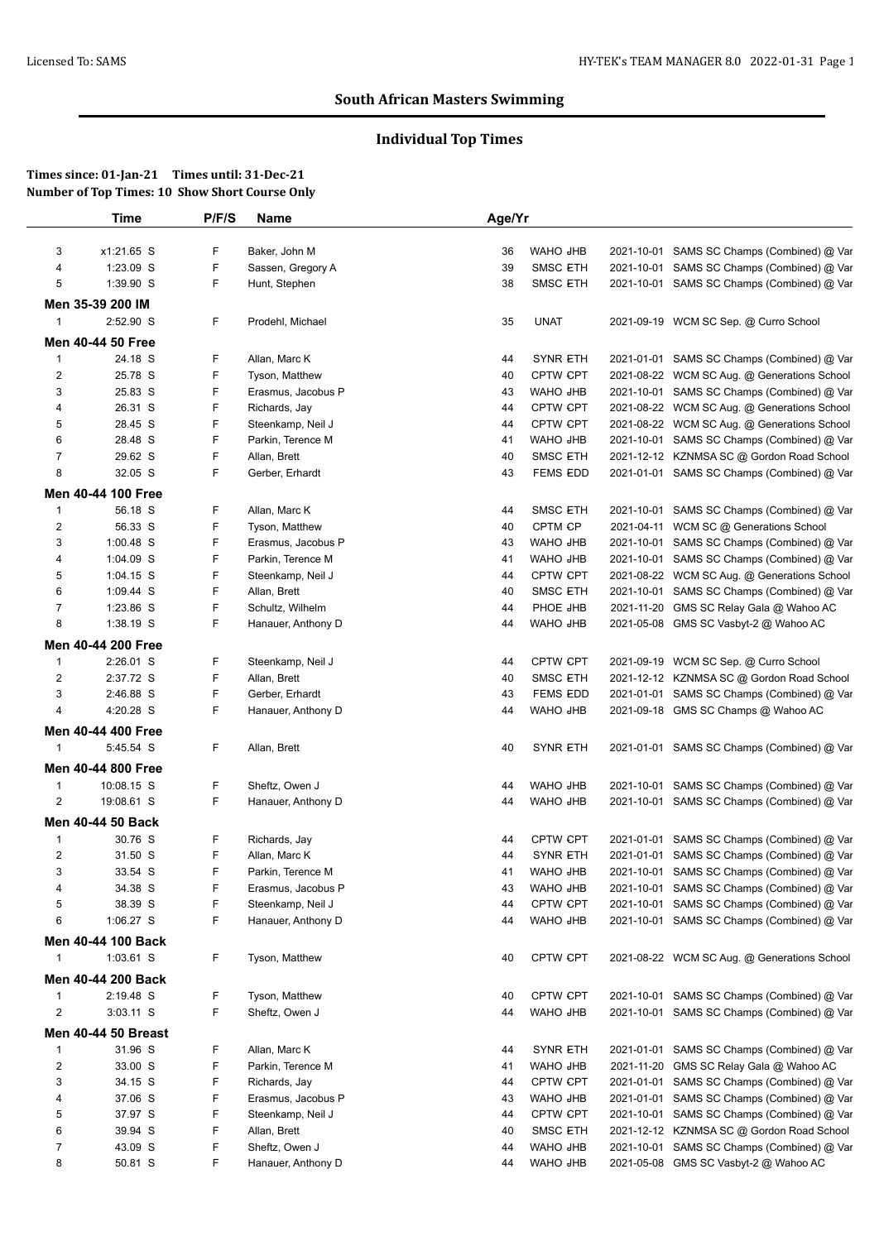# **Individual Top Times**

|                   | Time                              | P/F/S  | <b>Name</b>        | Age/Yr |                 |            |                                             |
|-------------------|-----------------------------------|--------|--------------------|--------|-----------------|------------|---------------------------------------------|
| 3                 | x1:21.65 S                        | F      | Baker, John M      | 36     | WAHO JHB        |            | 2021-10-01 SAMS SC Champs (Combined) @ Var  |
| 4                 | 1:23.09 S                         | F      | Sassen, Gregory A  | 39     | <b>SMSC ETH</b> |            | 2021-10-01 SAMS SC Champs (Combined) @ Var  |
| 5                 | 1:39.90 S                         | F      | Hunt, Stephen      | 38     | SMSC ETH        |            | 2021-10-01 SAMS SC Champs (Combined) @ Var  |
|                   | Men 35-39 200 IM                  |        |                    |        |                 |            |                                             |
| 1                 | 2:52.90 S                         | F      | Prodehl, Michael   | 35     | <b>UNAT</b>     |            | 2021-09-19 WCM SC Sep. @ Curro School       |
|                   | Men 40-44 50 Free                 |        |                    |        |                 |            |                                             |
| $\mathbf{1}$      | 24.18 S                           | F      | Allan, Marc K      | 44     | <b>SYNR ETH</b> |            | 2021-01-01 SAMS SC Champs (Combined) @ Var  |
| 2                 | 25.78 S                           | F      | Tyson, Matthew     | 40     | <b>CPTW CPT</b> |            | 2021-08-22 WCM SC Aug. @ Generations School |
| 3                 | 25.83 S                           | F      | Erasmus, Jacobus P | 43     | WAHO JHB        |            | 2021-10-01 SAMS SC Champs (Combined) @ Var  |
| 4                 | 26.31 S                           | F      | Richards, Jay      | 44     | <b>CPTW CPT</b> |            | 2021-08-22 WCM SC Aug. @ Generations School |
| 5                 | 28.45 S                           | F      | Steenkamp, Neil J  | 44     | <b>CPTW CPT</b> |            | 2021-08-22 WCM SC Aug. @ Generations School |
| 6                 | 28.48 S                           | F      | Parkin, Terence M  | 41     | WAHO JHB        |            | 2021-10-01 SAMS SC Champs (Combined) @ Var  |
| 7                 | 29.62 S                           | F      | Allan, Brett       | 40     | <b>SMSC ETH</b> |            | 2021-12-12 KZNMSA SC @ Gordon Road School   |
| 8                 | 32.05 S                           | F      | Gerber, Erhardt    | 43     | <b>FEMS EDD</b> |            | 2021-01-01 SAMS SC Champs (Combined) @ Var  |
|                   | Men 40-44 100 Free                |        |                    |        |                 |            |                                             |
| $\mathbf{1}$      | 56.18 S                           | F      | Allan, Marc K      | 44     | <b>SMSC ETH</b> |            | 2021-10-01 SAMS SC Champs (Combined) @ Var  |
| 2                 | 56.33 S                           | F      | Tyson, Matthew     | 40     | CPTM CP         | 2021-04-11 | WCM SC @ Generations School                 |
| 3                 | $1:00.48$ S                       | F      | Erasmus, Jacobus P | 43     | WAHO JHB        | 2021-10-01 | SAMS SC Champs (Combined) @ Var             |
| 4                 | 1:04.09 S                         | F      | Parkin, Terence M  | 41     | WAHO JHB        |            | 2021-10-01 SAMS SC Champs (Combined) @ Var  |
| 5                 | $1:04.15$ S                       | F      | Steenkamp, Neil J  | 44     | <b>CPTW CPT</b> |            | 2021-08-22 WCM SC Aug. @ Generations School |
| 6                 | 1:09.44 S                         | F      | Allan, Brett       | 40     | <b>SMSC ETH</b> | 2021-10-01 | SAMS SC Champs (Combined) @ Var             |
| 7                 | 1:23.86 S                         | F      | Schultz, Wilhelm   | 44     | PHOE JHB        | 2021-11-20 | GMS SC Relay Gala @ Wahoo AC                |
| 8                 | 1:38.19 S                         | F      | Hanauer, Anthony D | 44     | WAHO JHB        |            | 2021-05-08 GMS SC Vasbyt-2 @ Wahoo AC       |
|                   | Men 40-44 200 Free                |        |                    |        |                 |            |                                             |
| 1                 | 2:26.01 S                         | F      | Steenkamp, Neil J  | 44     | <b>CPTW CPT</b> |            | 2021-09-19 WCM SC Sep. @ Curro School       |
| 2                 | 2:37.72 S                         | F      | Allan, Brett       | 40     | <b>SMSC ETH</b> |            | 2021-12-12 KZNMSA SC @ Gordon Road School   |
| 3                 | 2:46.88 S                         | F      | Gerber, Erhardt    | 43     | <b>FEMS EDD</b> |            | 2021-01-01 SAMS SC Champs (Combined) @ Var  |
| 4                 | 4:20.28 S                         | F      | Hanauer, Anthony D | 44     | WAHO JHB        |            | 2021-09-18 GMS SC Champs @ Wahoo AC         |
|                   | Men 40-44 400 Free                |        |                    |        |                 |            |                                             |
| $\mathbf{1}$      | 5:45.54 S                         | F      | Allan, Brett       | 40     | <b>SYNR ETH</b> |            | 2021-01-01 SAMS SC Champs (Combined) @ Var  |
|                   | Men 40-44 800 Free                |        |                    |        |                 |            |                                             |
| 1                 | 10:08.15 S                        | F      | Sheftz, Owen J     | 44     | WAHO JHB        | 2021-10-01 | SAMS SC Champs (Combined) @ Var             |
| 2                 | 19:08.61 S                        | F      | Hanauer, Anthony D | 44     | WAHO JHB        |            | 2021-10-01 SAMS SC Champs (Combined) @ Var  |
|                   | Men 40-44 50 Back                 |        |                    |        |                 |            |                                             |
| 1                 | 30.76 S                           | F      | Richards, Jay      | 44     | <b>CPTW CPT</b> |            | 2021-01-01 SAMS SC Champs (Combined) @ Var  |
| 2                 | 31.50 S                           | F      | Allan, Marc K      | 44     | <b>SYNR ETH</b> |            | 2021-01-01 SAMS SC Champs (Combined) @ Var  |
| 3                 | 33.54 S                           | F      | Parkin, Terence M  | 41     | WAHO JHB        |            | 2021-10-01 SAMS SC Champs (Combined) @ Var  |
| 4                 | 34.38 S                           | F      | Erasmus, Jacobus P | 43     | WAHO JHB        |            | 2021-10-01 SAMS SC Champs (Combined) @ Var  |
| 5                 | 38.39 S                           | F      | Steenkamp, Neil J  | 44     | <b>CPTW CPT</b> |            | 2021-10-01 SAMS SC Champs (Combined) @ Var  |
| 6                 | 1:06.27 S                         | F      | Hanauer, Anthony D | 44     | WAHO JHB        |            | 2021-10-01 SAMS SC Champs (Combined) @ Var  |
|                   |                                   |        |                    |        |                 |            |                                             |
| 1                 | Men 40-44 100 Back<br>$1:03.61$ S | F      | Tyson, Matthew     | 40     | CPTW CPT        |            | 2021-08-22 WCM SC Aug. @ Generations School |
|                   |                                   |        |                    |        |                 |            |                                             |
|                   | Men 40-44 200 Back                |        |                    |        |                 |            |                                             |
| $\mathbf{1}$<br>2 | 2:19.48 S                         | F<br>F | Tyson, Matthew     | 40     | <b>CPTW CPT</b> |            | 2021-10-01 SAMS SC Champs (Combined) @ Var  |
|                   | 3:03.11 S                         |        | Sheftz, Owen J     | 44     | WAHO JHB        |            | 2021-10-01 SAMS SC Champs (Combined) @ Var  |
|                   | <b>Men 40-44 50 Breast</b>        |        |                    |        |                 |            |                                             |
| $\mathbf{1}$      | 31.96 S                           | F      | Allan, Marc K      | 44     | <b>SYNR ETH</b> |            | 2021-01-01 SAMS SC Champs (Combined) @ Var  |
| 2                 | 33.00 S                           | F      | Parkin, Terence M  | 41     | WAHO JHB        | 2021-11-20 | GMS SC Relay Gala @ Wahoo AC                |
| 3                 | 34.15 S                           | F      | Richards, Jay      | 44     | <b>CPTW CPT</b> | 2021-01-01 | SAMS SC Champs (Combined) @ Var             |
| 4                 | 37.06 S                           | F      | Erasmus, Jacobus P | 43     | WAHO JHB        | 2021-01-01 | SAMS SC Champs (Combined) @ Var             |
| 5                 | 37.97 S                           | F      | Steenkamp, Neil J  | 44     | <b>CPTW CPT</b> | 2021-10-01 | SAMS SC Champs (Combined) @ Var             |
| 6                 | 39.94 S                           | F      | Allan, Brett       | 40     | <b>SMSC ETH</b> | 2021-12-12 | KZNMSA SC @ Gordon Road School              |
| 7                 | 43.09 S                           | F      | Sheftz, Owen J     | 44     | WAHO JHB        | 2021-10-01 | SAMS SC Champs (Combined) @ Var             |
| 8                 | 50.81 S                           | F      | Hanauer, Anthony D | 44     | WAHO JHB        | 2021-05-08 | GMS SC Vasbyt-2 @ Wahoo AC                  |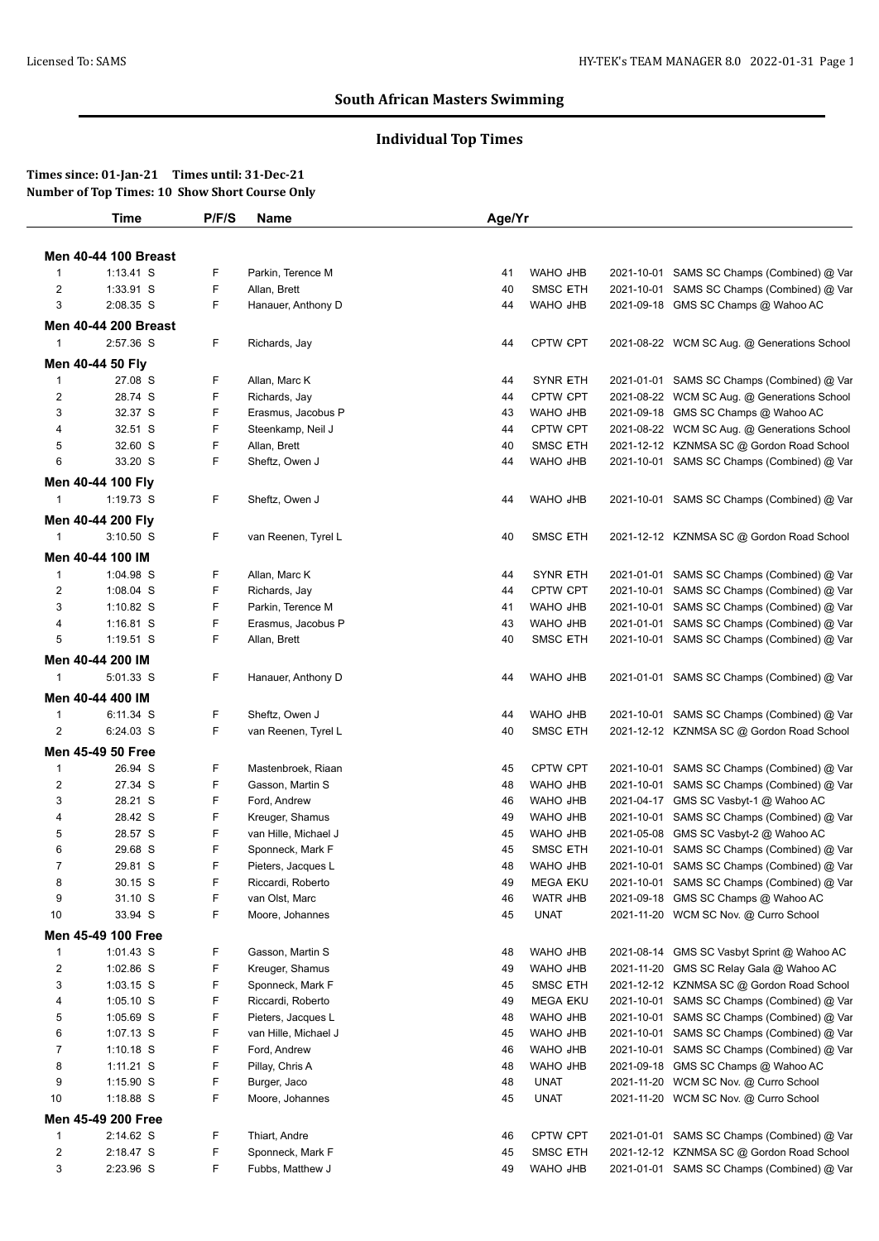# **Individual Top Times**

|                         | <b>Time</b>                      | P/F/S | Name                 | Age/Yr |                 |            |                                             |
|-------------------------|----------------------------------|-------|----------------------|--------|-----------------|------------|---------------------------------------------|
|                         |                                  |       |                      |        |                 |            |                                             |
|                         | <b>Men 40-44 100 Breast</b>      |       |                      |        |                 |            |                                             |
| $\overline{1}$          | $1:13.41$ S                      | F     | Parkin, Terence M    | 41     | WAHO JHB        | 2021-10-01 | SAMS SC Champs (Combined) @ Var             |
| $\overline{2}$          | 1:33.91 S                        | F     | Allan, Brett         | 40     | <b>SMSC ETH</b> |            | 2021-10-01 SAMS SC Champs (Combined) @ Var  |
| 3                       | 2:08.35 S                        | F     | Hanauer, Anthony D   | 44     | WAHO JHB        |            | 2021-09-18 GMS SC Champs @ Wahoo AC         |
|                         | <b>Men 40-44 200 Breast</b>      |       |                      |        |                 |            |                                             |
| $\mathbf{1}$            | 2:57.36 S                        | F     | Richards, Jay        | 44     | CPTW CPT        |            | 2021-08-22 WCM SC Aug. @ Generations School |
|                         | Men 40-44 50 Fly                 |       |                      |        |                 |            |                                             |
| $\mathbf 1$             | 27.08 S                          | F     | Allan, Marc K        | 44     | <b>SYNR ETH</b> |            | 2021-01-01 SAMS SC Champs (Combined) @ Var  |
| $\overline{c}$          | 28.74 S                          | F     | Richards, Jay        | 44     | <b>CPTW CPT</b> |            | 2021-08-22 WCM SC Aug. @ Generations School |
| 3                       | 32.37 S                          | F     | Erasmus, Jacobus P   | 43     | WAHO JHB        | 2021-09-18 | GMS SC Champs @ Wahoo AC                    |
| 4                       | 32.51 S                          | F     | Steenkamp, Neil J    | 44     | CPTW CPT        |            | 2021-08-22 WCM SC Aug. @ Generations School |
| 5                       | 32.60 S                          | F     | Allan, Brett         | 40     | <b>SMSC ETH</b> |            | 2021-12-12 KZNMSA SC @ Gordon Road School   |
| 6                       | 33.20 S                          | F     | Sheftz, Owen J       | 44     | WAHO JHB        |            | 2021-10-01 SAMS SC Champs (Combined) @ Var  |
|                         | Men 40-44 100 Fly                |       |                      |        |                 |            |                                             |
| $\mathbf{1}$            | 1:19.73 S                        | F     | Sheftz, Owen J       | 44     | WAHO JHB        |            | 2021-10-01 SAMS SC Champs (Combined) @ Var  |
|                         |                                  |       |                      |        |                 |            |                                             |
| $\mathbf{1}$            | Men 40-44 200 Fly<br>$3:10.50$ S | F     | van Reenen, Tyrel L  | 40     | <b>SMSC ETH</b> |            | 2021-12-12 KZNMSA SC @ Gordon Road School   |
|                         |                                  |       |                      |        |                 |            |                                             |
|                         | Men 40-44 100 IM                 |       |                      |        |                 |            |                                             |
| $\mathbf{1}$            | 1:04.98 S                        | F     | Allan, Marc K        | 44     | <b>SYNR ETH</b> |            | 2021-01-01 SAMS SC Champs (Combined) @ Var  |
| $\overline{c}$          | 1:08.04 S                        | F     | Richards, Jay        | 44     | <b>CPTW CPT</b> |            | 2021-10-01 SAMS SC Champs (Combined) @ Var  |
| 3                       | $1:10.82$ S                      | F     | Parkin, Terence M    | 41     | WAHO JHB        | 2021-10-01 | SAMS SC Champs (Combined) @ Var             |
| 4                       | $1:16.81$ S                      | F     | Erasmus, Jacobus P   | 43     | WAHO JHB        | 2021-01-01 | SAMS SC Champs (Combined) @ Var             |
| 5                       | 1:19.51 S                        | F     | Allan, Brett         | 40     | <b>SMSC ETH</b> |            | 2021-10-01 SAMS SC Champs (Combined) @ Var  |
|                         | Men 40-44 200 IM                 |       |                      |        |                 |            |                                             |
| $\mathbf{1}$            | 5:01.33 S                        | F     | Hanauer, Anthony D   | 44     | WAHO JHB        |            | 2021-01-01 SAMS SC Champs (Combined) @ Var  |
|                         | Men 40-44 400 IM                 |       |                      |        |                 |            |                                             |
| $\mathbf{1}$            | 6:11.34 S                        | F     | Sheftz, Owen J       | 44     | WAHO JHB        |            | 2021-10-01 SAMS SC Champs (Combined) @ Var  |
| 2                       | 6:24.03 S                        | F     | van Reenen, Tyrel L  | 40     | <b>SMSC ETH</b> |            | 2021-12-12 KZNMSA SC @ Gordon Road School   |
|                         |                                  |       |                      |        |                 |            |                                             |
|                         | Men 45-49 50 Free                |       |                      |        |                 |            |                                             |
| $\mathbf{1}$            | 26.94 S                          | F     | Mastenbroek, Riaan   | 45     | <b>CPTW CPT</b> | 2021-10-01 | SAMS SC Champs (Combined) @ Var             |
| $\overline{2}$          | 27.34 S                          | F     | Gasson, Martin S     | 48     | WAHO JHB        | 2021-10-01 | SAMS SC Champs (Combined) @ Var             |
| 3                       | 28.21 S                          | F     | Ford, Andrew         | 46     | WAHO JHB        | 2021-04-17 | GMS SC Vasbyt-1 @ Wahoo AC                  |
| 4                       | 28.42 S                          | F     | Kreuger, Shamus      | 49     | WAHO JHB        | 2021-10-01 | SAMS SC Champs (Combined) @ Var             |
| 5                       | 28.57 S                          | F     | van Hille, Michael J | 45     | WAHO JHB        | 2021-05-08 | GMS SC Vasbyt-2 @ Wahoo AC                  |
| 6                       | 29.68 S                          | F     | Sponneck, Mark F     | 45     | <b>SMSC ETH</b> | 2021-10-01 | SAMS SC Champs (Combined) @ Var             |
| $\overline{7}$          | 29.81 S                          | F     | Pieters, Jacques L   | 48     | WAHO JHB        |            | 2021-10-01 SAMS SC Champs (Combined) @ Var  |
| 8                       | 30.15 S                          | F     | Riccardi, Roberto    | 49     | <b>MEGA EKU</b> |            | 2021-10-01 SAMS SC Champs (Combined) @ Var  |
| 9                       | 31.10 S                          | F     | van Olst, Marc       | 46     | <b>WATR JHB</b> | 2021-09-18 | GMS SC Champs @ Wahoo AC                    |
| 10                      | 33.94 S                          | F     | Moore, Johannes      | 45     | <b>UNAT</b>     |            | 2021-11-20 WCM SC Nov. @ Curro School       |
|                         | Men 45-49 100 Free               |       |                      |        |                 |            |                                             |
| $\mathbf{1}$            | 1:01.43 S                        | F     | Gasson, Martin S     | 48     | WAHO JHB        | 2021-08-14 | GMS SC Vasbyt Sprint @ Wahoo AC             |
| $\overline{c}$          | 1:02.86 S                        | F     | Kreuger, Shamus      | 49     | WAHO JHB        | 2021-11-20 | GMS SC Relay Gala @ Wahoo AC                |
| 3                       | $1:03.15$ S                      | F     | Sponneck, Mark F     | 45     | <b>SMSC ETH</b> |            | 2021-12-12 KZNMSA SC @ Gordon Road School   |
| 4                       | $1:05.10$ S                      | F     | Riccardi, Roberto    | 49     | <b>MEGA EKU</b> |            | 2021-10-01 SAMS SC Champs (Combined) @ Var  |
| 5                       | 1:05.69 S                        | F     | Pieters, Jacques L   | 48     | WAHO JHB        |            | 2021-10-01 SAMS SC Champs (Combined) @ Var  |
| 6                       | 1:07.13 S                        | F     | van Hille, Michael J | 45     | WAHO JHB        |            | 2021-10-01 SAMS SC Champs (Combined) @ Var  |
| 7                       | $1:10.18$ S                      | F     | Ford, Andrew         | 46     | WAHO JHB        |            | 2021-10-01 SAMS SC Champs (Combined) @ Var  |
| 8                       | 1:11.21 S                        | F     | Pillay, Chris A      | 48     | WAHO JHB        | 2021-09-18 | GMS SC Champs @ Wahoo AC                    |
| 9                       | $1:15.90$ S                      | F     | Burger, Jaco         | 48     | <b>UNAT</b>     |            | 2021-11-20 WCM SC Nov. @ Curro School       |
| 10                      | 1:18.88 S                        | F     | Moore, Johannes      | 45     | <b>UNAT</b>     |            | 2021-11-20 WCM SC Nov. @ Curro School       |
|                         | Men 45-49 200 Free               |       |                      |        |                 |            |                                             |
| $\mathbf{1}$            | 2:14.62 S                        | F     | Thiart, Andre        | 46     | CPTW CPT        |            | 2021-01-01 SAMS SC Champs (Combined) @ Var  |
|                         |                                  |       |                      |        |                 |            |                                             |
| $\overline{\mathbf{c}}$ | 2:18.47 S                        | F     | Sponneck, Mark F     | 45     | <b>SMSC ETH</b> |            | 2021-12-12 KZNMSA SC @ Gordon Road School   |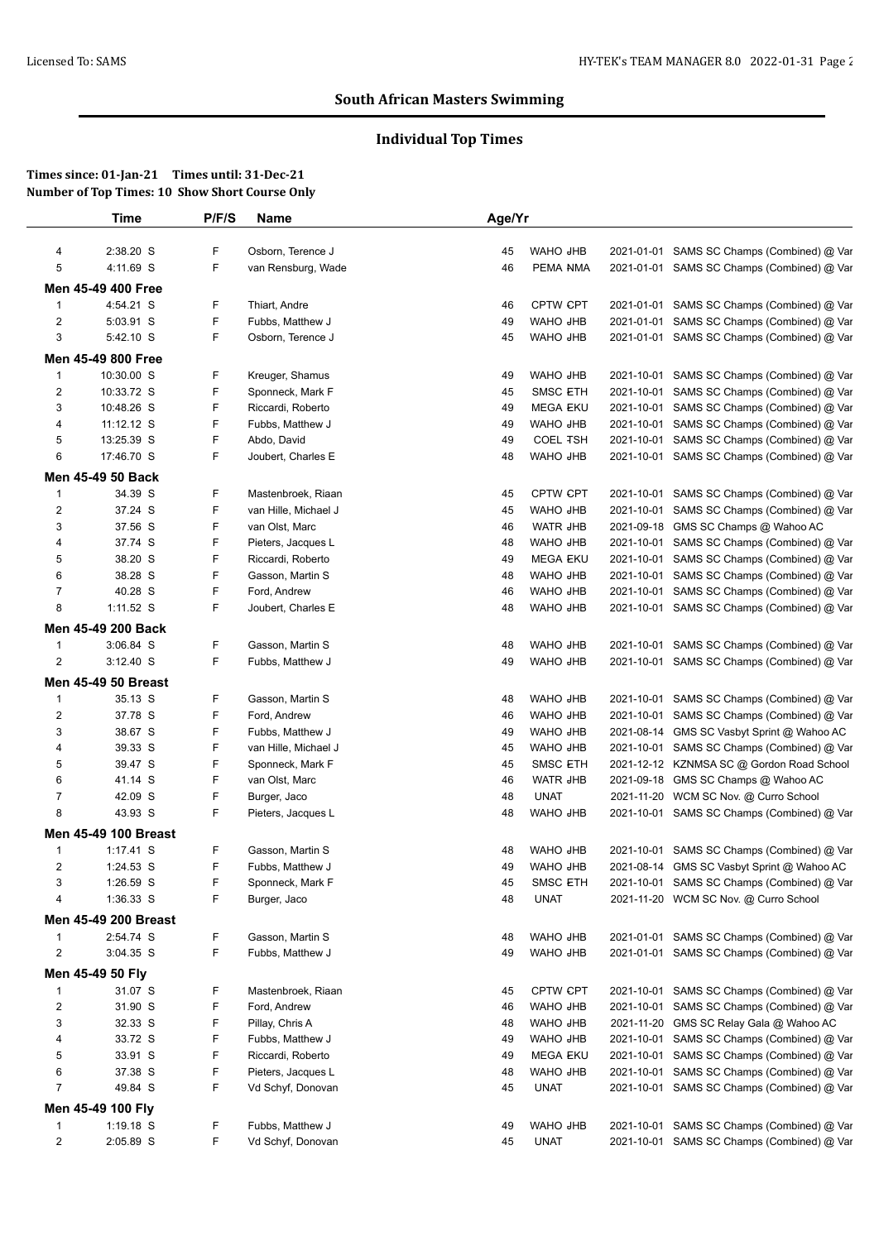# **Individual Top Times**

|                         | <b>Time</b>                 | P/F/S | Name                 | Age/Yr |                 |            |                                            |
|-------------------------|-----------------------------|-------|----------------------|--------|-----------------|------------|--------------------------------------------|
| 4                       | 2:38.20 S                   | F     | Osborn, Terence J    | 45     | WAHO JHB        |            | 2021-01-01 SAMS SC Champs (Combined) @ Var |
| 5                       | 4:11.69 S                   | F     | van Rensburg, Wade   | 46     | PEMA NMA        |            | 2021-01-01 SAMS SC Champs (Combined) @ Var |
|                         | Men 45-49 400 Free          |       |                      |        |                 |            |                                            |
| $\mathbf{1}$            | 4:54.21 S                   | F     | Thiart, Andre        | 46     | <b>CPTW CPT</b> | 2021-01-01 | SAMS SC Champs (Combined) @ Var            |
| 2                       | 5:03.91 S                   | F     | Fubbs, Matthew J     | 49     | WAHO JHB        | 2021-01-01 | SAMS SC Champs (Combined) @ Var            |
| 3                       | 5:42.10 S                   | F     | Osborn, Terence J    | 45     | WAHO JHB        |            | 2021-01-01 SAMS SC Champs (Combined) @ Var |
|                         | Men 45-49 800 Free          |       |                      |        |                 |            |                                            |
| $\mathbf{1}$            | 10:30.00 S                  | F     | Kreuger, Shamus      | 49     | WAHO JHB        | 2021-10-01 | SAMS SC Champs (Combined) @ Var            |
| $\overline{c}$          | 10:33.72 S                  | F     | Sponneck, Mark F     | 45     | SMSC ETH        | 2021-10-01 | SAMS SC Champs (Combined) @ Var            |
| 3                       | 10:48.26 S                  | F     | Riccardi, Roberto    | 49     | <b>MEGA EKU</b> | 2021-10-01 | SAMS SC Champs (Combined) @ Var            |
| 4                       | 11:12.12 S                  | F     | Fubbs, Matthew J     | 49     | WAHO JHB        | 2021-10-01 | SAMS SC Champs (Combined) @ Var            |
| 5                       | 13:25.39 S                  | F     | Abdo, David          | 49     | <b>COEL TSH</b> | 2021-10-01 | SAMS SC Champs (Combined) @ Var            |
| 6                       | 17:46.70 S                  | F     | Joubert, Charles E   | 48     | WAHO JHB        | 2021-10-01 | SAMS SC Champs (Combined) @ Var            |
|                         |                             |       |                      |        |                 |            |                                            |
|                         | Men 45-49 50 Back           |       |                      |        |                 |            |                                            |
| $\mathbf{1}$            | 34.39 S                     | F     | Mastenbroek, Riaan   | 45     | <b>CPTW CPT</b> | 2021-10-01 | SAMS SC Champs (Combined) @ Var            |
| $\overline{\mathbf{c}}$ | 37.24 S                     | F     | van Hille, Michael J | 45     | WAHO JHB        | 2021-10-01 | SAMS SC Champs (Combined) @ Var            |
| 3                       | 37.56 S                     | F     | van Olst, Marc       | 46     | <b>WATR JHB</b> | 2021-09-18 | GMS SC Champs @ Wahoo AC                   |
| 4                       | 37.74 S                     | F     | Pieters, Jacques L   | 48     | WAHO JHB        | 2021-10-01 | SAMS SC Champs (Combined) @ Var            |
| 5                       | 38.20 S                     | F     | Riccardi, Roberto    | 49     | <b>MEGA EKU</b> | 2021-10-01 | SAMS SC Champs (Combined) @ Var            |
| 6                       | 38.28 S                     | F     | Gasson, Martin S     | 48     | WAHO JHB        | 2021-10-01 | SAMS SC Champs (Combined) @ Var            |
| 7                       | 40.28 S                     | F     | Ford, Andrew         | 46     | WAHO JHB        | 2021-10-01 | SAMS SC Champs (Combined) @ Var            |
| 8                       | $1:11.52$ S                 | F     | Joubert, Charles E   | 48     | WAHO JHB        | 2021-10-01 | SAMS SC Champs (Combined) @ Var            |
|                         | Men 45-49 200 Back          |       |                      |        |                 |            |                                            |
| 1                       | 3:06.84 S                   | F     | Gasson, Martin S     | 48     | WAHO JHB        | 2021-10-01 | SAMS SC Champs (Combined) @ Var            |
| 2                       | $3:12.40$ S                 | F     | Fubbs, Matthew J     | 49     | WAHO JHB        |            | 2021-10-01 SAMS SC Champs (Combined) @ Var |
|                         | <b>Men 45-49 50 Breast</b>  |       |                      |        |                 |            |                                            |
| $\mathbf{1}$            | 35.13 S                     | F     | Gasson, Martin S     | 48     | WAHO JHB        | 2021-10-01 | SAMS SC Champs (Combined) @ Var            |
| 2                       | 37.78 S                     | F     | Ford, Andrew         | 46     | WAHO JHB        | 2021-10-01 | SAMS SC Champs (Combined) @ Var            |
| 3                       | 38.67 S                     | F     | Fubbs, Matthew J     | 49     | WAHO JHB        | 2021-08-14 | GMS SC Vasbyt Sprint @ Wahoo AC            |
| 4                       | 39.33 S                     | F     | van Hille, Michael J | 45     | WAHO JHB        | 2021-10-01 | SAMS SC Champs (Combined) @ Var            |
| 5                       | 39.47 S                     | F     | Sponneck, Mark F     | 45     | <b>SMSC ETH</b> |            | 2021-12-12 KZNMSA SC @ Gordon Road School  |
| 6                       | 41.14 S                     | F     | van Olst, Marc       | 46     | WATR JHB        | 2021-09-18 | GMS SC Champs @ Wahoo AC                   |
| $\overline{7}$          | 42.09 S                     | F     | Burger, Jaco         | 48     | <b>UNAT</b>     |            | 2021-11-20 WCM SC Nov. @ Curro School      |
| 8                       | 43.93 S                     | F     | Pieters, Jacques L   | 48     | WAHO JHB        |            | 2021-10-01 SAMS SC Champs (Combined) @ Var |
|                         | <b>Men 45-49 100 Breast</b> |       |                      |        |                 |            |                                            |
| $\mathbf 1$             | $1:17.41$ S                 | F     | Gasson, Martin S     | 48     | WAHO JHB        | 2021-10-01 | SAMS SC Champs (Combined) @ Var            |
| 2                       | 1:24.53 S                   | F     | Fubbs, Matthew J     | 49     | WAHO JHB        |            | 2021-08-14 GMS SC Vasbyt Sprint @ Wahoo AC |
| 3                       | 1:26.59 S                   | F     | Sponneck, Mark F     | 45     | <b>SMSC ETH</b> |            | 2021-10-01 SAMS SC Champs (Combined) @ Var |
| 4                       | 1:36.33 S                   | F     | Burger, Jaco         | 48     | <b>UNAT</b>     |            | 2021-11-20 WCM SC Nov. @ Curro School      |
|                         | <b>Men 45-49 200 Breast</b> |       |                      |        |                 |            |                                            |
| $\mathbf{1}$            | 2:54.74 S                   | F     | Gasson, Martin S     | 48     | WAHO JHB        |            | 2021-01-01 SAMS SC Champs (Combined) @ Var |
| $\overline{2}$          | 3:04.35 S                   | F     | Fubbs, Matthew J     | 49     | WAHO JHB        |            | 2021-01-01 SAMS SC Champs (Combined) @ Var |
|                         |                             |       |                      |        |                 |            |                                            |
|                         | Men 45-49 50 Fly            |       |                      |        |                 |            |                                            |
| 1                       | 31.07 S                     | F.    | Mastenbroek, Riaan   | 45     | <b>CPTW CPT</b> | 2021-10-01 | SAMS SC Champs (Combined) @ Var            |
| $\overline{2}$          | 31.90 S                     | F     | Ford, Andrew         | 46     | WAHO JHB        | 2021-10-01 | SAMS SC Champs (Combined) @ Var            |
| 3                       | 32.33 S                     | F     | Pillay, Chris A      | 48     | WAHO JHB        | 2021-11-20 | GMS SC Relay Gala @ Wahoo AC               |
| 4                       | 33.72 S                     | F     | Fubbs, Matthew J     | 49     | WAHO JHB        | 2021-10-01 | SAMS SC Champs (Combined) @ Var            |
| 5                       | 33.91 S                     | F     | Riccardi, Roberto    | 49     | <b>MEGA EKU</b> | 2021-10-01 | SAMS SC Champs (Combined) @ Var            |
| 6                       | 37.38 S                     | F     | Pieters, Jacques L   | 48     | WAHO JHB        | 2021-10-01 | SAMS SC Champs (Combined) @ Var            |
| $\overline{7}$          | 49.84 S                     | F     | Vd Schyf, Donovan    | 45     | <b>UNAT</b>     | 2021-10-01 | SAMS SC Champs (Combined) @ Var            |
|                         | Men 45-49 100 Fly           |       |                      |        |                 |            |                                            |
| $\mathbf{1}$            | $1:19.18$ S                 | F.    | Fubbs, Matthew J     | 49     | WAHO JHB        | 2021-10-01 | SAMS SC Champs (Combined) @ Var            |
| $\overline{\mathbf{c}}$ | 2:05.89 S                   | F.    | Vd Schyf, Donovan    | 45     | <b>UNAT</b>     |            | 2021-10-01 SAMS SC Champs (Combined) @ Var |
|                         |                             |       |                      |        |                 |            |                                            |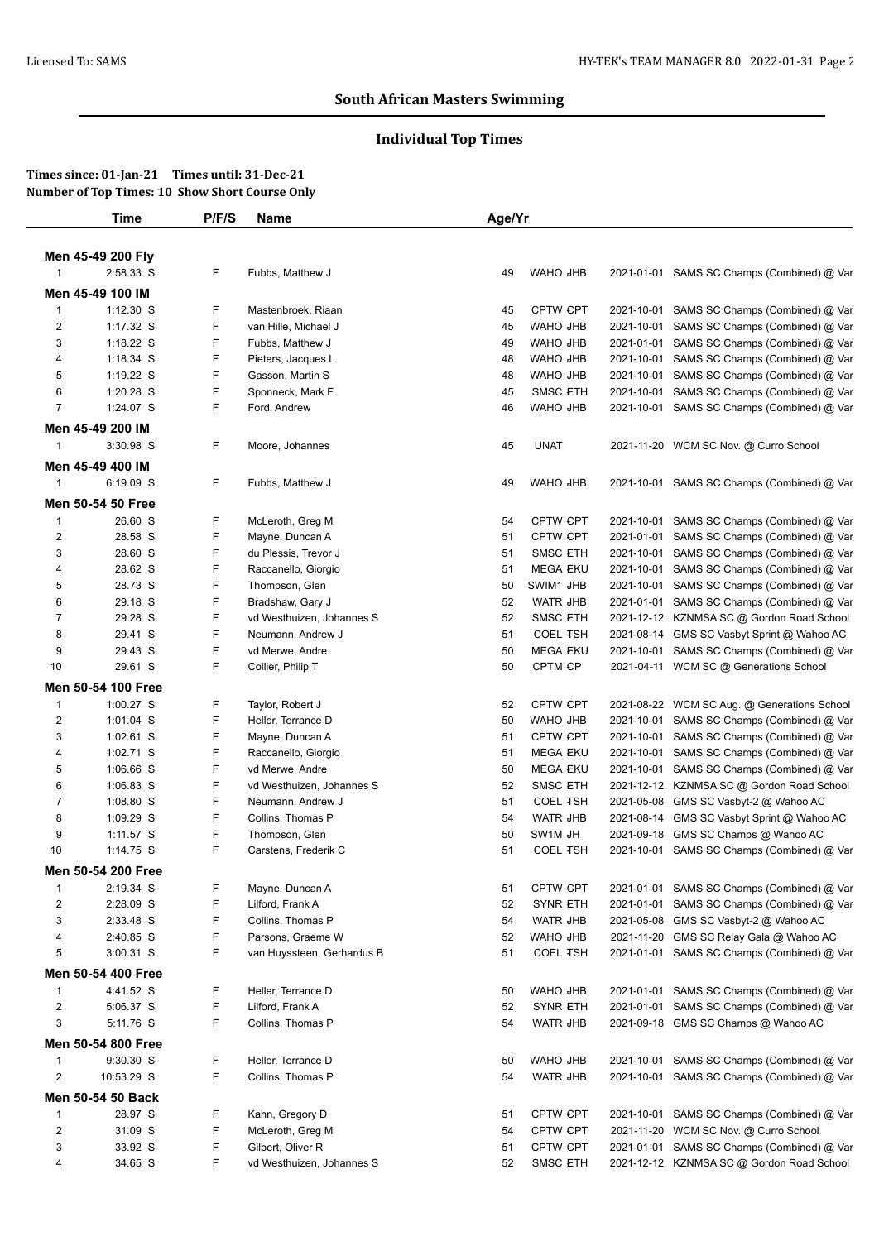# **Individual Top Times**

|                         | <b>Time</b>        | P/F/S | Name                       | Age/Yr |                 |            |                                             |
|-------------------------|--------------------|-------|----------------------------|--------|-----------------|------------|---------------------------------------------|
|                         |                    |       |                            |        |                 |            |                                             |
|                         | Men 45-49 200 Fly  |       |                            |        |                 |            |                                             |
| $\mathbf{1}$            | 2:58.33 S          | F     | Fubbs, Matthew J           | 49     | WAHO JHB        |            | 2021-01-01 SAMS SC Champs (Combined) @ Var  |
|                         | Men 45-49 100 IM   |       |                            |        |                 |            |                                             |
| $\mathbf{1}$            | $1:12.30$ S        | F     | Mastenbroek, Riaan         | 45     | <b>CPTW CPT</b> | 2021-10-01 | SAMS SC Champs (Combined) @ Var             |
| $\overline{2}$          | 1:17.32 S          | F     | van Hille, Michael J       | 45     | WAHO JHB        | 2021-10-01 | SAMS SC Champs (Combined) @ Var             |
| 3                       | 1:18.22 S          | F     | Fubbs, Matthew J           | 49     | WAHO JHB        | 2021-01-01 | SAMS SC Champs (Combined) @ Var             |
| 4                       | 1:18.34 S          | F     | Pieters, Jacques L         | 48     | WAHO JHB        | 2021-10-01 | SAMS SC Champs (Combined) @ Var             |
| 5                       | 1:19.22 S          | F     | Gasson, Martin S           | 48     | WAHO JHB        | 2021-10-01 | SAMS SC Champs (Combined) @ Var             |
| 6                       | 1:20.28 S          | F     | Sponneck, Mark F           | 45     | <b>SMSC ETH</b> | 2021-10-01 | SAMS SC Champs (Combined) @ Var             |
| $\overline{7}$          | 1:24.07 S          | F     | Ford, Andrew               | 46     | WAHO JHB        | 2021-10-01 | SAMS SC Champs (Combined) @ Var             |
|                         | Men 45-49 200 IM   |       |                            |        |                 |            |                                             |
| 1                       | 3:30.98 S          | F     | Moore, Johannes            | 45     | <b>UNAT</b>     |            | 2021-11-20 WCM SC Nov. @ Curro School       |
|                         | Men 45-49 400 IM   |       |                            |        |                 |            |                                             |
| $\mathbf{1}$            | 6:19.09 S          | F     | Fubbs, Matthew J           | 49     | WAHO JHB        |            | 2021-10-01 SAMS SC Champs (Combined) @ Var  |
|                         |                    |       |                            |        |                 |            |                                             |
|                         | Men 50-54 50 Free  |       |                            |        |                 |            |                                             |
| $\mathbf 1$             | 26.60 S            | F     | McLeroth, Greg M           | 54     | <b>CPTW CPT</b> | 2021-10-01 | SAMS SC Champs (Combined) @ Var             |
| $\overline{2}$          | 28.58 S            | F     | Mayne, Duncan A            | 51     | CPTW CPT        | 2021-01-01 | SAMS SC Champs (Combined) @ Var             |
| 3                       | 28.60 S            | F     | du Plessis, Trevor J       | 51     | <b>SMSC ETH</b> | 2021-10-01 | SAMS SC Champs (Combined) @ Var             |
| 4                       | 28.62 S            | F     | Raccanello, Giorgio        | 51     | <b>MEGA EKU</b> | 2021-10-01 | SAMS SC Champs (Combined) @ Var             |
| 5                       | 28.73 S            | F     | Thompson, Glen             | 50     | SWIM1 JHB       | 2021-10-01 | SAMS SC Champs (Combined) @ Var             |
| 6                       | 29.18 S            | F     | Bradshaw, Gary J           | 52     | WATR JHB        |            | 2021-01-01 SAMS SC Champs (Combined) @ Var  |
| $\overline{7}$          | 29.28 S            | F     | vd Westhuizen, Johannes S  | 52     | SMSC ETH        |            | 2021-12-12 KZNMSA SC @ Gordon Road School   |
| 8                       | 29.41 S            | F     | Neumann, Andrew J          | 51     | <b>COEL TSH</b> | 2021-08-14 | GMS SC Vasbyt Sprint @ Wahoo AC             |
| 9                       | 29.43 S            | F     | vd Merwe, Andre            | 50     | <b>MEGA EKU</b> | 2021-10-01 | SAMS SC Champs (Combined) @ Var             |
| 10                      | 29.61 S            | F     | Collier, Philip T          | 50     | CPTM CP         |            | 2021-04-11 WCM SC @ Generations School      |
|                         | Men 50-54 100 Free |       |                            |        |                 |            |                                             |
| $\mathbf{1}$            | 1:00.27 S          | F     | Taylor, Robert J           | 52     | <b>CPTW CPT</b> |            | 2021-08-22 WCM SC Aug. @ Generations School |
| $\overline{2}$          | 1:01.04 S          | F     | Heller, Terrance D         | 50     | WAHO JHB        | 2021-10-01 | SAMS SC Champs (Combined) @ Var             |
| 3                       | 1:02.61 S          | F     | Mayne, Duncan A            | 51     | CPTW CPT        | 2021-10-01 | SAMS SC Champs (Combined) @ Var             |
| 4                       | 1:02.71 S          | F     | Raccanello, Giorgio        | 51     | <b>MEGA EKU</b> | 2021-10-01 | SAMS SC Champs (Combined) @ Var             |
| 5                       | 1:06.66 S          | F     | vd Merwe, Andre            | 50     | <b>MEGA EKU</b> | 2021-10-01 | SAMS SC Champs (Combined) @ Var             |
| 6                       | 1:06.83 S          | F     | vd Westhuizen, Johannes S  | 52     | <b>SMSC ETH</b> |            | 2021-12-12 KZNMSA SC @ Gordon Road School   |
| $\overline{7}$          | 1:08.80 S          | F     | Neumann, Andrew J          | 51     | <b>COEL TSH</b> | 2021-05-08 | GMS SC Vasbyt-2 @ Wahoo AC                  |
| 8                       | 1:09.29 S          | F     | Collins, Thomas P          | 54     | <b>WATR JHB</b> | 2021-08-14 | GMS SC Vasbyt Sprint @ Wahoo AC             |
| 9                       | 1:11.57 S          | F     | Thompson, Glen             | 50     | SW1M JH         | 2021-09-18 | GMS SC Champs @ Wahoo AC                    |
| 10                      | 1:14.75 S          | F     | Carstens, Frederik C       | 51     | <b>COEL TSH</b> |            | 2021-10-01 SAMS SC Champs (Combined) @ Var  |
|                         | Men 50-54 200 Free |       |                            |        |                 |            |                                             |
| $\mathbf 1$             | 2:19.34 S          | F     | Mayne, Duncan A            | 51     | CPTW CPT        |            | 2021-01-01 SAMS SC Champs (Combined) @ Var  |
| $\overline{2}$          | 2:28.09 S          | F     | Lilford, Frank A           | 52     | <b>SYNR ETH</b> |            | 2021-01-01 SAMS SC Champs (Combined) @ Var  |
| 3                       | 2:33.48 S          | F     | Collins, Thomas P          | 54     | <b>WATR JHB</b> | 2021-05-08 | GMS SC Vasbyt-2 @ Wahoo AC                  |
| 4                       | 2:40.85 S          | F     | Parsons, Graeme W          | 52     | WAHO JHB        | 2021-11-20 | GMS SC Relay Gala @ Wahoo AC                |
| 5                       | 3:00.31 S          | F     | van Huyssteen, Gerhardus B | 51     | <b>COEL TSH</b> |            | 2021-01-01 SAMS SC Champs (Combined) @ Var  |
|                         |                    |       |                            |        |                 |            |                                             |
|                         | Men 50-54 400 Free |       |                            |        |                 |            |                                             |
| $\mathbf{1}$            | 4:41.52 S          | F     | Heller, Terrance D         | 50     | WAHO JHB        |            | 2021-01-01 SAMS SC Champs (Combined) @ Var  |
| $\overline{\mathbf{c}}$ | 5:06.37 S          | F     | Lilford, Frank A           | 52     | <b>SYNR ETH</b> |            | 2021-01-01 SAMS SC Champs (Combined) @ Var  |
| 3                       | 5:11.76 S          | F     | Collins, Thomas P          | 54     | WATR JHB        |            | 2021-09-18 GMS SC Champs @ Wahoo AC         |
|                         | Men 50-54 800 Free |       |                            |        |                 |            |                                             |
| $\mathbf{1}$            | 9:30.30 S          | F     | Heller, Terrance D         | 50     | WAHO JHB        |            | 2021-10-01 SAMS SC Champs (Combined) @ Var  |
| $\overline{2}$          | 10:53.29 S         | F     | Collins, Thomas P          | 54     | WATR JHB        |            | 2021-10-01 SAMS SC Champs (Combined) @ Var  |
|                         | Men 50-54 50 Back  |       |                            |        |                 |            |                                             |
| $\mathbf{1}$            | 28.97 S            | F     | Kahn, Gregory D            | 51     | CPTW CPT        |            | 2021-10-01 SAMS SC Champs (Combined) @ Var  |
| $\overline{\mathbf{c}}$ | 31.09 S            | F     | McLeroth, Greg M           | 54     | CPTW CPT        |            | 2021-11-20 WCM SC Nov. @ Curro School       |
|                         |                    |       |                            |        |                 |            |                                             |
| 3                       | 33.92 S            | F     | Gilbert, Oliver R          | 51     | CPTW CPT        |            | 2021-01-01 SAMS SC Champs (Combined) @ Var  |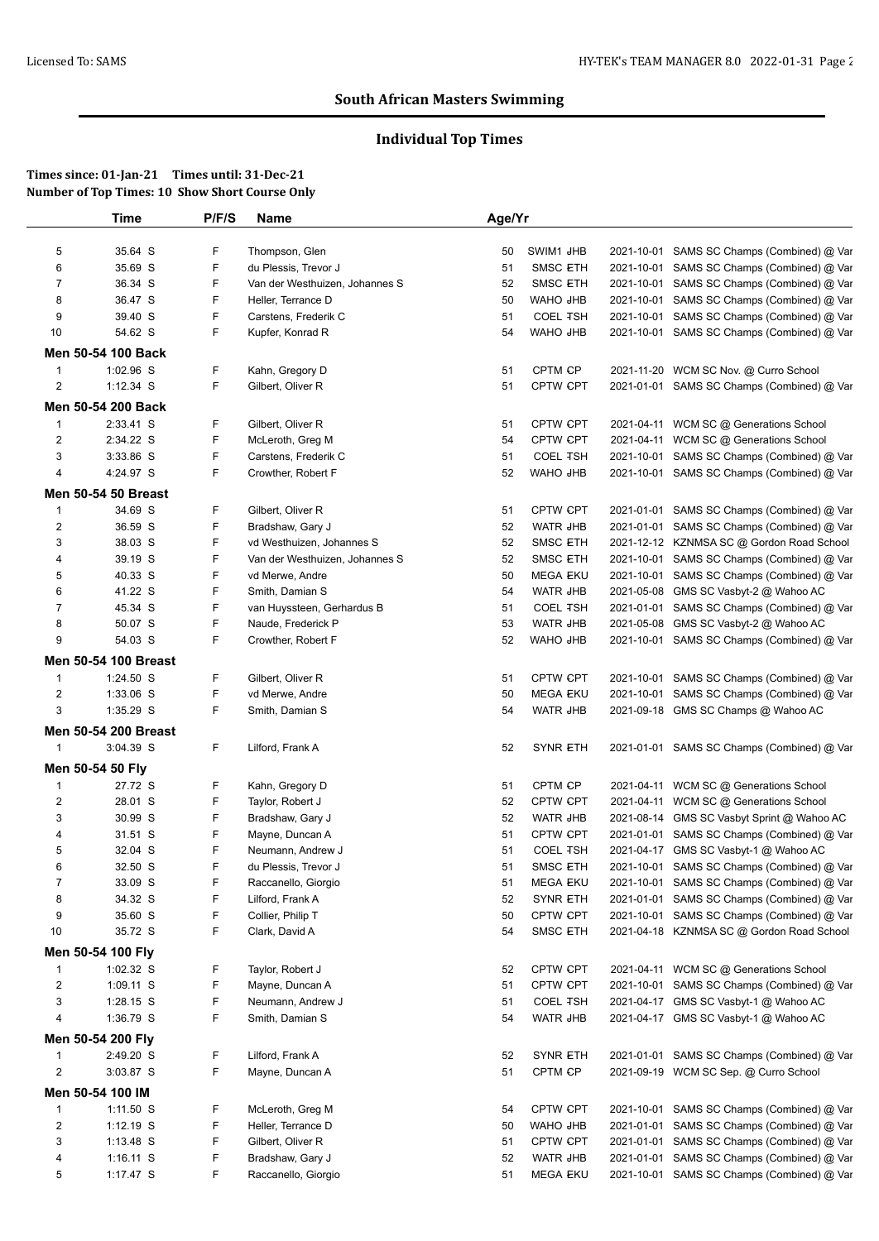# **Individual Top Times**

|                         | Time                        | P/F/S | <b>Name</b>                    | Age/Yr |                 |            |                                            |
|-------------------------|-----------------------------|-------|--------------------------------|--------|-----------------|------------|--------------------------------------------|
| 5                       | 35.64 S                     | F     | Thompson, Glen                 | 50     | SWIM1 JHB       | 2021-10-01 | SAMS SC Champs (Combined) @ Var            |
| 6                       | 35.69 S                     | F     | du Plessis, Trevor J           | 51     | <b>SMSC ETH</b> | 2021-10-01 | SAMS SC Champs (Combined) @ Var            |
| $\overline{7}$          | 36.34 S                     | F     | Van der Westhuizen, Johannes S | 52     | <b>SMSC ETH</b> | 2021-10-01 | SAMS SC Champs (Combined) @ Var            |
| 8                       | 36.47 S                     | F     | Heller, Terrance D             | 50     | WAHO JHB        | 2021-10-01 | SAMS SC Champs (Combined) @ Var            |
| 9                       | 39.40 S                     | F     | Carstens, Frederik C           | 51     | <b>COEL TSH</b> | 2021-10-01 | SAMS SC Champs (Combined) @ Var            |
| 10                      | 54.62 S                     | F     | Kupfer, Konrad R               | 54     | WAHO JHB        | 2021-10-01 | SAMS SC Champs (Combined) @ Var            |
|                         | Men 50-54 100 Back          |       |                                |        |                 |            |                                            |
| $\mathbf{1}$            | 1:02.96 S                   | F     | Kahn, Gregory D                | 51     | CPTM CP         |            | 2021-11-20 WCM SC Nov. @ Curro School      |
| $\overline{2}$          | $1:12.34$ S                 | F     | Gilbert, Oliver R              | 51     | <b>CPTW CPT</b> |            | 2021-01-01 SAMS SC Champs (Combined) @ Var |
|                         | Men 50-54 200 Back          |       |                                |        |                 |            |                                            |
| 1                       | 2:33.41 S                   | F     | Gilbert, Oliver R              | 51     | <b>CPTW CPT</b> |            | 2021-04-11 WCM SC @ Generations School     |
| $\overline{2}$          | 2:34.22 S                   | F     | McLeroth, Greg M               | 54     | <b>CPTW CPT</b> |            | 2021-04-11 WCM SC @ Generations School     |
| 3                       | 3:33.86 S                   | F     | Carstens, Frederik C           | 51     | <b>COEL TSH</b> | 2021-10-01 | SAMS SC Champs (Combined) @ Var            |
| 4                       | 4:24.97 S                   | F     | Crowther, Robert F             | 52     | WAHO JHB        |            | 2021-10-01 SAMS SC Champs (Combined) @ Var |
|                         | Men 50-54 50 Breast         |       |                                |        |                 |            |                                            |
| $\mathbf{1}$            | 34.69 S                     | F     | Gilbert, Oliver R              | 51     | CPTW CPT        |            | 2021-01-01 SAMS SC Champs (Combined) @ Var |
| $\overline{c}$          | 36.59 S                     | F     | Bradshaw, Gary J               | 52     | WATR JHB        | 2021-01-01 | SAMS SC Champs (Combined) @ Var            |
| 3                       | 38.03 S                     | F     | vd Westhuizen, Johannes S      | 52     | <b>SMSC ETH</b> |            | 2021-12-12 KZNMSA SC @ Gordon Road School  |
| 4                       | 39.19 S                     | F     | Van der Westhuizen, Johannes S | 52     | <b>SMSC ETH</b> | 2021-10-01 | SAMS SC Champs (Combined) @ Var            |
| 5                       | 40.33 S                     | F     | vd Merwe, Andre                | 50     | <b>MEGA EKU</b> | 2021-10-01 | SAMS SC Champs (Combined) @ Var            |
| 6                       | 41.22 S                     | F     | Smith, Damian S                | 54     | WATR JHB        | 2021-05-08 | GMS SC Vasbyt-2 @ Wahoo AC                 |
| $\overline{7}$          | 45.34 S                     | F     | van Huyssteen, Gerhardus B     | 51     | <b>COEL TSH</b> | 2021-01-01 | SAMS SC Champs (Combined) @ Var            |
| 8                       | 50.07 S                     | F     | Naude, Frederick P             | 53     | <b>WATR JHB</b> | 2021-05-08 | GMS SC Vasbyt-2 @ Wahoo AC                 |
| 9                       | 54.03 S                     | F     | Crowther, Robert F             | 52     | WAHO JHB        |            | 2021-10-01 SAMS SC Champs (Combined) @ Var |
|                         | Men 50-54 100 Breast        |       |                                |        |                 |            |                                            |
| $\mathbf{1}$            | 1:24.50 S                   | F     | Gilbert, Oliver R              | 51     | <b>CPTW CPT</b> | 2021-10-01 | SAMS SC Champs (Combined) @ Var            |
| $\overline{c}$          | 1:33.06 S                   | F     | vd Merwe, Andre                | 50     | <b>MEGA EKU</b> | 2021-10-01 | SAMS SC Champs (Combined) @ Var            |
| 3                       | $1:35.29$ S                 | F     | Smith, Damian S                | 54     | WATR JHB        |            | 2021-09-18 GMS SC Champs @ Wahoo AC        |
|                         | <b>Men 50-54 200 Breast</b> |       |                                |        |                 |            |                                            |
| $\mathbf{1}$            | 3:04.39 S                   | F.    | Lilford, Frank A               | 52     | <b>SYNR ETH</b> |            | 2021-01-01 SAMS SC Champs (Combined) @ Var |
|                         | Men 50-54 50 Fly            |       |                                |        |                 |            |                                            |
| $\mathbf{1}$            | 27.72 S                     | F     | Kahn, Gregory D                | 51     | CPTM CP         |            | 2021-04-11 WCM SC @ Generations School     |
| 2                       | 28.01 S                     | F     | Taylor, Robert J               | 52     | <b>CPTW CPT</b> |            | 2021-04-11 WCM SC @ Generations School     |
| 3                       | 30.99 S                     | F     | Bradshaw, Gary J               | 52     | <b>WATR JHB</b> |            | 2021-08-14 GMS SC Vasbyt Sprint @ Wahoo AC |
| 4                       | 31.51 S                     | F     | Mayne, Duncan A                | 51     | <b>CPTW CPT</b> |            | 2021-01-01 SAMS SC Champs (Combined) @ Var |
| 5                       | 32.04 S                     | F     | Neumann, Andrew J              | 51     | <b>COEL TSH</b> |            | 2021-04-17 GMS SC Vasbyt-1 @ Wahoo AC      |
| 6                       | 32.50 S                     | F     | du Plessis, Trevor J           | 51     | <b>SMSC ETH</b> |            | 2021-10-01 SAMS SC Champs (Combined) @ Var |
| 7                       | 33.09 S                     | F     | Raccanello, Giorgio            | 51     | <b>MEGA EKU</b> |            | 2021-10-01 SAMS SC Champs (Combined) @ Var |
| 8                       | 34.32 S                     | F     | Lilford, Frank A               | 52     | <b>SYNR ETH</b> |            | 2021-01-01 SAMS SC Champs (Combined) @ Var |
| 9                       | 35.60 S                     | F     | Collier, Philip T              | 50     | CPTW CPT        |            | 2021-10-01 SAMS SC Champs (Combined) @ Var |
| 10                      | 35.72 S                     | F     | Clark, David A                 | 54     | <b>SMSC ETH</b> |            | 2021-04-18 KZNMSA SC @ Gordon Road School  |
|                         | Men 50-54 100 Fly           |       |                                |        |                 |            |                                            |
| $\mathbf{1}$            | $1:02.32$ S                 | F     | Taylor, Robert J               | 52     | CPTW CPT        |            | 2021-04-11 WCM SC @ Generations School     |
| 2                       | $1:09.11$ S                 | F     | Mayne, Duncan A                | 51     | CPTW CPT        |            | 2021-10-01 SAMS SC Champs (Combined) @ Var |
| 3                       | 1:28.15 S                   | F     | Neumann, Andrew J              | 51     | <b>COEL TSH</b> |            | 2021-04-17 GMS SC Vasbyt-1 @ Wahoo AC      |
| 4                       | 1:36.79 S                   | F     | Smith, Damian S                | 54     | WATR JHB        |            | 2021-04-17 GMS SC Vasbyt-1 @ Wahoo AC      |
|                         | Men 50-54 200 Fly           |       |                                |        |                 |            |                                            |
| $\mathbf{1}$            | 2:49.20 S                   | F     | Lilford, Frank A               | 52     | <b>SYNR ETH</b> |            | 2021-01-01 SAMS SC Champs (Combined) @ Var |
| $\overline{\mathbf{c}}$ | 3:03.87 S                   | F     | Mayne, Duncan A                | 51     | CPTM CP         |            | 2021-09-19 WCM SC Sep. @ Curro School      |
|                         | Men 50-54 100 IM            |       |                                |        |                 |            |                                            |
| 1                       | $1:11.50$ S                 | F     | McLeroth, Greg M               | 54     | CPTW CPT        | 2021-10-01 | SAMS SC Champs (Combined) @ Var            |
| $\overline{c}$          | $1:12.19$ S                 | F     | Heller, Terrance D             | 50     | WAHO JHB        | 2021-01-01 | SAMS SC Champs (Combined) @ Var            |
| 3                       | 1:13.48 S                   | F     | Gilbert, Oliver R              | 51     | <b>CPTW CPT</b> | 2021-01-01 | SAMS SC Champs (Combined) @ Var            |
| 4                       | $1:16.11$ S                 | F     | Bradshaw, Gary J               | 52     | WATR JHB        | 2021-01-01 | SAMS SC Champs (Combined) @ Var            |
| 5                       | 1:17.47 S                   | F.    | Raccanello, Giorgio            | 51     | <b>MEGA EKU</b> |            | 2021-10-01 SAMS SC Champs (Combined) @ Var |
|                         |                             |       |                                |        |                 |            |                                            |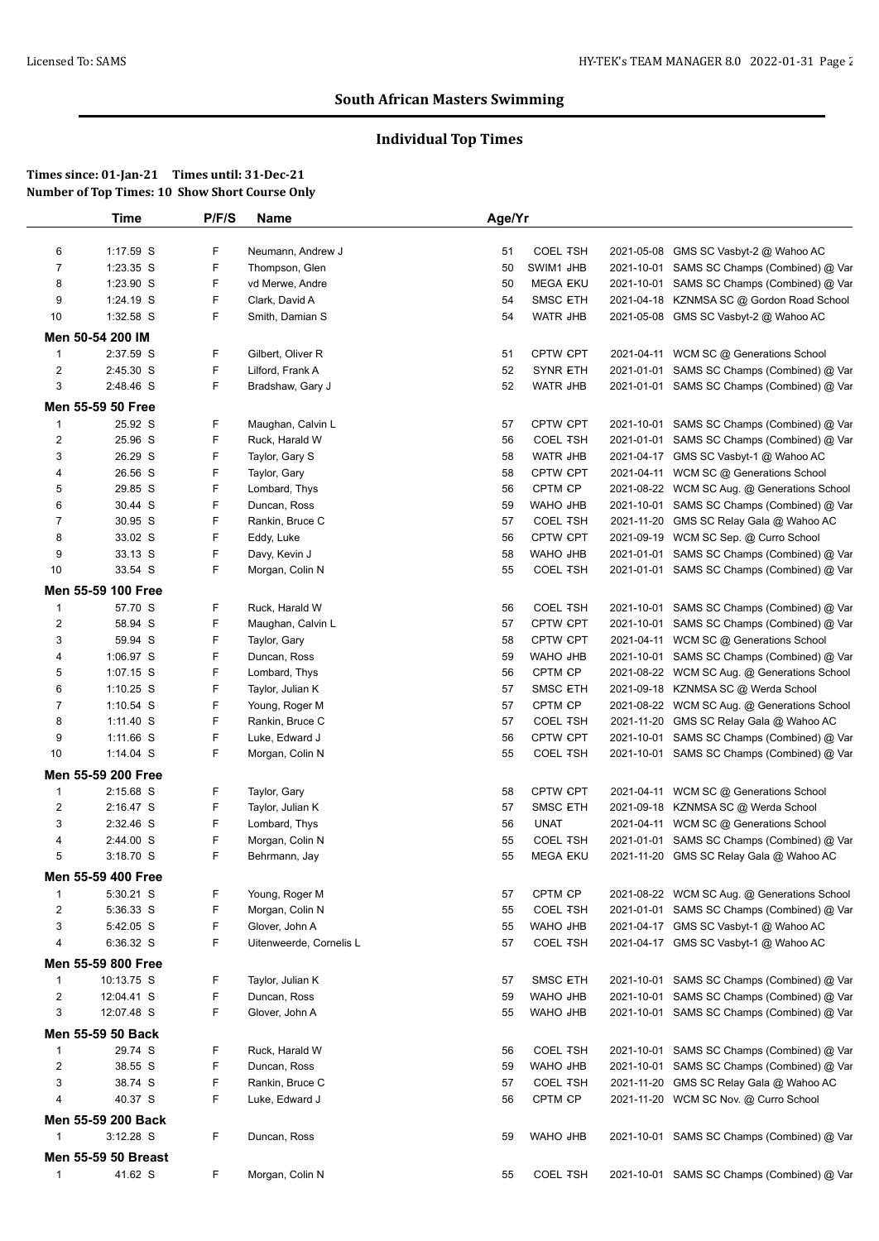# **Individual Top Times**

|              | Time                | P/F/S | <b>Name</b>             | Age/Yr   |                      |            |                                                                                 |
|--------------|---------------------|-------|-------------------------|----------|----------------------|------------|---------------------------------------------------------------------------------|
| 6            | 1:17.59 S           | F     | Neumann, Andrew J       | 51       | <b>COEL TSH</b>      |            | 2021-05-08 GMS SC Vasbyt-2 @ Wahoo AC                                           |
| 7            | 1:23.35 S           | F     | Thompson, Glen          | 50       | SWIM1 JHB            | 2021-10-01 | SAMS SC Champs (Combined) @ Var                                                 |
| 8            | 1:23.90 S           | F     | vd Merwe, Andre         | 50       | <b>MEGA EKU</b>      |            | 2021-10-01 SAMS SC Champs (Combined) @ Var                                      |
| 9            | 1:24.19 S           | F     | Clark, David A          | 54       | <b>SMSC ETH</b>      |            | 2021-04-18 KZNMSA SC @ Gordon Road School                                       |
| 10           | 1:32.58 S           | F     | Smith, Damian S         | 54       | WATR JHB             |            | 2021-05-08 GMS SC Vasbyt-2 @ Wahoo AC                                           |
|              | Men 50-54 200 IM    |       |                         |          |                      |            |                                                                                 |
| $\mathbf{1}$ | 2:37.59 S           | F     | Gilbert, Oliver R       | 51       | <b>CPTW CPT</b>      |            | 2021-04-11 WCM SC @ Generations School                                          |
| 2            | 2:45.30 S           | F     | Lilford, Frank A        | 52       | <b>SYNR ETH</b>      |            | 2021-01-01 SAMS SC Champs (Combined) @ Var                                      |
| 3            | 2:48.46 S           | F.    | Bradshaw, Gary J        | 52       | WATR JHB             |            | 2021-01-01 SAMS SC Champs (Combined) @ Var                                      |
|              | Men 55-59 50 Free   |       |                         |          |                      |            |                                                                                 |
| 1            | 25.92 S             | F     | Maughan, Calvin L       | 57       | CPTW CPT             |            | 2021-10-01 SAMS SC Champs (Combined) @ Var                                      |
| 2            | 25.96 S             | F     | Ruck, Harald W          | 56       | <b>COEL TSH</b>      |            | 2021-01-01 SAMS SC Champs (Combined) @ Var                                      |
|              |                     | F     |                         |          |                      |            |                                                                                 |
| 3<br>4       | 26.29 S<br>26.56 S  | F     | Taylor, Gary S          | 58<br>58 | WATR JHB<br>CPTW CPT |            | 2021-04-17 GMS SC Vasbyt-1 @ Wahoo AC<br>2021-04-11 WCM SC @ Generations School |
|              |                     | F     | Taylor, Gary            |          |                      |            |                                                                                 |
| 5            | 29.85 S             | F     | Lombard, Thys           | 56       | CPTM CP<br>WAHO JHB  |            | 2021-08-22 WCM SC Aug. @ Generations School                                     |
| 6            | 30.44 S             |       | Duncan, Ross            | 59       | <b>COEL TSH</b>      |            | 2021-10-01 SAMS SC Champs (Combined) @ Var                                      |
| 7            | 30.95 S             | F     | Rankin, Bruce C         | 57       |                      |            | 2021-11-20 GMS SC Relay Gala @ Wahoo AC                                         |
| 8            | 33.02 S             | F     | Eddy, Luke              | 56       | CPTW CPT             | 2021-09-19 | WCM SC Sep. @ Curro School                                                      |
| 9            | 33.13 S             | F     | Davy, Kevin J           | 58       | WAHO JHB             |            | 2021-01-01 SAMS SC Champs (Combined) @ Var                                      |
| 10           | 33.54 S             | F     | Morgan, Colin N         | 55       | <b>COEL TSH</b>      |            | 2021-01-01 SAMS SC Champs (Combined) @ Var                                      |
|              | Men 55-59 100 Free  |       |                         |          |                      |            |                                                                                 |
| $\mathbf{1}$ | 57.70 S             | F     | Ruck, Harald W          | 56       | <b>COEL TSH</b>      |            | 2021-10-01 SAMS SC Champs (Combined) @ Var                                      |
| 2            | 58.94 S             | F     | Maughan, Calvin L       | 57       | <b>CPTW CPT</b>      | 2021-10-01 | SAMS SC Champs (Combined) @ Var                                                 |
| 3            | 59.94 S             | F     | Taylor, Gary            | 58       | CPTW CPT             | 2021-04-11 | WCM SC @ Generations School                                                     |
| 4            | 1:06.97 S           | F     | Duncan, Ross            | 59       | WAHO JHB             |            | 2021-10-01 SAMS SC Champs (Combined) @ Var                                      |
| 5            | 1:07.15 S           | F     | Lombard, Thys           | 56       | CPTM CP              |            | 2021-08-22 WCM SC Aug. @ Generations School                                     |
| 6            | $1:10.25$ S         | F     | Taylor, Julian K        | 57       | <b>SMSC ETH</b>      |            | 2021-09-18 KZNMSA SC @ Werda School                                             |
| 7            | $1:10.54$ S         | F     | Young, Roger M          | 57       | CPTM CP              |            | 2021-08-22 WCM SC Aug. @ Generations School                                     |
| 8            | $1:11.40$ S         | F     | Rankin, Bruce C         | 57       | <b>COEL TSH</b>      |            | 2021-11-20 GMS SC Relay Gala @ Wahoo AC                                         |
| 9            | 1:11.66 S           | F     | Luke, Edward J          | 56       | CPTW CPT             | 2021-10-01 | SAMS SC Champs (Combined) @ Var                                                 |
| 10           | $1:14.04$ S         | F.    | Morgan, Colin N         | 55       | <b>COEL TSH</b>      |            | 2021-10-01 SAMS SC Champs (Combined) @ Var                                      |
|              | Men 55-59 200 Free  |       |                         |          |                      |            |                                                                                 |
| 1            | $2:15.68$ S         | F     | Taylor, Gary            | 58       | CPTW CPT             |            | 2021-04-11 WCM SC @ Generations School                                          |
| 2            | 2:16.47 S           | F     | Taylor, Julian K        | 57       | <b>SMSC ETH</b>      |            | 2021-09-18 KZNMSA SC @ Werda School                                             |
| 3            | 2:32.46 S           | F     | Lombard, Thys           | 56       | <b>UNAT</b>          |            | 2021-04-11 WCM SC @ Generations School                                          |
| 4            | 2:44.00 S           | F     | Morgan, Colin N         | 55       | <b>COEL TSH</b>      |            | 2021-01-01 SAMS SC Champs (Combined) @ Var                                      |
| 5            | $3:18.70$ S         | F     | Behrmann, Jay           | 55       | <b>MEGA EKU</b>      |            | 2021-11-20 GMS SC Relay Gala @ Wahoo AC                                         |
|              | Men 55-59 400 Free  |       |                         |          |                      |            |                                                                                 |
| 1            | 5:30.21 S           | F     | Young, Roger M          | 57       | CPTM CP              |            | 2021-08-22 WCM SC Aug. @ Generations School                                     |
| 2            | 5:36.33 S           | F     | Morgan, Colin N         | 55       | <b>COEL TSH</b>      |            | 2021-01-01 SAMS SC Champs (Combined) @ Var                                      |
| 3            | 5:42.05 S           | F     | Glover, John A          | 55       | WAHO JHB             |            | 2021-04-17 GMS SC Vasbyt-1 @ Wahoo AC                                           |
| 4            | 6:36.32 S           | F     | Uitenweerde, Cornelis L | 57       | <b>COEL TSH</b>      |            | 2021-04-17 GMS SC Vasbyt-1 @ Wahoo AC                                           |
|              | Men 55-59 800 Free  |       |                         |          |                      |            |                                                                                 |
| 1            | 10:13.75 S          | F     | Taylor, Julian K        | 57       | <b>SMSC ETH</b>      |            | 2021-10-01 SAMS SC Champs (Combined) @ Var                                      |
| 2            | 12:04.41 S          | F     | Duncan, Ross            | 59       | WAHO JHB             |            | 2021-10-01 SAMS SC Champs (Combined) @ Var                                      |
| 3            | 12:07.48 S          | F     | Glover, John A          | 55       | WAHO JHB             |            | 2021-10-01 SAMS SC Champs (Combined) @ Var                                      |
|              | Men 55-59 50 Back   |       |                         |          |                      |            |                                                                                 |
| 1            | 29.74 S             | F     | Ruck, Harald W          | 56       | <b>COEL TSH</b>      |            | 2021-10-01 SAMS SC Champs (Combined) @ Var                                      |
| 2            | 38.55 S             | F     | Duncan, Ross            | 59       | WAHO JHB             |            | 2021-10-01 SAMS SC Champs (Combined) @ Var                                      |
| 3            | 38.74 S             | F     | Rankin, Bruce C         | 57       | <b>COEL TSH</b>      |            | 2021-11-20 GMS SC Relay Gala @ Wahoo AC                                         |
| 4            | 40.37 S             | F     | Luke, Edward J          | 56       | CPTM CP              |            | 2021-11-20 WCM SC Nov. @ Curro School                                           |
|              |                     |       |                         |          |                      |            |                                                                                 |
|              | Men 55-59 200 Back  |       |                         |          |                      |            |                                                                                 |
| 1            | $3:12.28$ S         | F     | Duncan, Ross            | 59       | WAHO JHB             |            | 2021-10-01 SAMS SC Champs (Combined) @ Var                                      |
|              | Men 55-59 50 Breast |       |                         |          |                      |            |                                                                                 |
| $\mathbf{1}$ | 41.62 S             | F.    | Morgan, Colin N         | 55       | <b>COEL TSH</b>      |            | 2021-10-01 SAMS SC Champs (Combined) @ Var                                      |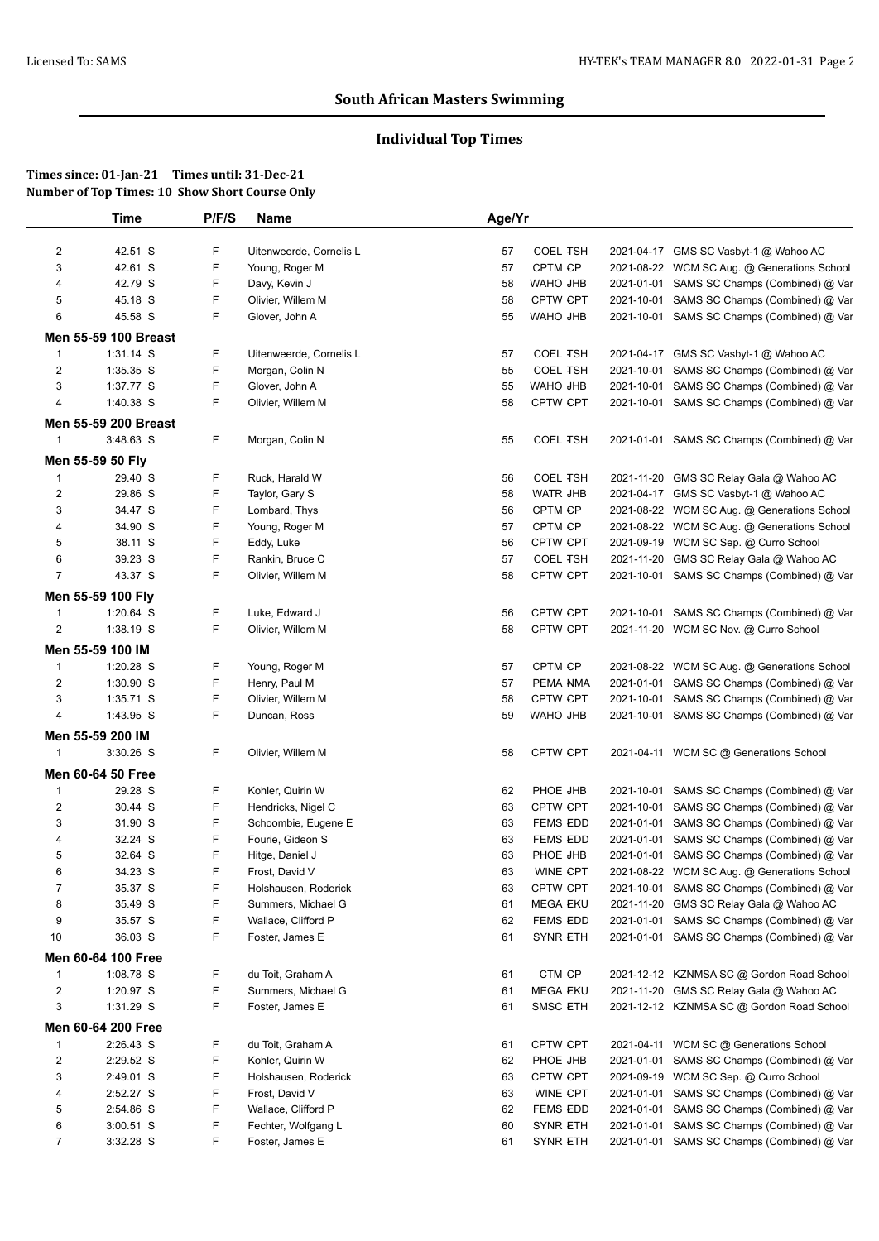# **Individual Top Times**

|                         | Time                 | P/F/S | Name                    | Age/Yr |                     |            |                                             |
|-------------------------|----------------------|-------|-------------------------|--------|---------------------|------------|---------------------------------------------|
| $\overline{c}$          | 42.51 S              | F     | Uitenweerde, Cornelis L | 57     | <b>COEL TSH</b>     |            | 2021-04-17 GMS SC Vasbyt-1 @ Wahoo AC       |
| 3                       | 42.61 S              | F     | Young, Roger M          | 57     | CPTM CP             |            | 2021-08-22 WCM SC Aug. @ Generations School |
| $\overline{\mathbf{4}}$ | 42.79 S              | F     | Davy, Kevin J           | 58     | WAHO JHB            |            | 2021-01-01 SAMS SC Champs (Combined) @ Var  |
| 5                       | 45.18 S              | F     | Olivier, Willem M       | 58     | <b>CPTW CPT</b>     |            | 2021-10-01 SAMS SC Champs (Combined) @ Var  |
| 6                       | 45.58 S              | F     | Glover, John A          | 55     | WAHO JHB            |            | 2021-10-01 SAMS SC Champs (Combined) @ Var  |
|                         |                      |       |                         |        |                     |            |                                             |
|                         | Men 55-59 100 Breast |       |                         |        |                     |            |                                             |
| $\mathbf{1}$            | $1:31.14$ S          | F     | Uitenweerde, Cornelis L | 57     | <b>COEL TSH</b>     |            | 2021-04-17 GMS SC Vasbyt-1 @ Wahoo AC       |
| $\overline{2}$          | 1:35.35 S            | F     | Morgan, Colin N         | 55     | <b>COEL TSH</b>     | 2021-10-01 | SAMS SC Champs (Combined) @ Var             |
| 3                       | 1:37.77 S            | F     | Glover, John A          | 55     | WAHO JHB            |            | 2021-10-01 SAMS SC Champs (Combined) @ Var  |
| 4                       | 1:40.38 S            | F     | Olivier, Willem M       | 58     | CPTW CPT            |            | 2021-10-01 SAMS SC Champs (Combined) @ Var  |
|                         | Men 55-59 200 Breast |       |                         |        |                     |            |                                             |
| $\mathbf{1}$            | 3:48.63 S            | F     | Morgan, Colin N         | 55     | <b>COEL TSH</b>     |            | 2021-01-01 SAMS SC Champs (Combined) @ Var  |
|                         | Men 55-59 50 Fly     |       |                         |        |                     |            |                                             |
|                         |                      | F     |                         |        |                     |            |                                             |
| $\mathbf{1}$            | 29.40 S              |       | Ruck, Harald W          | 56     | <b>COEL TSH</b>     |            | 2021-11-20 GMS SC Relay Gala @ Wahoo AC     |
| $\overline{2}$          | 29.86 S              | F     | Taylor, Gary S          | 58     | WATR JHB<br>CPTM CP |            | 2021-04-17 GMS SC Vasbyt-1 @ Wahoo AC       |
| 3                       | 34.47 S              | F     | Lombard, Thys           | 56     |                     |            | 2021-08-22 WCM SC Aug. @ Generations School |
| 4                       | 34.90 S              | F     | Young, Roger M          | 57     | CPTM CP             |            | 2021-08-22 WCM SC Aug. @ Generations School |
| 5                       | 38.11 S              | F     | Eddy, Luke              | 56     | CPTW CPT            |            | 2021-09-19 WCM SC Sep. @ Curro School       |
| 6                       | 39.23 S              | F     | Rankin, Bruce C         | 57     | <b>COEL TSH</b>     | 2021-11-20 | GMS SC Relay Gala @ Wahoo AC                |
| $\overline{7}$          | 43.37 S              | F     | Olivier, Willem M       | 58     | CPTW CPT            |            | 2021-10-01 SAMS SC Champs (Combined) @ Var  |
|                         | Men 55-59 100 Fly    |       |                         |        |                     |            |                                             |
| $\mathbf{1}$            | 1:20.64 S            | F     | Luke, Edward J          | 56     | CPTW CPT            |            | 2021-10-01 SAMS SC Champs (Combined) @ Var  |
| 2                       | 1:38.19 S            | F     | Olivier, Willem M       | 58     | CPTW CPT            |            | 2021-11-20 WCM SC Nov. @ Curro School       |
|                         | Men 55-59 100 IM     |       |                         |        |                     |            |                                             |
| $\mathbf{1}$            | 1:20.28 S            | F     | Young, Roger M          | 57     | CPTM CP             |            | 2021-08-22 WCM SC Aug. @ Generations School |
| $\overline{c}$          | 1:30.90 S            | F     | Henry, Paul M           | 57     | PEMA NMA            |            | 2021-01-01 SAMS SC Champs (Combined) @ Var  |
| 3                       | 1:35.71 S            | F     | Olivier, Willem M       | 58     | CPTW CPT            |            | 2021-10-01 SAMS SC Champs (Combined) @ Var  |
| 4                       | 1:43.95 S            | F     | Duncan, Ross            | 59     | WAHO JHB            |            | 2021-10-01 SAMS SC Champs (Combined) @ Var  |
|                         |                      |       |                         |        |                     |            |                                             |
|                         | Men 55-59 200 IM     |       |                         |        |                     |            |                                             |
| $\mathbf{1}$            | 3:30.26 S            | F     | Olivier, Willem M       | 58     | CPTW CPT            |            | 2021-04-11 WCM SC @ Generations School      |
|                         | Men 60-64 50 Free    |       |                         |        |                     |            |                                             |
| $\mathbf{1}$            | 29.28 S              | F     | Kohler, Quirin W        | 62     | PHOE JHB            |            | 2021-10-01 SAMS SC Champs (Combined) @ Var  |
| $\overline{c}$          | 30.44 S              | F     | Hendricks, Nigel C      | 63     | CPTW CPT            |            | 2021-10-01 SAMS SC Champs (Combined) @ Var  |
| 3                       | 31.90 S              | F     | Schoombie, Eugene E     | 63     | <b>FEMS EDD</b>     |            | 2021-01-01 SAMS SC Champs (Combined) @ Var  |
| 4                       | 32.24 S              | F     | Fourie, Gideon S        | 63     | <b>FEMS EDD</b>     |            | 2021-01-01 SAMS SC Champs (Combined) @ Var  |
| 5                       | 32.64 S              | F     | Hitge, Daniel J         | 63     | PHOE JHB            |            | 2021-01-01 SAMS SC Champs (Combined) @ Var  |
| 6                       | 34.23 S              | F     | Frost, David V          | 63     | WINE CPT            |            | 2021-08-22 WCM SC Aug. @ Generations School |
| $\overline{7}$          | 35.37 S              | F     | Holshausen, Roderick    | 63     | <b>CPTW CPT</b>     |            | 2021-10-01 SAMS SC Champs (Combined) @ Var  |
| 8                       | 35.49 S              | F     | Summers, Michael G      | 61     | MEGA EKU            |            | 2021-11-20 GMS SC Relay Gala @ Wahoo AC     |
| 9                       | 35.57 S              | F     | Wallace, Clifford P     | 62     | FEMS EDD            |            | 2021-01-01 SAMS SC Champs (Combined) @ Var  |
| 10                      | 36.03 S              | F     | Foster, James E         | 61     | SYNR ETH            |            | 2021-01-01 SAMS SC Champs (Combined) @ Var  |
|                         | Men 60-64 100 Free   |       |                         |        |                     |            |                                             |
| $\mathbf{1}$            | 1:08.78 S            | F     | du Toit, Graham A       | 61     | CTM CP              |            | 2021-12-12 KZNMSA SC @ Gordon Road School   |
| $\overline{c}$          | 1:20.97 S            | F     | Summers, Michael G      | 61     | MEGA EKU            |            | 2021-11-20 GMS SC Relay Gala @ Wahoo AC     |
| 3                       | 1:31.29 S            | F     | Foster, James E         | 61     | <b>SMSC ETH</b>     |            | 2021-12-12 KZNMSA SC @ Gordon Road School   |
|                         |                      |       |                         |        |                     |            |                                             |
|                         | Men 60-64 200 Free   |       |                         |        |                     |            |                                             |
| $\mathbf{1}$            | 2:26.43 S            | F     | du Toit, Graham A       | 61     | CPTW CPT            |            | 2021-04-11 WCM SC @ Generations School      |
| $\overline{c}$          | 2:29.52 S            | F     | Kohler, Quirin W        | 62     | PHOE JHB            |            | 2021-01-01 SAMS SC Champs (Combined) @ Var  |
| 3                       | 2:49.01 S            | F     | Holshausen, Roderick    | 63     | CPTW CPT            |            | 2021-09-19 WCM SC Sep. @ Curro School       |
| 4                       | 2:52.27 S            | F     | Frost, David V          | 63     | WINE CPT            |            | 2021-01-01 SAMS SC Champs (Combined) @ Var  |
| 5                       | 2:54.86 S            | F     | Wallace, Clifford P     | 62     | FEMS EDD            |            | 2021-01-01 SAMS SC Champs (Combined) @ Var  |
| 6                       | $3:00.51$ S          | F     | Fechter, Wolfgang L     | 60     | <b>SYNR ETH</b>     |            | 2021-01-01 SAMS SC Champs (Combined) @ Var  |
| 7                       | 3:32.28 S            | F     | Foster, James E         | 61     | SYNR ETH            |            | 2021-01-01 SAMS SC Champs (Combined) @ Var  |
|                         |                      |       |                         |        |                     |            |                                             |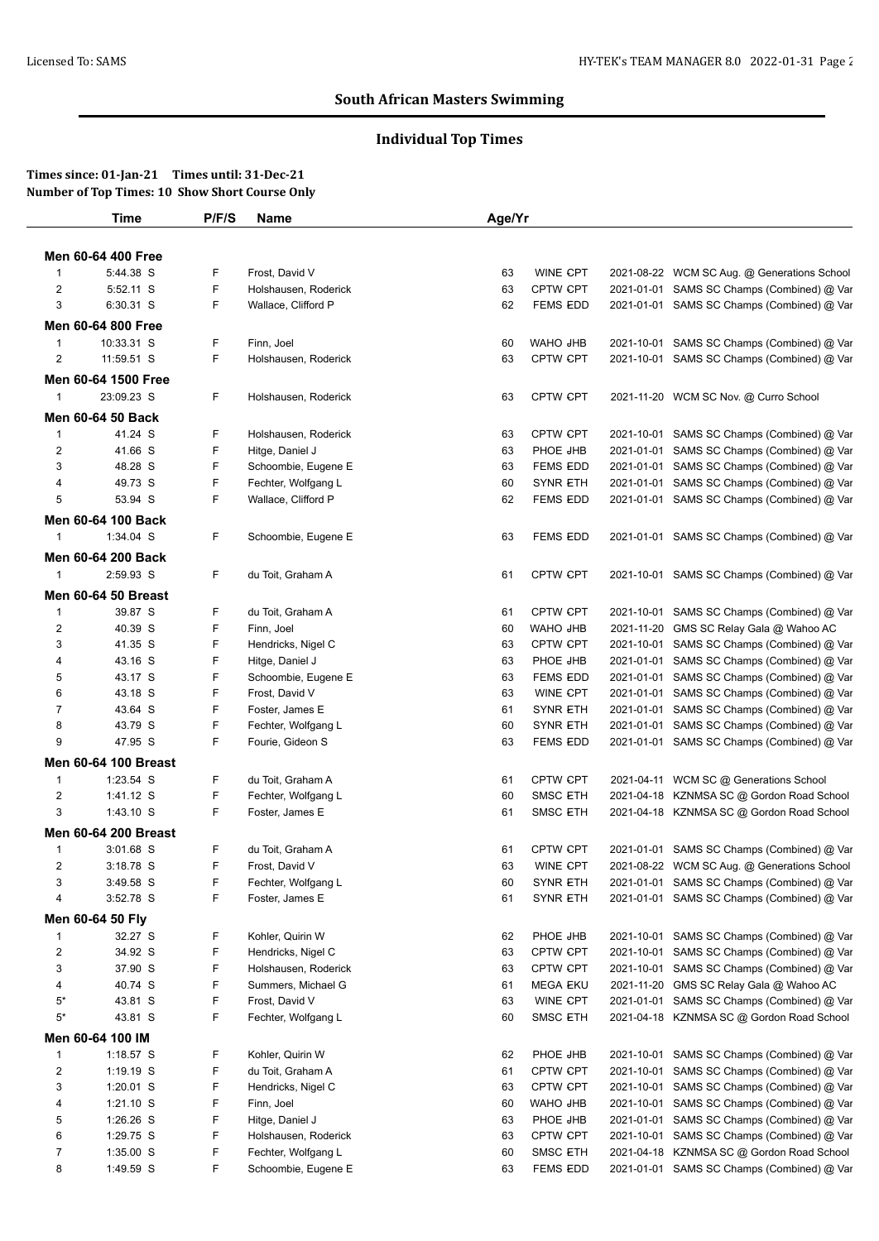# **Individual Top Times**

|                         | <b>Time</b>                 | P/F/S | Name                 | Age/Yr |                 |            |                                             |
|-------------------------|-----------------------------|-------|----------------------|--------|-----------------|------------|---------------------------------------------|
|                         |                             |       |                      |        |                 |            |                                             |
|                         | Men 60-64 400 Free          |       |                      |        |                 |            |                                             |
| $\mathbf{1}$            | 5:44.38 S                   | F     | Frost, David V       | 63     | WINE CPT        |            | 2021-08-22 WCM SC Aug. @ Generations School |
| $\overline{2}$          | 5:52.11 S                   | F     | Holshausen, Roderick | 63     | CPTW CPT        |            | 2021-01-01 SAMS SC Champs (Combined) @ Var  |
| 3                       | 6:30.31 S                   | F     | Wallace, Clifford P  | 62     | <b>FEMS EDD</b> |            | 2021-01-01 SAMS SC Champs (Combined) @ Var  |
|                         | Men 60-64 800 Free          |       |                      |        |                 |            |                                             |
| $\mathbf{1}$            | 10:33.31 S                  | F     | Finn, Joel           | 60     | WAHO JHB        |            | 2021-10-01 SAMS SC Champs (Combined) @ Var  |
| 2                       | 11:59.51 S                  | F     | Holshausen, Roderick | 63     | CPTW CPT        |            | 2021-10-01 SAMS SC Champs (Combined) @ Var  |
|                         | Men 60-64 1500 Free         |       |                      |        |                 |            |                                             |
| $\mathbf{1}$            | 23:09.23 S                  | F.    | Holshausen, Roderick | 63     | CPTW CPT        |            | 2021-11-20 WCM SC Nov. @ Curro School       |
|                         | Men 60-64 50 Back           |       |                      |        |                 |            |                                             |
| 1                       | 41.24 S                     | F     | Holshausen, Roderick | 63     | <b>CPTW CPT</b> |            | 2021-10-01 SAMS SC Champs (Combined) @ Var  |
| 2                       | 41.66 S                     | F     | Hitge, Daniel J      | 63     | PHOE JHB        | 2021-01-01 | SAMS SC Champs (Combined) @ Var             |
| 3                       | 48.28 S                     | F     | Schoombie, Eugene E  | 63     | <b>FEMS EDD</b> |            | 2021-01-01 SAMS SC Champs (Combined) @ Var  |
| 4                       | 49.73 S                     | F     | Fechter, Wolfgang L  | 60     | <b>SYNR ETH</b> | 2021-01-01 | SAMS SC Champs (Combined) @ Var             |
| 5                       | 53.94 S                     | F     | Wallace, Clifford P  | 62     | <b>FEMS EDD</b> |            | 2021-01-01 SAMS SC Champs (Combined) @ Var  |
|                         |                             |       |                      |        |                 |            |                                             |
|                         | Men 60-64 100 Back          |       |                      |        |                 |            |                                             |
| $\mathbf{1}$            | 1:34.04 S                   | F     | Schoombie, Eugene E  | 63     | <b>FEMS EDD</b> |            | 2021-01-01 SAMS SC Champs (Combined) @ Var  |
|                         | Men 60-64 200 Back          |       |                      |        |                 |            |                                             |
| 1                       | 2:59.93 S                   | F     | du Toit, Graham A    | 61     | <b>CPTW CPT</b> |            | 2021-10-01 SAMS SC Champs (Combined) @ Var  |
|                         | <b>Men 60-64 50 Breast</b>  |       |                      |        |                 |            |                                             |
| $\mathbf{1}$            | 39.87 S                     | F     | du Toit, Graham A    | 61     | CPTW CPT        |            | 2021-10-01 SAMS SC Champs (Combined) @ Var  |
| $\overline{c}$          | 40.39 S                     | F     | Finn, Joel           | 60     | WAHO JHB        | 2021-11-20 | GMS SC Relay Gala @ Wahoo AC                |
| 3                       | 41.35 S                     | F     | Hendricks, Nigel C   | 63     | <b>CPTW CPT</b> | 2021-10-01 | SAMS SC Champs (Combined) @ Var             |
| 4                       | 43.16 S                     | F     | Hitge, Daniel J      | 63     | PHOE JHB        | 2021-01-01 | SAMS SC Champs (Combined) @ Var             |
| 5                       | 43.17 S                     | F     | Schoombie, Eugene E  | 63     | <b>FEMS EDD</b> | 2021-01-01 | SAMS SC Champs (Combined) @ Var             |
| 6                       | 43.18 S                     | F     | Frost, David V       | 63     | WINE CPT        | 2021-01-01 | SAMS SC Champs (Combined) @ Var             |
| 7                       | 43.64 S                     | F     | Foster, James E      | 61     | <b>SYNR ETH</b> | 2021-01-01 | SAMS SC Champs (Combined) @ Var             |
| 8                       | 43.79 S                     | F     | Fechter, Wolfgang L  | 60     | <b>SYNR ETH</b> | 2021-01-01 | SAMS SC Champs (Combined) @ Var             |
| 9                       | 47.95 S                     | F     | Fourie, Gideon S     | 63     | FEMS EDD        |            | 2021-01-01 SAMS SC Champs (Combined) @ Var  |
|                         | <b>Men 60-64 100 Breast</b> |       |                      |        |                 |            |                                             |
| $\mathbf{1}$            | 1:23.54 S                   | F     | du Toit, Graham A    | 61     | <b>CPTW CPT</b> |            | 2021-04-11 WCM SC @ Generations School      |
| $\overline{\mathbf{c}}$ | 1:41.12 S                   | F     | Fechter, Wolfgang L  | 60     | <b>SMSC ETH</b> |            | 2021-04-18 KZNMSA SC @ Gordon Road School   |
| 3                       | $1:43.10$ S                 | F     | Foster, James E      | 61     | <b>SMSC ETH</b> |            | 2021-04-18 KZNMSA SC @ Gordon Road School   |
|                         |                             |       |                      |        |                 |            |                                             |
|                         | Men 60-64 200 Breast        |       |                      |        |                 |            |                                             |
| 1                       | 3:01.68 S                   | F     | du Toit, Graham A    | 61     | <b>CPTW CPT</b> |            | 2021-01-01 SAMS SC Champs (Combined) @ Var  |
| 2                       | 3:18.78 S                   | F     | Frost, David V       | 63     | WINE CPT        |            | 2021-08-22 WCM SC Aug. @ Generations School |
| 3                       | 3:49.58 S                   | F     | Fechter, Wolfgang L  | 60     | <b>SYNR ETH</b> |            | 2021-01-01 SAMS SC Champs (Combined) @ Var  |
| 4                       | 3:52.78 S                   | F     | Foster, James E      | 61     | <b>SYNR ETH</b> |            | 2021-01-01 SAMS SC Champs (Combined) @ Var  |
|                         | Men 60-64 50 Fly            |       |                      |        |                 |            |                                             |
| $\mathbf{1}$            | 32.27 S                     | F.    | Kohler, Quirin W     | 62     | PHOE JHB        | 2021-10-01 | SAMS SC Champs (Combined) @ Var             |
| $\overline{2}$          | 34.92 S                     | F     | Hendricks, Nigel C   | 63     | <b>CPTW CPT</b> | 2021-10-01 | SAMS SC Champs (Combined) @ Var             |
| 3                       | 37.90 S                     | F     | Holshausen, Roderick | 63     | CPTW CPT        | 2021-10-01 | SAMS SC Champs (Combined) @ Var             |
| 4                       | 40.74 S                     | F     | Summers, Michael G   | 61     | <b>MEGA EKU</b> | 2021-11-20 | GMS SC Relay Gala @ Wahoo AC                |
| $5*$                    | 43.81 S                     | F     | Frost, David V       | 63     | WINE CPT        | 2021-01-01 | SAMS SC Champs (Combined) @ Var             |
| $5^*$                   | 43.81 S                     | F     | Fechter, Wolfgang L  | 60     | <b>SMSC ETH</b> |            | 2021-04-18 KZNMSA SC @ Gordon Road School   |
|                         | Men 60-64 100 IM            |       |                      |        |                 |            |                                             |
| $\mathbf{1}$            | $1:18.57$ S                 | F     | Kohler, Quirin W     | 62     | PHOE JHB        | 2021-10-01 | SAMS SC Champs (Combined) @ Var             |
| $\overline{\mathbf{c}}$ | 1:19.19 S                   | F     | du Toit, Graham A    | 61     | CPTW CPT        | 2021-10-01 | SAMS SC Champs (Combined) @ Var             |
| 3                       | 1:20.01 S                   | F     | Hendricks, Nigel C   | 63     | <b>CPTW CPT</b> | 2021-10-01 | SAMS SC Champs (Combined) @ Var             |
| 4                       | $1:21.10$ S                 | F     | Finn, Joel           | 60     | WAHO JHB        | 2021-10-01 | SAMS SC Champs (Combined) @ Var             |
| 5                       | 1:26.26 S                   | F     | Hitge, Daniel J      | 63     | PHOE JHB        | 2021-01-01 | SAMS SC Champs (Combined) @ Var             |
| 6                       | 1:29.75 S                   | F     | Holshausen, Roderick | 63     | CPTW CPT        | 2021-10-01 | SAMS SC Champs (Combined) @ Var             |
| 7                       | 1:35.00 S                   | F     | Fechter, Wolfgang L  | 60     | SMSC ETH        | 2021-04-18 | KZNMSA SC @ Gordon Road School              |
| 8                       | 1:49.59 S                   | F     | Schoombie, Eugene E  | 63     | <b>FEMS EDD</b> |            | 2021-01-01 SAMS SC Champs (Combined) @ Var  |
|                         |                             |       |                      |        |                 |            |                                             |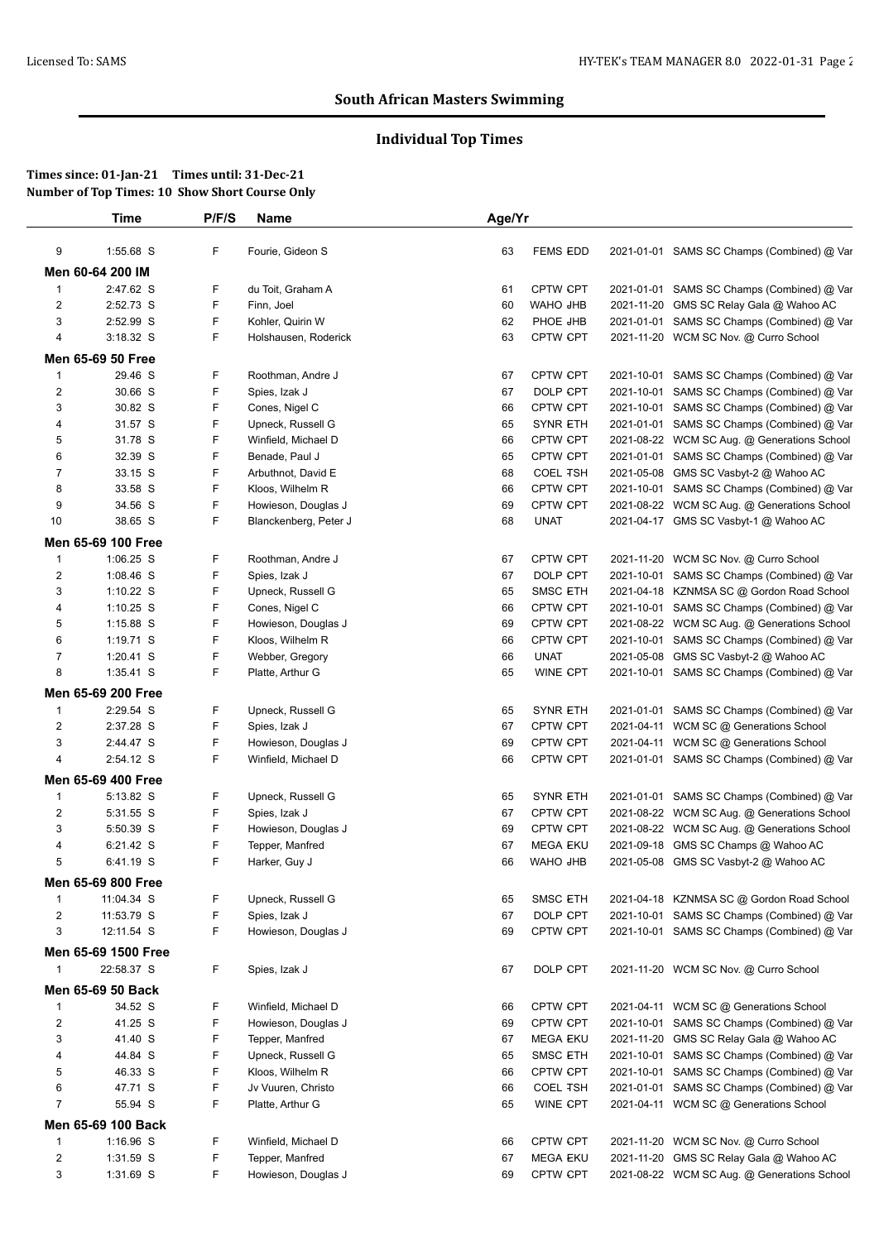# **Individual Top Times**

|                         | Time                | P/F/S  | <b>Name</b>           | Age/Yr |                      |            |                                             |
|-------------------------|---------------------|--------|-----------------------|--------|----------------------|------------|---------------------------------------------|
| 9                       | 1:55.68 S           | F      | Fourie, Gideon S      | 63     | <b>FEMS EDD</b>      |            | 2021-01-01 SAMS SC Champs (Combined) @ Var  |
|                         | Men 60-64 200 IM    |        |                       |        |                      |            |                                             |
| $\mathbf{1}$            | 2:47.62 S           | F      | du Toit, Graham A     | 61     | <b>CPTW CPT</b>      | 2021-01-01 | SAMS SC Champs (Combined) @ Var             |
| 2                       | 2:52.73 S           | F      | Finn, Joel            | 60     | WAHO JHB             | 2021-11-20 | GMS SC Relay Gala @ Wahoo AC                |
| 3                       | 2:52.99 S           | F      | Kohler, Quirin W      | 62     | PHOE JHB             |            | 2021-01-01 SAMS SC Champs (Combined) @ Var  |
| 4                       | $3:18.32$ S         | F      | Holshausen, Roderick  | 63     | <b>CPTW CPT</b>      |            | 2021-11-20 WCM SC Nov. @ Curro School       |
|                         | Men 65-69 50 Free   |        |                       |        |                      |            |                                             |
| 1                       | 29.46 S             | F      | Roothman, Andre J     | 67     | <b>CPTW CPT</b>      | 2021-10-01 | SAMS SC Champs (Combined) @ Var             |
| 2                       | 30.66 S             | F      | Spies, Izak J         | 67     | DOLP CPT             | 2021-10-01 | SAMS SC Champs (Combined) @ Var             |
| 3                       | 30.82 S             | F      | Cones, Nigel C        | 66     | <b>CPTW CPT</b>      | 2021-10-01 | SAMS SC Champs (Combined) @ Var             |
| 4                       | 31.57 S             | F      | Upneck, Russell G     | 65     | <b>SYNR ETH</b>      | 2021-01-01 | SAMS SC Champs (Combined) @ Var             |
| 5                       | 31.78 S             | F      | Winfield, Michael D   | 66     | <b>CPTW CPT</b>      |            | 2021-08-22 WCM SC Aug. @ Generations School |
| 6                       | 32.39 S             | F      | Benade, Paul J        | 65     | CPTW CPT             | 2021-01-01 | SAMS SC Champs (Combined) @ Var             |
| 7                       | 33.15 S             | F      | Arbuthnot, David E    | 68     | <b>COEL TSH</b>      | 2021-05-08 | GMS SC Vasbyt-2 @ Wahoo AC                  |
| 8                       | 33.58 S             | F      | Kloos, Wilhelm R      | 66     | <b>CPTW CPT</b>      |            | 2021-10-01 SAMS SC Champs (Combined) @ Var  |
| 9                       | 34.56 S             | F      | Howieson, Douglas J   | 69     | <b>CPTW CPT</b>      |            | 2021-08-22 WCM SC Aug. @ Generations School |
| 10                      | 38.65 S             | F      | Blanckenberg, Peter J | 68     | <b>UNAT</b>          |            | 2021-04-17 GMS SC Vasbyt-1 @ Wahoo AC       |
|                         |                     |        |                       |        |                      |            |                                             |
|                         | Men 65-69 100 Free  |        |                       |        |                      |            |                                             |
| $\mathbf{1}$            | $1:06.25$ S         | F      | Roothman, Andre J     | 67     | CPTW CPT             |            | 2021-11-20 WCM SC Nov. @ Curro School       |
| $\overline{\mathbf{c}}$ | 1:08.46 S           | F      | Spies, Izak J         | 67     | DOLP CPT             |            | 2021-10-01 SAMS SC Champs (Combined) @ Var  |
| 3                       | 1:10.22 S           | F      | Upneck, Russell G     | 65     | <b>SMSC ETH</b>      | 2021-04-18 | KZNMSA SC @ Gordon Road School              |
| 4                       | $1:10.25$ S         | F      | Cones, Nigel C        | 66     | <b>CPTW CPT</b>      | 2021-10-01 | SAMS SC Champs (Combined) @ Var             |
| 5                       | 1:15.88 S           | F.     | Howieson, Douglas J   | 69     | <b>CPTW CPT</b>      |            | 2021-08-22 WCM SC Aug. @ Generations School |
| 6                       | $1:19.71$ S         | F      | Kloos, Wilhelm R      | 66     | <b>CPTW CPT</b>      | 2021-10-01 | SAMS SC Champs (Combined) @ Var             |
| 7                       | 1:20.41 S           | F      | Webber, Gregory       | 66     | <b>UNAT</b>          | 2021-05-08 | GMS SC Vasbyt-2 @ Wahoo AC                  |
| 8                       | 1:35.41 S           | F      | Platte, Arthur G      | 65     | WINE CPT             |            | 2021-10-01 SAMS SC Champs (Combined) @ Var  |
|                         | Men 65-69 200 Free  |        |                       |        |                      |            |                                             |
| 1                       | 2:29.54 S           | F      | Upneck, Russell G     | 65     | <b>SYNR ETH</b>      | 2021-01-01 | SAMS SC Champs (Combined) @ Var             |
| $\overline{c}$          | 2:37.28 S           | F      | Spies, Izak J         | 67     | <b>CPTW CPT</b>      |            | 2021-04-11 WCM SC @ Generations School      |
| 3                       | 2:44.47 S           | F      | Howieson, Douglas J   | 69     | <b>CPTW CPT</b>      |            | 2021-04-11 WCM SC @ Generations School      |
| 4                       | 2:54.12 S           | F      | Winfield, Michael D   | 66     | <b>CPTW CPT</b>      |            | 2021-01-01 SAMS SC Champs (Combined) @ Var  |
|                         | Men 65-69 400 Free  |        |                       |        |                      |            |                                             |
| $\mathbf{1}$            | 5:13.82 S           | F      | Upneck, Russell G     | 65     | <b>SYNR ETH</b>      | 2021-01-01 | SAMS SC Champs (Combined) @ Var             |
| 2                       | 5:31.55 S           | F      | Spies, Izak J         | 67     | <b>CPTW CPT</b>      |            | 2021-08-22 WCM SC Aug. @ Generations School |
| 3                       | 5:50.39 S           | F      | Howieson, Douglas J   | 69     | CPTW CPT             |            | 2021-08-22 WCM SC Aug. @ Generations School |
| 4                       | 6:21.42 S           | F      | Tepper, Manfred       | 67     | <b>MEGA EKU</b>      | 2021-09-18 | GMS SC Champs @ Wahoo AC                    |
| 5                       | 6:41.19 S           | F      | Harker, Guy J         | 66     | WAHO JHB             |            | 2021-05-08 GMS SC Vasbyt-2 @ Wahoo AC       |
|                         | Men 65-69 800 Free  |        |                       |        |                      |            |                                             |
|                         |                     |        |                       |        |                      |            |                                             |
| $\mathbf{1}$            | 11:04.34 S          | F<br>F | Upneck, Russell G     | 65     | <b>SMSC ETH</b>      |            | 2021-04-18 KZNMSA SC @ Gordon Road School   |
| $\overline{c}$          | 11:53.79 S          |        | Spies, Izak J         | 67     | DOLP CPT<br>CPTW CPT |            | 2021-10-01 SAMS SC Champs (Combined) @ Var  |
| 3                       | 12:11.54 S          | F      | Howieson, Douglas J   | 69     |                      |            | 2021-10-01 SAMS SC Champs (Combined) @ Var  |
|                         | Men 65-69 1500 Free |        |                       |        |                      |            |                                             |
| $\mathbf{1}$            | 22:58.37 S          | F.     | Spies, Izak J         | 67     | DOLP CPT             |            | 2021-11-20 WCM SC Nov. @ Curro School       |
|                         | Men 65-69 50 Back   |        |                       |        |                      |            |                                             |
| $\mathbf{1}$            | 34.52 S             | F      | Winfield, Michael D   | 66     | <b>CPTW CPT</b>      |            | 2021-04-11 WCM SC @ Generations School      |
| $\overline{\mathbf{c}}$ | 41.25 S             | F      | Howieson, Douglas J   | 69     | CPTW CPT             | 2021-10-01 | SAMS SC Champs (Combined) @ Var             |
| 3                       | 41.40 S             | F      | Tepper, Manfred       | 67     | <b>MEGA EKU</b>      |            | 2021-11-20 GMS SC Relay Gala @ Wahoo AC     |
| 4                       | 44.84 S             | F      | Upneck, Russell G     | 65     | <b>SMSC ETH</b>      |            | 2021-10-01 SAMS SC Champs (Combined) @ Var  |
| 5                       | 46.33 S             | F      | Kloos, Wilhelm R      | 66     | CPTW CPT             |            | 2021-10-01 SAMS SC Champs (Combined) @ Var  |
| 6                       | 47.71 S             | F      | Jv Vuuren, Christo    | 66     | <b>COEL TSH</b>      |            | 2021-01-01 SAMS SC Champs (Combined) @ Var  |
| $\overline{7}$          | 55.94 S             | F      | Platte, Arthur G      | 65     | WINE CPT             |            | 2021-04-11 WCM SC @ Generations School      |
|                         | Men 65-69 100 Back  |        |                       |        |                      |            |                                             |
| $\mathbf{1}$            | $1:16.96$ S         | F.     | Winfield, Michael D   | 66     | <b>CPTW CPT</b>      |            | 2021-11-20 WCM SC Nov. @ Curro School       |
| 2                       | 1:31.59 S           | F      | Tepper, Manfred       | 67     | MEGA EKU             |            | 2021-11-20 GMS SC Relay Gala @ Wahoo AC     |
| 3                       | 1:31.69 S           | F      | Howieson, Douglas J   | 69     | <b>CPTW CPT</b>      |            | 2021-08-22 WCM SC Aug. @ Generations School |
|                         |                     |        |                       |        |                      |            |                                             |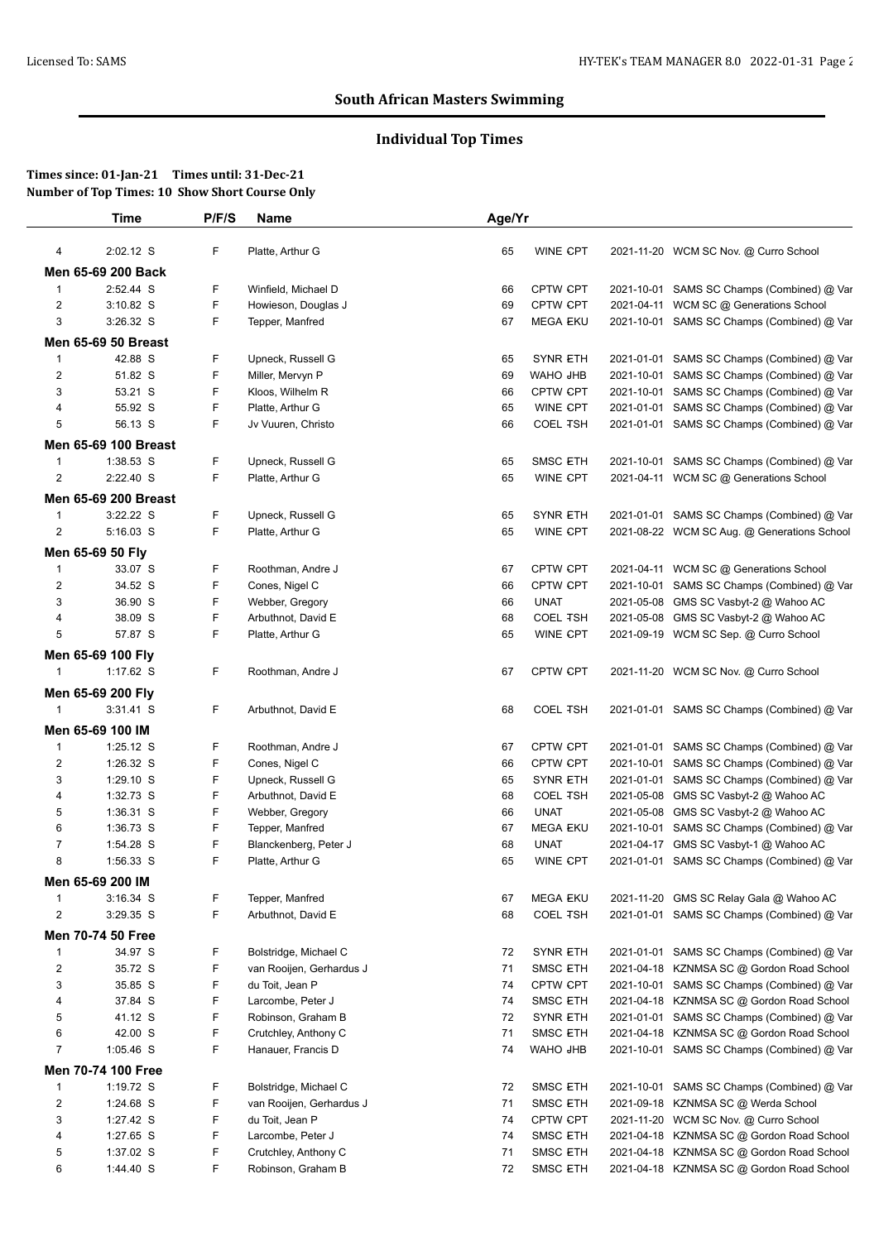# **Individual Top Times**

|                | Time                           | P/F/S | Name                     | Age/Yr |                 |            |                                             |
|----------------|--------------------------------|-------|--------------------------|--------|-----------------|------------|---------------------------------------------|
| 4              | 2:02.12 S                      | F     | Platte, Arthur G         | 65     | <b>WINE CPT</b> |            | 2021-11-20 WCM SC Nov. @ Curro School       |
|                | Men 65-69 200 Back             |       |                          |        |                 |            |                                             |
| $\mathbf{1}$   | 2:52.44 S                      | F     | Winfield, Michael D      | 66     | <b>CPTW CPT</b> |            | 2021-10-01 SAMS SC Champs (Combined) @ Var  |
| 2              | $3:10.82$ S                    | F     | Howieson, Douglas J      | 69     | <b>CPTW CPT</b> |            | 2021-04-11 WCM SC @ Generations School      |
| 3              | 3:26.32 S                      | F     | Tepper, Manfred          | 67     | <b>MEGA EKU</b> |            | 2021-10-01 SAMS SC Champs (Combined) @ Var  |
|                | <b>Men 65-69 50 Breast</b>     |       |                          |        |                 |            |                                             |
| $\mathbf{1}$   | 42.88 S                        | F     | Upneck, Russell G        | 65     | <b>SYNR ETH</b> |            | 2021-01-01 SAMS SC Champs (Combined) @ Var  |
| $\overline{c}$ | 51.82 S                        | F     | Miller, Mervyn P         | 69     | WAHO JHB        | 2021-10-01 | SAMS SC Champs (Combined) @ Var             |
| 3              | 53.21 S                        | F     | Kloos, Wilhelm R         | 66     | <b>CPTW CPT</b> |            | 2021-10-01 SAMS SC Champs (Combined) @ Var  |
| 4              | 55.92 S                        | F     | Platte, Arthur G         | 65     | WINE CPT        |            | 2021-01-01 SAMS SC Champs (Combined) @ Var  |
| 5              | 56.13 S                        | F     | Jv Vuuren, Christo       | 66     | <b>COEL TSH</b> |            | 2021-01-01 SAMS SC Champs (Combined) @ Var  |
|                | Men 65-69 100 Breast           |       |                          |        |                 |            |                                             |
| $\mathbf{1}$   | 1:38.53 S                      | F     | Upneck, Russell G        | 65     | <b>SMSC ETH</b> |            | 2021-10-01 SAMS SC Champs (Combined) @ Var  |
| $\overline{2}$ | 2:22.40 S                      | F     | Platte, Arthur G         | 65     | <b>WINE CPT</b> |            | 2021-04-11 WCM SC @ Generations School      |
|                | Men 65-69 200 Breast           |       |                          |        |                 |            |                                             |
| $\mathbf{1}$   | 3:22.22 S                      | F     | Upneck, Russell G        | 65     | <b>SYNR ETH</b> |            | 2021-01-01 SAMS SC Champs (Combined) @ Var  |
| $\overline{2}$ | 5:16.03 S                      | F     | Platte, Arthur G         | 65     | <b>WINE CPT</b> |            | 2021-08-22 WCM SC Aug. @ Generations School |
|                | Men 65-69 50 Fly               |       |                          |        |                 |            |                                             |
| $\mathbf 1$    | 33.07 S                        | F     | Roothman, Andre J        | 67     | CPTW CPT        |            | 2021-04-11 WCM SC @ Generations School      |
| $\overline{c}$ | 34.52 S                        | F     | Cones, Nigel C           | 66     | <b>CPTW CPT</b> |            | 2021-10-01 SAMS SC Champs (Combined) @ Var  |
| 3              | 36.90 S                        | F     | Webber, Gregory          | 66     | <b>UNAT</b>     |            | 2021-05-08 GMS SC Vasbyt-2 @ Wahoo AC       |
| 4              | 38.09 S                        | F     | Arbuthnot, David E       | 68     | <b>COEL TSH</b> |            | 2021-05-08 GMS SC Vasbyt-2 @ Wahoo AC       |
| 5              | 57.87 S                        | F     | Platte, Arthur G         | 65     | WINE CPT        |            | 2021-09-19 WCM SC Sep. @ Curro School       |
|                |                                |       |                          |        |                 |            |                                             |
| 1              | Men 65-69 100 Fly<br>1:17.62 S | F.    | Roothman, Andre J        | 67     | <b>CPTW CPT</b> |            | 2021-11-20 WCM SC Nov. @ Curro School       |
|                |                                |       |                          |        |                 |            |                                             |
|                | Men 65-69 200 Fly              |       |                          |        |                 |            |                                             |
| $\mathbf{1}$   | $3:31.41$ S                    | F.    | Arbuthnot, David E       | 68     | <b>COEL TSH</b> |            | 2021-01-01 SAMS SC Champs (Combined) @ Var  |
|                | Men 65-69 100 IM               |       |                          |        |                 |            |                                             |
| 1              | 1:25.12 S                      | F     | Roothman, Andre J        | 67     | <b>CPTW CPT</b> |            | 2021-01-01 SAMS SC Champs (Combined) @ Var  |
| 2              | 1:26.32 S                      | F     | Cones, Nigel C           | 66     | <b>CPTW CPT</b> |            | 2021-10-01 SAMS SC Champs (Combined) @ Var  |
| 3              | $1:29.10$ S                    | F     | Upneck, Russell G        | 65     | <b>SYNR ETH</b> |            | 2021-01-01 SAMS SC Champs (Combined) @ Var  |
| 4              | 1:32.73 S                      | F     | Arbuthnot, David E       | 68     | <b>COEL TSH</b> |            | 2021-05-08 GMS SC Vasbyt-2 @ Wahoo AC       |
| 5              | 1:36.31 S                      | F     | Webber, Gregory          | 66     | <b>UNAT</b>     | 2021-05-08 | GMS SC Vasbyt-2 @ Wahoo AC                  |
| 6              | 1:36.73 S                      | F     | Tepper, Manfred          | 67     | <b>MEGA EKU</b> |            | 2021-10-01 SAMS SC Champs (Combined) @ Var  |
| $\overline{7}$ | 1:54.28 S                      | F     | Blanckenberg, Peter J    | 68     | <b>UNAT</b>     |            | 2021-04-17 GMS SC Vasbyt-1 @ Wahoo AC       |
| 8              | 1:56.33 S                      | F     | Platte, Arthur G         | 65     | WINE CPT        |            | 2021-01-01 SAMS SC Champs (Combined) @ Var  |
|                | Men 65-69 200 IM               |       |                          |        |                 |            |                                             |
| $\mathbf{1}$   | $3:16.34$ S                    | F     | Tepper, Manfred          | 67     | <b>MEGA EKU</b> |            | 2021-11-20 GMS SC Relay Gala @ Wahoo AC     |
| 2              | 3:29.35 S                      | F     | Arbuthnot, David E       | 68     | <b>COEL TSH</b> |            | 2021-01-01 SAMS SC Champs (Combined) @ Var  |
|                | <b>Men 70-74 50 Free</b>       |       |                          |        |                 |            |                                             |
| $\mathbf{1}$   | 34.97 S                        | F     | Bolstridge, Michael C    | 72     | <b>SYNR ETH</b> |            | 2021-01-01 SAMS SC Champs (Combined) @ Var  |
| $\overline{c}$ | 35.72 S                        | F     | van Rooijen, Gerhardus J | 71     | <b>SMSC ETH</b> |            | 2021-04-18 KZNMSA SC @ Gordon Road School   |
| 3              | 35.85 S                        | F     | du Toit, Jean P          | 74     | CPTW CPT        |            | 2021-10-01 SAMS SC Champs (Combined) @ Var  |
| 4              | 37.84 S                        | F     | Larcombe, Peter J        | 74     | SMSC ETH        |            | 2021-04-18 KZNMSA SC @ Gordon Road School   |
| 5              | 41.12 S                        | F     | Robinson, Graham B       | 72     | <b>SYNR ETH</b> | 2021-01-01 | SAMS SC Champs (Combined) @ Var             |
| 6              | 42.00 S                        | F     | Crutchley, Anthony C     | 71     | SMSC ETH        | 2021-04-18 | KZNMSA SC @ Gordon Road School              |
| $\overline{7}$ | 1:05.46 S                      | F     | Hanauer, Francis D       | 74     | WAHO JHB        |            | 2021-10-01 SAMS SC Champs (Combined) @ Var  |
|                | Men 70-74 100 Free             |       |                          |        |                 |            |                                             |
| $\mathbf{1}$   | 1:19.72 S                      | F     | Bolstridge, Michael C    | 72     | SMSC ETH        |            | 2021-10-01 SAMS SC Champs (Combined) @ Var  |
| $\overline{2}$ | 1:24.68 S                      | F     | van Rooijen, Gerhardus J | 71     | SMSC ETH        |            | 2021-09-18 KZNMSA SC @ Werda School         |
| 3              | 1:27.42 S                      | F     | du Toit, Jean P          | 74     | <b>CPTW CPT</b> |            | 2021-11-20 WCM SC Nov. @ Curro School       |
| 4              | 1:27.65 S                      | F     | Larcombe, Peter J        | 74     | SMSC ETH        |            | 2021-04-18 KZNMSA SC @ Gordon Road School   |
| 5              | 1:37.02 S                      | F     | Crutchley, Anthony C     | 71     | <b>SMSC ETH</b> |            | 2021-04-18 KZNMSA SC @ Gordon Road School   |
| 6              | 1:44.40 S                      | F     | Robinson, Graham B       | 72     | <b>SMSC ETH</b> |            | 2021-04-18 KZNMSA SC @ Gordon Road School   |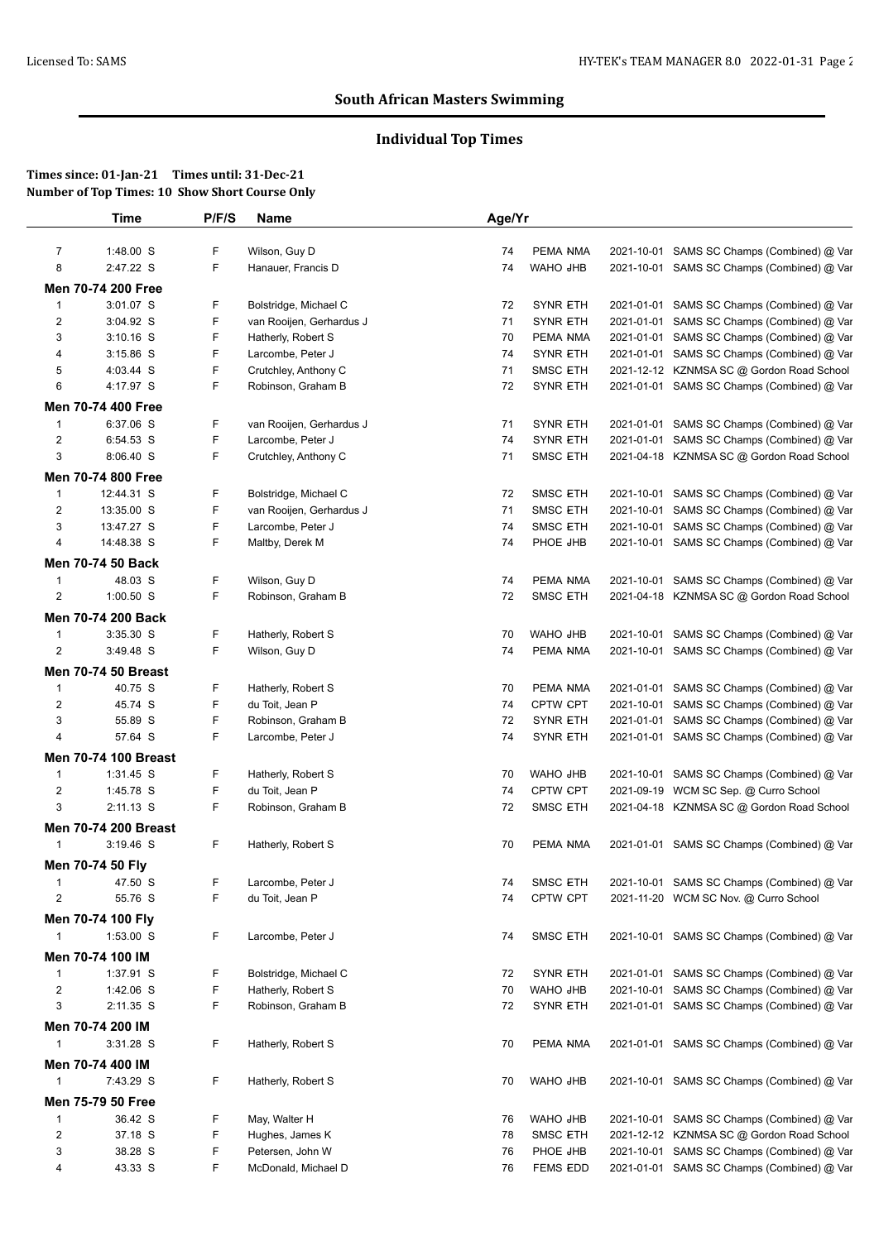# **Individual Top Times**

| 2021-10-01 SAMS SC Champs (Combined) @ Var<br>2021-10-01 SAMS SC Champs (Combined) @ Var<br>2021-01-01 SAMS SC Champs (Combined) @ Var<br>SAMS SC Champs (Combined) @ Var |
|---------------------------------------------------------------------------------------------------------------------------------------------------------------------------|
|                                                                                                                                                                           |
|                                                                                                                                                                           |
|                                                                                                                                                                           |
|                                                                                                                                                                           |
|                                                                                                                                                                           |
| 2021-01-01 SAMS SC Champs (Combined) @ Var                                                                                                                                |
| 2021-01-01 SAMS SC Champs (Combined) @ Var                                                                                                                                |
| 2021-12-12 KZNMSA SC @ Gordon Road School                                                                                                                                 |
| 2021-01-01 SAMS SC Champs (Combined) @ Var                                                                                                                                |
|                                                                                                                                                                           |
| 2021-01-01 SAMS SC Champs (Combined) @ Var                                                                                                                                |
| SAMS SC Champs (Combined) @ Var                                                                                                                                           |
| 2021-04-18 KZNMSA SC @ Gordon Road School                                                                                                                                 |
|                                                                                                                                                                           |
|                                                                                                                                                                           |
| SAMS SC Champs (Combined) @ Var<br>SAMS SC Champs (Combined) @ Var                                                                                                        |
| SAMS SC Champs (Combined) @ Var                                                                                                                                           |
| 2021-10-01 SAMS SC Champs (Combined) @ Var                                                                                                                                |
|                                                                                                                                                                           |
|                                                                                                                                                                           |
| 2021-10-01 SAMS SC Champs (Combined) @ Var                                                                                                                                |
| 2021-04-18 KZNMSA SC @ Gordon Road School                                                                                                                                 |
|                                                                                                                                                                           |
| SAMS SC Champs (Combined) @ Var                                                                                                                                           |
| 2021-10-01 SAMS SC Champs (Combined) @ Var                                                                                                                                |
|                                                                                                                                                                           |
| SAMS SC Champs (Combined) @ Var                                                                                                                                           |
| SAMS SC Champs (Combined) @ Var                                                                                                                                           |
| SAMS SC Champs (Combined) @ Var                                                                                                                                           |
| 2021-01-01 SAMS SC Champs (Combined) @ Var                                                                                                                                |
|                                                                                                                                                                           |
| 2021-10-01 SAMS SC Champs (Combined) @ Var                                                                                                                                |
| 2021-09-19 WCM SC Sep. @ Curro School                                                                                                                                     |
| 2021-04-18 KZNMSA SC @ Gordon Road School                                                                                                                                 |
|                                                                                                                                                                           |
| 2021-01-01 SAMS SC Champs (Combined) @ Var                                                                                                                                |
|                                                                                                                                                                           |
|                                                                                                                                                                           |
| 2021-10-01 SAMS SC Champs (Combined) @ Var<br>2021-11-20 WCM SC Nov. @ Curro School                                                                                       |
|                                                                                                                                                                           |
|                                                                                                                                                                           |
| 2021-10-01 SAMS SC Champs (Combined) @ Var                                                                                                                                |
|                                                                                                                                                                           |
| 2021-01-01 SAMS SC Champs (Combined) @ Var                                                                                                                                |
| SAMS SC Champs (Combined) @ Var                                                                                                                                           |
| 2021-01-01 SAMS SC Champs (Combined) @ Var                                                                                                                                |
|                                                                                                                                                                           |
| 2021-01-01 SAMS SC Champs (Combined) @ Var                                                                                                                                |
|                                                                                                                                                                           |
| 2021-10-01 SAMS SC Champs (Combined) @ Var                                                                                                                                |
|                                                                                                                                                                           |
|                                                                                                                                                                           |
|                                                                                                                                                                           |
| 2021-10-01 SAMS SC Champs (Combined) @ Var                                                                                                                                |
| 2021-12-12 KZNMSA SC @ Gordon Road School                                                                                                                                 |
| SAMS SC Champs (Combined) @ Var<br>2021-01-01 SAMS SC Champs (Combined) @ Var                                                                                             |
|                                                                                                                                                                           |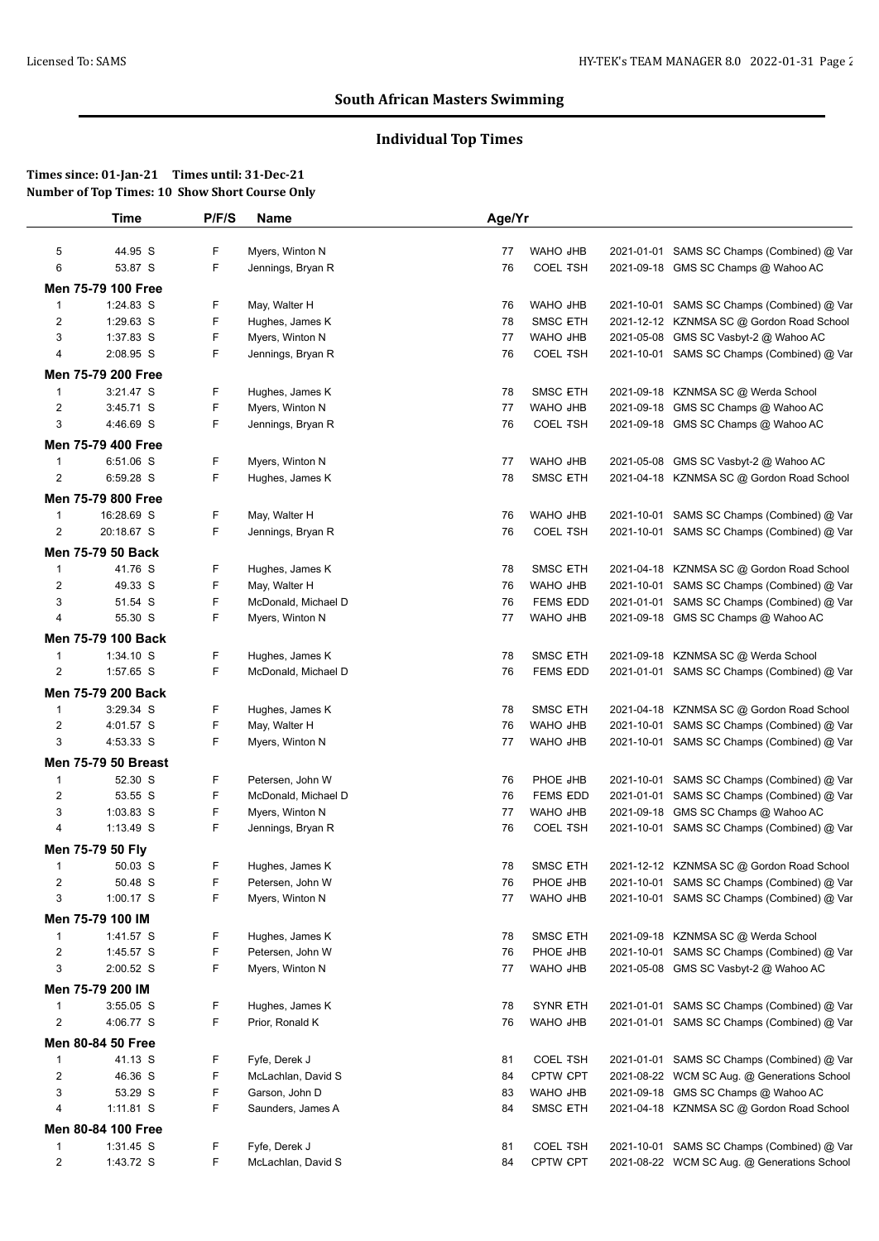# **Individual Top Times**

|                                  | <b>Time</b>                         | P/F/S  | Name                                   | Age/Yr   |                                    |            |                                                                                   |
|----------------------------------|-------------------------------------|--------|----------------------------------------|----------|------------------------------------|------------|-----------------------------------------------------------------------------------|
| 5                                | 44.95 S                             | F      | Myers, Winton N                        | 77       | WAHO JHB                           |            | 2021-01-01 SAMS SC Champs (Combined) @ Var                                        |
| 6                                | 53.87 S                             | F      | Jennings, Bryan R                      | 76       | <b>COEL TSH</b>                    |            | 2021-09-18 GMS SC Champs @ Wahoo AC                                               |
|                                  | Men 75-79 100 Free                  |        |                                        |          |                                    |            |                                                                                   |
| $\mathbf{1}$                     | 1:24.83 S                           | F      | May, Walter H                          | 76       | WAHO JHB                           |            | 2021-10-01 SAMS SC Champs (Combined) @ Var                                        |
| $\overline{2}$                   | 1:29.63 S                           | F      | Hughes, James K                        | 78       | <b>SMSC ETH</b>                    |            | 2021-12-12 KZNMSA SC @ Gordon Road School                                         |
| 3                                | 1:37.83 S                           | F      | Myers, Winton N                        | 77       | WAHO JHB                           | 2021-05-08 | GMS SC Vasbyt-2 @ Wahoo AC                                                        |
| 4                                | 2:08.95 S                           | F      | Jennings, Bryan R                      | 76       | <b>COEL TSH</b>                    |            | 2021-10-01 SAMS SC Champs (Combined) @ Var                                        |
|                                  | Men 75-79 200 Free                  |        |                                        |          |                                    |            |                                                                                   |
| $\mathbf{1}$                     | 3:21.47 S                           | F      | Hughes, James K                        | 78       | <b>SMSC ETH</b>                    |            | 2021-09-18 KZNMSA SC @ Werda School                                               |
| $\overline{2}$                   | 3:45.71 S                           | F      | Myers, Winton N                        | 77       | WAHO JHB                           |            | 2021-09-18 GMS SC Champs @ Wahoo AC                                               |
| 3                                | 4:46.69 S                           | F      | Jennings, Bryan R                      | 76       | <b>COEL TSH</b>                    |            | 2021-09-18 GMS SC Champs @ Wahoo AC                                               |
|                                  | <b>Men 75-79 400 Free</b>           |        |                                        |          |                                    |            |                                                                                   |
| $\overline{1}$                   | 6:51.06 S                           | F      | Myers, Winton N                        | 77       | WAHO JHB                           |            | 2021-05-08 GMS SC Vasbyt-2 @ Wahoo AC                                             |
| $\overline{2}$                   | 6:59.28 S                           | F      | Hughes, James K                        | 78       | SMSC ETH                           |            | 2021-04-18 KZNMSA SC @ Gordon Road School                                         |
|                                  | <b>Men 75-79 800 Free</b>           |        |                                        |          |                                    |            |                                                                                   |
| $\overline{1}$                   | 16:28.69 S                          | F      | May, Walter H                          | 76       | WAHO JHB                           | 2021-10-01 | SAMS SC Champs (Combined) @ Var                                                   |
| $\boldsymbol{2}$                 | 20:18.67 S                          | F      | Jennings, Bryan R                      | 76       | <b>COEL TSH</b>                    |            | 2021-10-01 SAMS SC Champs (Combined) @ Var                                        |
|                                  |                                     |        |                                        |          |                                    |            |                                                                                   |
|                                  | <b>Men 75-79 50 Back</b><br>41.76 S |        |                                        |          |                                    |            |                                                                                   |
| $\mathbf{1}$<br>$\overline{2}$   | 49.33 S                             | F<br>F | Hughes, James K<br>May, Walter H       | 78<br>76 | <b>SMSC ETH</b><br>WAHO JHB        |            | 2021-04-18 KZNMSA SC @ Gordon Road School                                         |
| 3                                | 51.54 S                             | F      | McDonald, Michael D                    | 76       | <b>FEMS EDD</b>                    | 2021-01-01 | 2021-10-01 SAMS SC Champs (Combined) @ Var<br>SAMS SC Champs (Combined) @ Var     |
| 4                                | 55.30 S                             | F      | Myers, Winton N                        | 77       | WAHO JHB                           |            | 2021-09-18 GMS SC Champs @ Wahoo AC                                               |
|                                  |                                     |        |                                        |          |                                    |            |                                                                                   |
|                                  | Men 75-79 100 Back                  |        |                                        |          |                                    |            |                                                                                   |
| $\overline{1}$<br>$\overline{2}$ | 1:34.10 S<br>1:57.65 S              | F<br>F | Hughes, James K<br>McDonald, Michael D | 78<br>76 | <b>SMSC ETH</b><br><b>FEMS EDD</b> |            | 2021-09-18 KZNMSA SC @ Werda School<br>2021-01-01 SAMS SC Champs (Combined) @ Var |
|                                  |                                     |        |                                        |          |                                    |            |                                                                                   |
|                                  | Men 75-79 200 Back                  |        |                                        |          |                                    |            |                                                                                   |
| $\mathbf{1}$                     | 3:29.34 S                           | F      | Hughes, James K                        | 78       | <b>SMSC ETH</b>                    |            | 2021-04-18 KZNMSA SC @ Gordon Road School                                         |
| $\overline{2}$<br>3              | 4:01.57 S                           | F<br>F | May, Walter H                          | 76<br>77 | WAHO JHB                           | 2021-10-01 | SAMS SC Champs (Combined) @ Var                                                   |
|                                  | 4:53.33 S                           |        | Myers, Winton N                        |          | WAHO JHB                           |            | 2021-10-01 SAMS SC Champs (Combined) @ Var                                        |
|                                  | <b>Men 75-79 50 Breast</b>          |        |                                        |          |                                    |            |                                                                                   |
| $\overline{1}$                   | 52.30 S                             | F      | Petersen, John W                       | 76       | PHOE JHB                           | 2021-10-01 | SAMS SC Champs (Combined) @ Var                                                   |
| $\overline{\mathbf{c}}$          | 53.55 S                             | F      | McDonald, Michael D                    | 76       | <b>FEMS EDD</b>                    | 2021-01-01 | SAMS SC Champs (Combined) @ Var                                                   |
| 3<br>4                           | 1:03.83 S<br>$1:13.49$ S            | F<br>F | Myers, Winton N                        | 77       | WAHO JHB<br><b>COEL TSH</b>        | 2021-09-18 | GMS SC Champs @ Wahoo AC                                                          |
|                                  |                                     |        | Jennings, Bryan R                      | 76       |                                    |            | 2021-10-01 SAMS SC Champs (Combined) @ Var                                        |
|                                  | Men 75-79 50 Fly                    |        |                                        |          |                                    |            |                                                                                   |
| $\mathbf{1}$                     | 50.03 S                             | F      | Hughes, James K                        | 78       | <b>SMSC ETH</b>                    |            | 2021-12-12 KZNMSA SC @ Gordon Road School                                         |
| $\overline{\mathbf{c}}$          | 50.48 S                             | F      | Petersen, John W                       | 76       | <b>PHOE JHB</b>                    |            | 2021-10-01 SAMS SC Champs (Combined) @ Var                                        |
| 3                                | 1:00.17 S                           | F      | Myers, Winton N                        | 77       | WAHO JHB                           |            | 2021-10-01 SAMS SC Champs (Combined) @ Var                                        |
|                                  | Men 75-79 100 IM                    |        |                                        |          |                                    |            |                                                                                   |
| $\mathbf{1}$                     | 1:41.57 S                           | F      | Hughes, James K                        | 78       | SMSC ETH                           |            | 2021-09-18 KZNMSA SC @ Werda School                                               |
| $\overline{2}$                   | 1:45.57 S                           | F      | Petersen, John W                       | 76       | PHOE JHB                           |            | 2021-10-01 SAMS SC Champs (Combined) @ Var                                        |
| 3                                | 2:00.52 S                           | F      | Myers, Winton N                        | 77       | WAHO JHB                           |            | 2021-05-08 GMS SC Vasbyt-2 @ Wahoo AC                                             |
|                                  | Men 75-79 200 IM                    |        |                                        |          |                                    |            |                                                                                   |
| $\mathbf{1}$                     | 3:55.05 S                           | F      | Hughes, James K                        | 78       | <b>SYNR ETH</b>                    |            | 2021-01-01 SAMS SC Champs (Combined) @ Var                                        |
| $\overline{c}$                   | 4:06.77 S                           | F      | Prior, Ronald K                        | 76       | WAHO JHB                           |            | 2021-01-01 SAMS SC Champs (Combined) @ Var                                        |
|                                  | Men 80-84 50 Free                   |        |                                        |          |                                    |            |                                                                                   |
| $\mathbf{1}$                     | 41.13 S                             | F      | Fyfe, Derek J                          | 81       | <b>COEL TSH</b>                    |            | 2021-01-01 SAMS SC Champs (Combined) @ Var                                        |
| $\overline{2}$                   | 46.36 S                             | F      | McLachlan, David S                     | 84       | <b>CPTW CPT</b>                    |            | 2021-08-22 WCM SC Aug. @ Generations School                                       |
| 3                                | 53.29 S                             | F      | Garson, John D                         | 83       | WAHO JHB                           |            | 2021-09-18 GMS SC Champs @ Wahoo AC                                               |
| 4                                | 1:11.81 S                           | F      | Saunders, James A                      | 84       | <b>SMSC ETH</b>                    |            | 2021-04-18 KZNMSA SC @ Gordon Road School                                         |
|                                  | Men 80-84 100 Free                  |        |                                        |          |                                    |            |                                                                                   |
| $\mathbf{1}$                     | 1:31.45 S                           | F      | Fyfe, Derek J                          | 81       | <b>COEL TSH</b>                    |            | 2021-10-01 SAMS SC Champs (Combined) @ Var                                        |
| $\overline{\mathbf{c}}$          | 1:43.72 S                           | F      | McLachlan, David S                     | 84       | <b>CPTW CPT</b>                    |            | 2021-08-22 WCM SC Aug. @ Generations School                                       |
|                                  |                                     |        |                                        |          |                                    |            |                                                                                   |